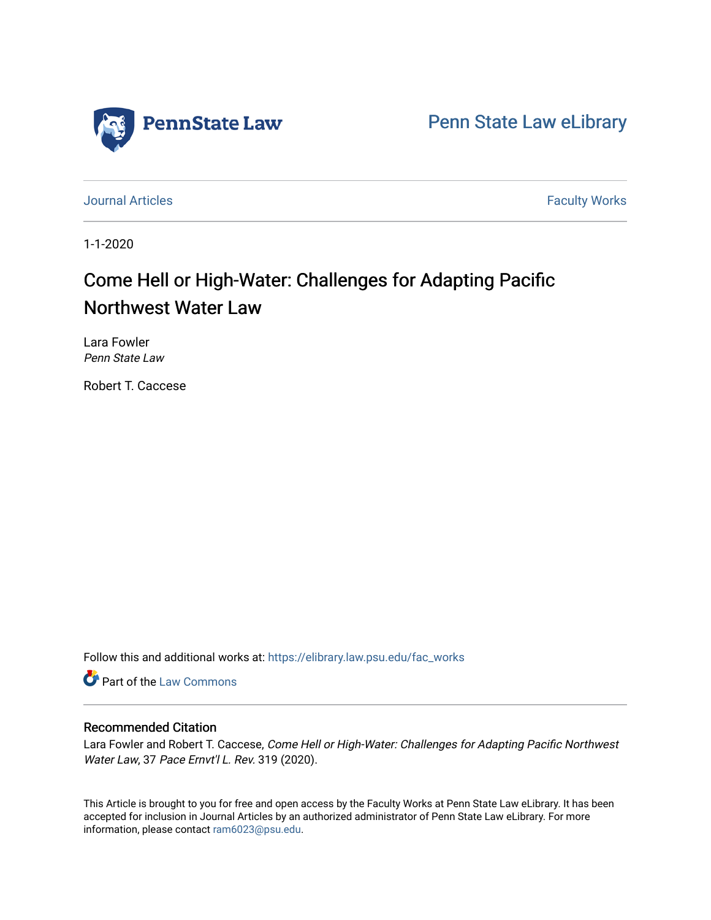

[Penn State Law eLibrary](https://elibrary.law.psu.edu/) 

[Journal Articles](https://elibrary.law.psu.edu/fac_works) **Faculty Works Journal Articles** 

1-1-2020

# Come Hell or High-Water: Challenges for Adapting Pacific Northwest Water Law

Lara Fowler Penn State Law

Robert T. Caccese

Follow this and additional works at: [https://elibrary.law.psu.edu/fac\\_works](https://elibrary.law.psu.edu/fac_works?utm_source=elibrary.law.psu.edu%2Ffac_works%2F438&utm_medium=PDF&utm_campaign=PDFCoverPages)

Part of the [Law Commons](https://network.bepress.com/hgg/discipline/578?utm_source=elibrary.law.psu.edu%2Ffac_works%2F438&utm_medium=PDF&utm_campaign=PDFCoverPages)

# Recommended Citation

Lara Fowler and Robert T. Caccese, Come Hell or High-Water: Challenges for Adapting Pacific Northwest Water Law, 37 Pace Ernvt'l L. Rev. 319 (2020).

This Article is brought to you for free and open access by the Faculty Works at Penn State Law eLibrary. It has been accepted for inclusion in Journal Articles by an authorized administrator of Penn State Law eLibrary. For more information, please contact [ram6023@psu.edu](mailto:ram6023@psu.edu).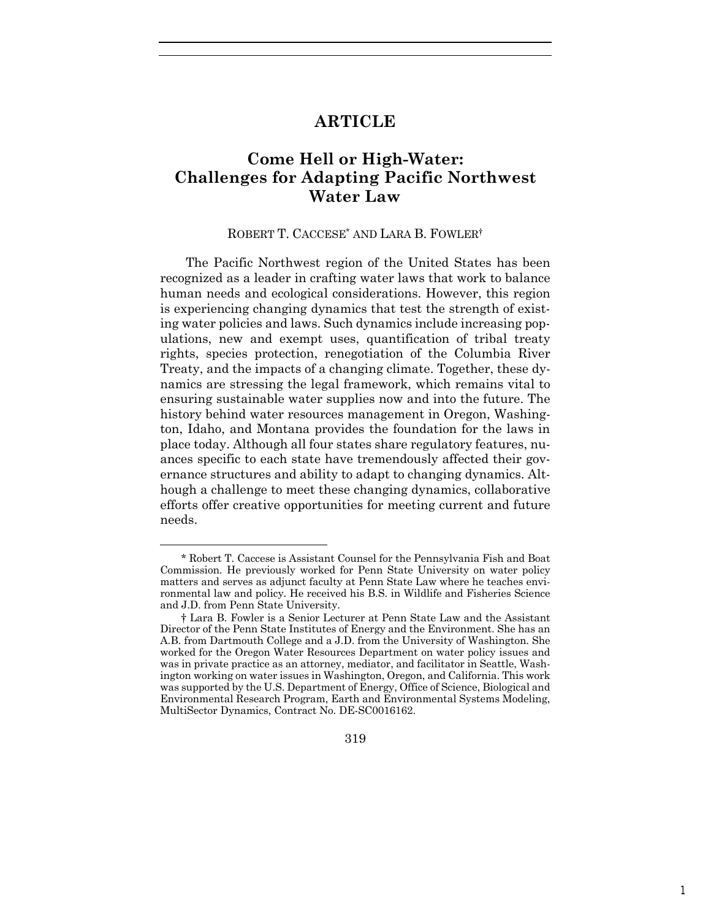# **ARTICLE**

# **Come Hell or High-Water: Challenges for Adapting Pacific Northwest Water Law**

#### ROBERT T. CACCESE\* AND LARA B. FOWLER†

The Pacific Northwest region of the United States has been recognized as a leader in crafting water laws that work to balance human needs and ecological considerations. However, this region is experiencing changing dynamics that test the strength of existing water policies and laws. Such dynamics include increasing populations, new and exempt uses, quantification of tribal treaty rights, species protection, renegotiation of the Columbia River Treaty, and the impacts of a changing climate. Together, these dynamics are stressing the legal framework, which remains vital to ensuring sustainable water supplies now and into the future. The history behind water resources management in Oregon, Washington, Idaho, and Montana provides the foundation for the laws in place today. Although all four states share regulatory features, nuances specific to each state have tremendously affected their governance structures and ability to adapt to changing dynamics. Although a challenge to meet these changing dynamics, collaborative efforts offer creative opportunities for meeting current and future needs.

319

<sup>\*</sup> Robert T. Caccese is Assistant Counsel for the Pennsylvania Fish and Boat Commission. He previously worked for Penn State University on water policy matters and serves as adjunct faculty at Penn State Law where he teaches environmental law and policy. He received his B.S. in Wildlife and Fisheries Science and J.D. from Penn State University.

<sup>†</sup> Lara B. Fowler is a Senior Lecturer at Penn State Law and the Assistant Director of the Penn State Institutes of Energy and the Environment. She has an A.B. from Dartmouth College and a J.D. from the University of Washington. She worked for the Oregon Water Resources Department on water policy issues and was in private practice as an attorney, mediator, and facilitator in Seattle, Washington working on water issues in Washington, Oregon, and California. This work was supported by the U.S. Department of Energy, Office of Science, Biological and Environmental Research Program, Earth and Environmental Systems Modeling, MultiSector Dynamics, Contract No. DE-SC0016162.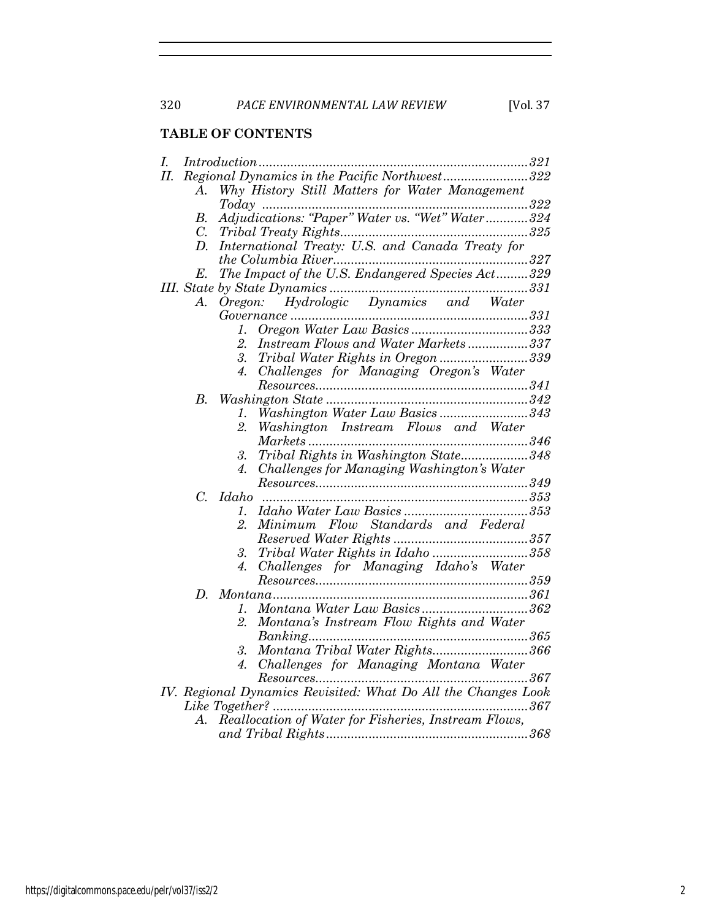# **TABLE OF CONTENTS**

| I.  |                                               |                                                               |  |  |  |  |  |  |  |
|-----|-----------------------------------------------|---------------------------------------------------------------|--|--|--|--|--|--|--|
| II. | Regional Dynamics in the Pacific Northwest322 |                                                               |  |  |  |  |  |  |  |
|     | A.                                            | Why History Still Matters for Water Management                |  |  |  |  |  |  |  |
|     |                                               |                                                               |  |  |  |  |  |  |  |
|     | В.                                            | Adjudications: "Paper" Water vs. "Wet" Water324               |  |  |  |  |  |  |  |
|     | C.                                            |                                                               |  |  |  |  |  |  |  |
|     | D.                                            | International Treaty: U.S. and Canada Treaty for              |  |  |  |  |  |  |  |
|     |                                               | the Columbia River                                            |  |  |  |  |  |  |  |
|     | E.                                            | The Impact of the U.S. Endangered Species Act329              |  |  |  |  |  |  |  |
|     |                                               |                                                               |  |  |  |  |  |  |  |
|     |                                               |                                                               |  |  |  |  |  |  |  |
|     |                                               |                                                               |  |  |  |  |  |  |  |
|     |                                               | 1.                                                            |  |  |  |  |  |  |  |
|     |                                               | $\overline{2}$<br>Instream Flows and Water Markets337         |  |  |  |  |  |  |  |
|     |                                               | Tribal Water Rights in Oregon 339<br>3.                       |  |  |  |  |  |  |  |
|     |                                               | Challenges for Managing Oregon's Water<br>4.                  |  |  |  |  |  |  |  |
|     |                                               |                                                               |  |  |  |  |  |  |  |
|     | $B_{\cdot}$                                   |                                                               |  |  |  |  |  |  |  |
|     |                                               | Washington Water Law Basics343<br>1.                          |  |  |  |  |  |  |  |
|     |                                               | 2.<br>Washington Instream Flows and Water                     |  |  |  |  |  |  |  |
|     |                                               |                                                               |  |  |  |  |  |  |  |
|     |                                               | Tribal Rights in Washington State348<br>3.                    |  |  |  |  |  |  |  |
|     |                                               | Challenges for Managing Washington's Water<br>4.              |  |  |  |  |  |  |  |
|     |                                               |                                                               |  |  |  |  |  |  |  |
|     | $\mathcal{C}$ .                               | Idaho                                                         |  |  |  |  |  |  |  |
|     |                                               | 1.                                                            |  |  |  |  |  |  |  |
|     |                                               | Minimum Flow Standards and Federal<br>2.                      |  |  |  |  |  |  |  |
|     |                                               |                                                               |  |  |  |  |  |  |  |
|     |                                               | Tribal Water Rights in Idaho 358<br>3.                        |  |  |  |  |  |  |  |
|     |                                               | Challenges for Managing Idaho's Water<br>4.                   |  |  |  |  |  |  |  |
|     |                                               |                                                               |  |  |  |  |  |  |  |
|     | D.                                            |                                                               |  |  |  |  |  |  |  |
|     |                                               | Montana Water Law Basics362<br>1.                             |  |  |  |  |  |  |  |
|     |                                               | Montana's Instream Flow Rights and Water<br>2.                |  |  |  |  |  |  |  |
|     |                                               |                                                               |  |  |  |  |  |  |  |
|     |                                               | Montana Tribal Water Rights366<br>3.                          |  |  |  |  |  |  |  |
|     |                                               | Challenges for Managing Montana Water<br>4.                   |  |  |  |  |  |  |  |
|     |                                               |                                                               |  |  |  |  |  |  |  |
|     |                                               | IV. Regional Dynamics Revisited: What Do All the Changes Look |  |  |  |  |  |  |  |
|     |                                               |                                                               |  |  |  |  |  |  |  |
|     | $\bm{A}$ .                                    | Reallocation of Water for Fisheries, Instream Flows,          |  |  |  |  |  |  |  |
|     |                                               |                                                               |  |  |  |  |  |  |  |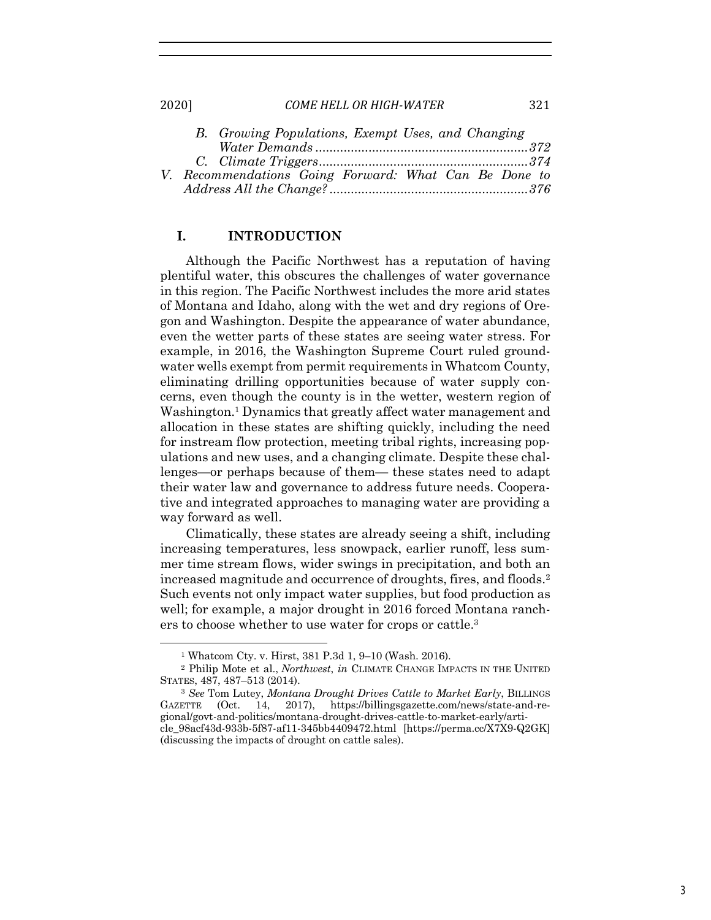|  | B. Growing Populations, Exempt Uses, and Changing     |  |  |  |  |
|--|-------------------------------------------------------|--|--|--|--|
|  |                                                       |  |  |  |  |
|  |                                                       |  |  |  |  |
|  | V. Recommendations Going Forward: What Can Be Done to |  |  |  |  |
|  |                                                       |  |  |  |  |

# **I. INTRODUCTION**

Although the Pacific Northwest has a reputation of having plentiful water, this obscures the challenges of water governance in this region. The Pacific Northwest includes the more arid states of Montana and Idaho, along with the wet and dry regions of Oregon and Washington. Despite the appearance of water abundance, even the wetter parts of these states are seeing water stress. For example, in 2016, the Washington Supreme Court ruled groundwater wells exempt from permit requirements in Whatcom County, eliminating drilling opportunities because of water supply concerns, even though the county is in the wetter, western region of Washington.<sup>1</sup> Dynamics that greatly affect water management and allocation in these states are shifting quickly, including the need for instream flow protection, meeting tribal rights, increasing populations and new uses, and a changing climate. Despite these challenges—or perhaps because of them— these states need to adapt their water law and governance to address future needs. Cooperative and integrated approaches to managing water are providing a way forward as well.

Climatically, these states are already seeing a shift, including increasing temperatures, less snowpack, earlier runoff, less summer time stream flows, wider swings in precipitation, and both an increased magnitude and occurrence of droughts, fires, and floods.2 Such events not only impact water supplies, but food production as well; for example, a major drought in 2016 forced Montana ranchers to choose whether to use water for crops or cattle.3

<sup>1</sup> Whatcom Cty. v. Hirst, 381 P.3d 1, 9–10 (Wash. 2016).

<sup>2</sup> Philip Mote et al., *Northwest*, *in* CLIMATE CHANGE IMPACTS IN THE UNITED STATES, 487, 487–513 (2014).

<sup>3</sup> *See* Tom Lutey, *Montana Drought Drives Cattle to Market Early*, BILLINGS GAZETTE (Oct. 14, 2017), https://billingsgazette.com/news/state-and-regional/govt-and-politics/montana-drought-drives-cattle-to-market-early/article\_98acf43d-933b-5f87-af11-345bb4409472.html [https://perma.cc/X7X9-Q2GK] (discussing the impacts of drought on cattle sales).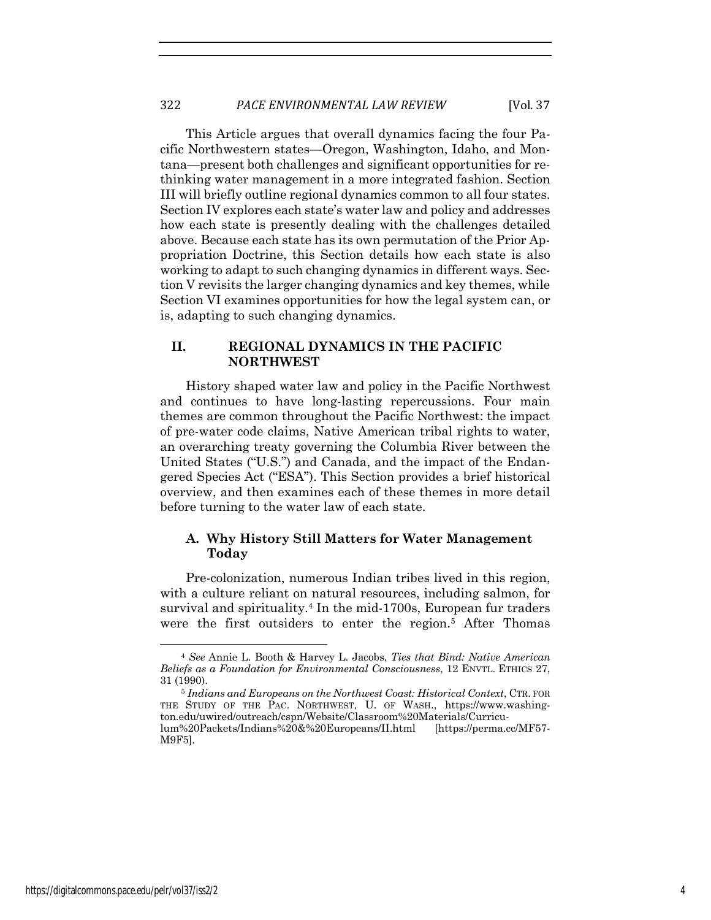This Article argues that overall dynamics facing the four Pacific Northwestern states—Oregon, Washington, Idaho, and Montana—present both challenges and significant opportunities for rethinking water management in a more integrated fashion. Section III will briefly outline regional dynamics common to all four states. Section IV explores each state's water law and policy and addresses how each state is presently dealing with the challenges detailed above. Because each state has its own permutation of the Prior Appropriation Doctrine, this Section details how each state is also working to adapt to such changing dynamics in different ways. Section V revisits the larger changing dynamics and key themes, while Section VI examines opportunities for how the legal system can, or is, adapting to such changing dynamics.

# **II. REGIONAL DYNAMICS IN THE PACIFIC NORTHWEST**

History shaped water law and policy in the Pacific Northwest and continues to have long-lasting repercussions. Four main themes are common throughout the Pacific Northwest: the impact of pre-water code claims, Native American tribal rights to water, an overarching treaty governing the Columbia River between the United States ("U.S.") and Canada, and the impact of the Endangered Species Act ("ESA"). This Section provides a brief historical overview, and then examines each of these themes in more detail before turning to the water law of each state.

# **A. Why History Still Matters for Water Management Today**

Pre-colonization, numerous Indian tribes lived in this region, with a culture reliant on natural resources, including salmon, for survival and spirituality.4 In the mid-1700s, European fur traders were the first outsiders to enter the region.<sup>5</sup> After Thomas

<sup>4</sup> *See* Annie L. Booth & Harvey L. Jacobs, *Ties that Bind: Native American Beliefs as a Foundation for Environmental Consciousness*, 12 ENVTL. ETHICS 27, 31 (1990). 5 *Indians and Europeans on the Northwest Coast: Historical Context*, CTR. FOR

THE STUDY OF THE PAC. NORTHWEST, U. OF WASH., https://www.washington.edu/uwired/outreach/cspn/Website/Classroom%20Materials/Curriculum%20Packets/Indians%20&%20Europeans/II.html [https://perma.cc/MF57- M9F5].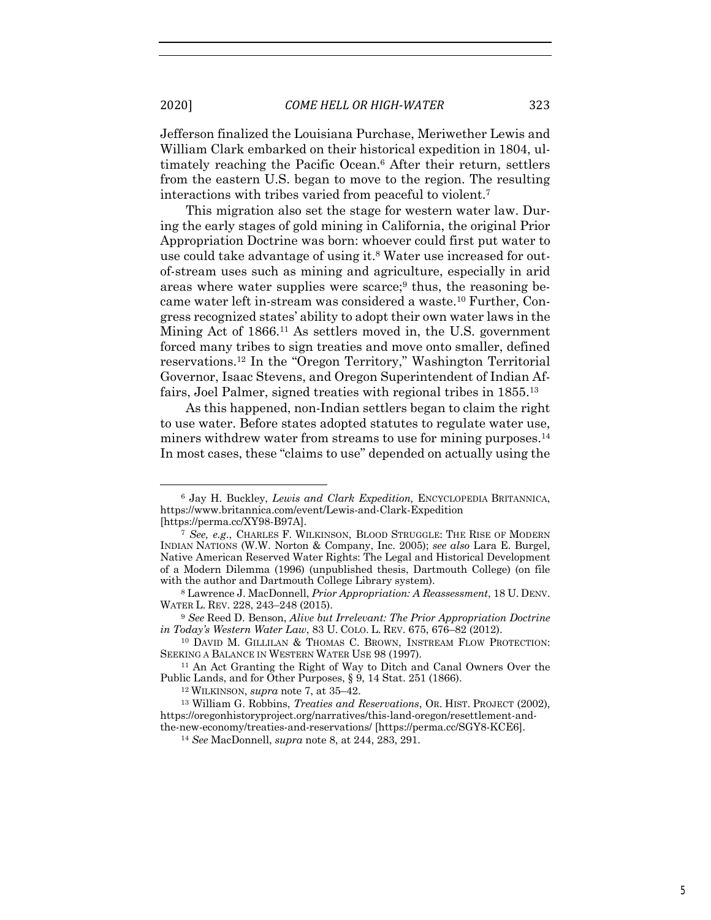Jefferson finalized the Louisiana Purchase, Meriwether Lewis and William Clark embarked on their historical expedition in 1804, ultimately reaching the Pacific Ocean.6 After their return, settlers from the eastern U.S. began to move to the region. The resulting interactions with tribes varied from peaceful to violent.7

This migration also set the stage for western water law. During the early stages of gold mining in California, the original Prior Appropriation Doctrine was born: whoever could first put water to use could take advantage of using it.8 Water use increased for outof-stream uses such as mining and agriculture, especially in arid areas where water supplies were scarce;<sup>9</sup> thus, the reasoning became water left in-stream was considered a waste.10 Further, Congress recognized states' ability to adopt their own water laws in the Mining Act of 1866.11 As settlers moved in, the U.S. government forced many tribes to sign treaties and move onto smaller, defined reservations.12 In the "Oregon Territory," Washington Territorial Governor, Isaac Stevens, and Oregon Superintendent of Indian Affairs, Joel Palmer, signed treaties with regional tribes in 1855.13

As this happened, non-Indian settlers began to claim the right to use water. Before states adopted statutes to regulate water use, miners withdrew water from streams to use for mining purposes.<sup>14</sup> In most cases, these "claims to use" depended on actually using the

<sup>6</sup> Jay H. Buckley, *Lewis and Clark Expedition,* ENCYCLOPEDIA BRITANNICA, https://www.britannica.com/event/Lewis-and-Clark-Expedition [https://perma.cc/XY98-B97A].

<sup>7</sup> *See, e.g*., CHARLES F. WILKINSON, BLOOD STRUGGLE: THE RISE OF MODERN INDIAN NATIONS (W.W. Norton & Company, Inc. 2005); *see also* Lara E. Burgel, Native American Reserved Water Rights: The Legal and Historical Development of a Modern Dilemma (1996) (unpublished thesis, Dartmouth College) (on file with the author and Dartmouth College Library system).

<sup>8</sup> Lawrence J. MacDonnell, *Prior Appropriation: A Reassessment*, 18 U. DENV. WATER L. REV. 228, 243–248 (2015).

<sup>9</sup> *See* Reed D. Benson, *Alive but Irrelevant: The Prior Appropriation Doctrine in Today's Western Water Law*, 83 U. COLO. L. REV. 675, 676–82 (2012).<br><sup>10</sup> DAVID M. GILLILAN & THOMAS C. BROWN, INSTREAM FLOW PROTECTION:

SEEKING A BALANCE IN WESTERN WATER USE 98 (1997).<br><sup>11</sup> An Act Granting the Right of Way to Ditch and Canal Owners Over the

Public Lands, and for Other Purposes, § 9, 14 Stat. 251 (1866).

<sup>12</sup> WILKINSON, *supra* note 7, at 35–42.

<sup>13</sup> William G. Robbins, *Treaties and Reservations*, OR. HIST. PROJECT (2002), https://oregonhistoryproject.org/narratives/this-land-oregon/resettlement-andthe-new-economy/treaties-and-reservations/ [https://perma.cc/SGY8-KCE6].

<sup>14</sup> *See* MacDonnell, *supra* note 8, at 244, 283, 291.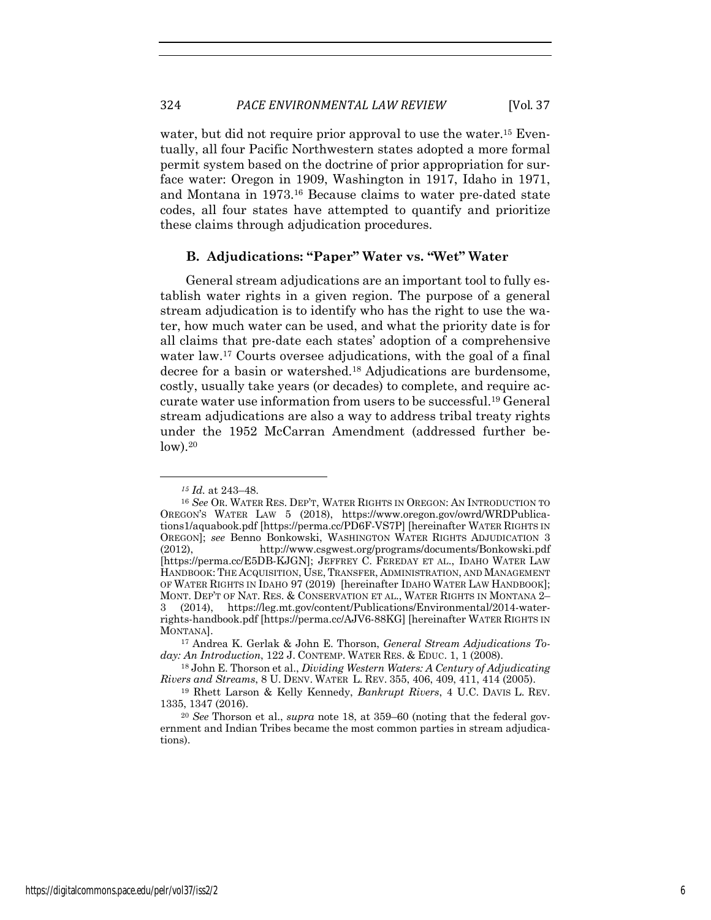water, but did not require prior approval to use the water.<sup>15</sup> Eventually, all four Pacific Northwestern states adopted a more formal permit system based on the doctrine of prior appropriation for surface water: Oregon in 1909, Washington in 1917, Idaho in 1971, and Montana in 1973.16 Because claims to water pre-dated state codes, all four states have attempted to quantify and prioritize these claims through adjudication procedures.

# **B. Adjudications: "Paper" Water vs. "Wet" Water**

General stream adjudications are an important tool to fully establish water rights in a given region. The purpose of a general stream adjudication is to identify who has the right to use the water, how much water can be used, and what the priority date is for all claims that pre-date each states' adoption of a comprehensive water law.17 Courts oversee adjudications, with the goal of a final decree for a basin or watershed.<sup>18</sup> Adjudications are burdensome, costly, usually take years (or decades) to complete, and require accurate water use information from users to be successful.19 General stream adjudications are also a way to address tribal treaty rights under the 1952 McCarran Amendment (addressed further be $low).<sup>20</sup>$ 

*<sup>15</sup> Id.* at 243–48. 16 *See* OR. WATER RES. DEP'T, WATER RIGHTS IN OREGON: AN INTRODUCTION TO OREGON'S WATER LAW 5 (2018), https://www.oregon.gov/owrd/WRDPublications1/aquabook.pdf [https://perma.cc/PD6F-VS7P] [hereinafter WATER RIGHTS IN OREGON]; *see* Benno Bonkowski, WASHINGTON WATER RIGHTS ADJUDICATION 3 (2012), http://www.csgwest.org/programs/documents/Bonkowski.pdf [https://perma.cc/E5DB-KJGN]; JEFFREY C. FEREDAY ET AL., IDAHO WATER LAW HANDBOOK: THE ACQUISITION, USE, TRANSFER, ADMINISTRATION, AND MANAGEMENT OF WATER RIGHTS IN IDAHO 97 (2019) [hereinafter IDAHO WATER LAW HANDBOOK]; MONT. DEP'T OF NAT. RES. & CONSERVATION ET AL., WATER RIGHTS IN MONTANA 2– 3 (2014), https://leg.mt.gov/content/Publications/Environmental/2014-waterrights-handbook.pdf [https://perma.cc/AJV6-88KG] [hereinafter WATER RIGHTS IN MONTANA].

<sup>17</sup> Andrea K. Gerlak & John E. Thorson, *General Stream Adjudications Today: An Introduction*, 122 J. CONTEMP. WATER RES. & EDUC. 1, 1 (2008). 18 John E. Thorson et al., *Dividing Western Waters: A Century of Adjudicating* 

*Rivers and Streams*, 8 U. DENV. WATER L. REV. 355, 406, 409, 411, 414 (2005). 19 Rhett Larson & Kelly Kennedy, *Bankrupt Rivers*, 4 U.C. DAVIS L. REV.

<sup>1335, 1347 (2016).</sup>

<sup>20</sup> *See* Thorson et al., *supra* note 18, at 359–60 (noting that the federal government and Indian Tribes became the most common parties in stream adjudications).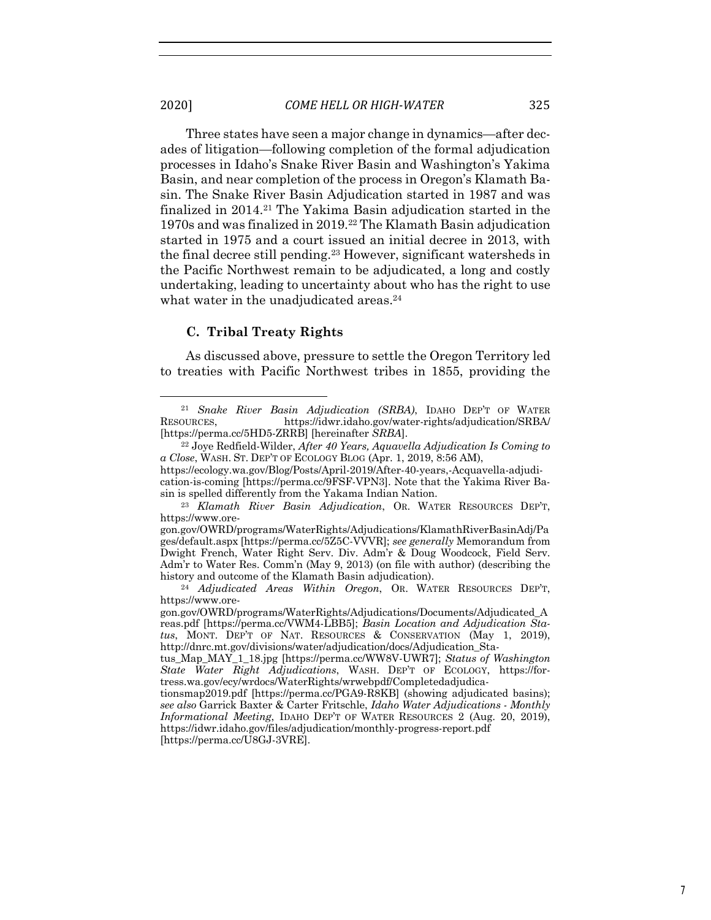Three states have seen a major change in dynamics—after decades of litigation—following completion of the formal adjudication processes in Idaho's Snake River Basin and Washington's Yakima Basin, and near completion of the process in Oregon's Klamath Basin. The Snake River Basin Adjudication started in 1987 and was finalized in 2014.21 The Yakima Basin adjudication started in the 1970s and was finalized in 2019.22 The Klamath Basin adjudication started in 1975 and a court issued an initial decree in 2013, with the final decree still pending.23 However, significant watersheds in the Pacific Northwest remain to be adjudicated, a long and costly undertaking, leading to uncertainty about who has the right to use what water in the unadjudicated areas.<sup>24</sup>

### **C. Tribal Treaty Rights**

As discussed above, pressure to settle the Oregon Territory led to treaties with Pacific Northwest tribes in 1855, providing the

<sup>21</sup> *Snake River Basin Adjudication (SRBA)*, IDAHO DEP'T OF WATER RESOURCES, https://idwr.idaho.gov/water-rights/adjudication/SRBA/ [https://perma.cc/5HD5-ZRRB] [hereinafter *SRBA*].

<sup>22</sup> Joye Redfield-Wilder, *After 40 Years, Aquavella Adjudication Is Coming to a Close*, WASH. ST. DEP'T OF ECOLOGY BLOG (Apr. 1, 2019, 8:56 AM), https://ecology.wa.gov/Blog/Posts/April-2019/After-40-years,-Acquavella-adjudi-

cation-is-coming [https://perma.cc/9FSF-VPN3]. Note that the Yakima River Basin is spelled differently from the Yakama Indian Nation.

<sup>23</sup> *Klamath River Basin Adjudication*, OR. WATER RESOURCES DEP'T, https://www.ore-

gon.gov/OWRD/programs/WaterRights/Adjudications/KlamathRiverBasinAdj/Pa ges/default.aspx [https://perma.cc/5Z5C-VVVR]; *see generally* Memorandum from Dwight French, Water Right Serv. Div. Adm'r & Doug Woodcock, Field Serv. Adm'r to Water Res. Comm'n (May 9, 2013) (on file with author) (describing the history and outcome of the Klamath Basin adjudication).

<sup>24</sup> *Adjudicated Areas Within Oregon*, OR. WATER RESOURCES DEP'T, https://www.ore-

gon.gov/OWRD/programs/WaterRights/Adjudications/Documents/Adjudicated\_A reas.pdf [https://perma.cc/VWM4-LBB5]; *Basin Location and Adjudication Status*, MONT. DEP'T OF NAT. RESOURCES & CONSERVATION (May 1, 2019), http://dnrc.mt.gov/divisions/water/adjudication/docs/Adjudication\_Sta-

tus\_Map\_MAY\_1\_18.jpg [https://perma.cc/WW8V-UWR7]; *Status of Washington State Water Right Adjudications*, WASH. DEP'T OF ECOLOGY, https://fortress.wa.gov/ecy/wrdocs/WaterRights/wrwebpdf/Completedadjudica-

tionsmap2019.pdf [https://perma.cc/PGA9-R8KB] (showing adjudicated basins); *see also* Garrick Baxter & Carter Fritschle, *Idaho Water Adjudications - Monthly Informational Meeting*, IDAHO DEP'T OF WATER RESOURCES 2 (Aug. 20, 2019), https://idwr.idaho.gov/files/adjudication/monthly-progress-report.pdf [https://perma.cc/U8GJ-3VRE].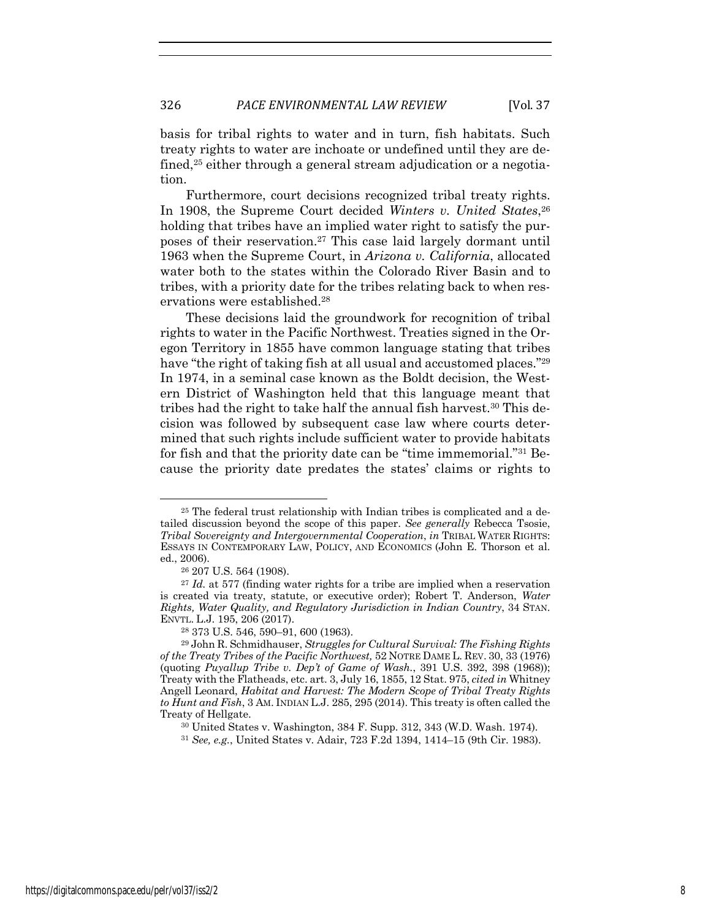basis for tribal rights to water and in turn, fish habitats. Such treaty rights to water are inchoate or undefined until they are defined,<sup>25</sup> either through a general stream adjudication or a negotiation.

Furthermore, court decisions recognized tribal treaty rights. In 1908, the Supreme Court decided *Winters v. United States*, 26 holding that tribes have an implied water right to satisfy the purposes of their reservation.27 This case laid largely dormant until 1963 when the Supreme Court, in *Arizona v. California*, allocated water both to the states within the Colorado River Basin and to tribes, with a priority date for the tribes relating back to when reservations were established.28

These decisions laid the groundwork for recognition of tribal rights to water in the Pacific Northwest. Treaties signed in the Oregon Territory in 1855 have common language stating that tribes have "the right of taking fish at all usual and accustomed places."<sup>29</sup> In 1974, in a seminal case known as the Boldt decision, the Western District of Washington held that this language meant that tribes had the right to take half the annual fish harvest.<sup>30</sup> This decision was followed by subsequent case law where courts determined that such rights include sufficient water to provide habitats for fish and that the priority date can be "time immemorial."31 Because the priority date predates the states' claims or rights to

<sup>25</sup> The federal trust relationship with Indian tribes is complicated and a detailed discussion beyond the scope of this paper. *See generally* Rebecca Tsosie, *Tribal Sovereignty and Intergovernmental Cooperation*, *in* TRIBAL WATER RIGHTS: ESSAYS IN CONTEMPORARY LAW, POLICY, AND ECONOMICS (John E. Thorson et al. ed., 2006).

<sup>26</sup> 207 U.S. 564 (1908). 27 *Id.* at 577 (finding water rights for a tribe are implied when a reservation is created via treaty, statute, or executive order); Robert T. Anderson, *Water Rights, Water Quality, and Regulatory Jurisdiction in Indian Country*, 34 STAN. ENVTL. L.J. 195, 206 (2017).

<sup>28</sup> 373 U.S. 546, 590–91, 600 (1963).

<sup>29</sup> John R. Schmidhauser, *Struggles for Cultural Survival: The Fishing Rights of the Treaty Tribes of the Pacific Northwest,* 52 NOTRE DAME L. REV. 30, 33 (1976) (quoting *Puyallup Tribe v. Dep't of Game of Wash.*, 391 U.S. 392, 398 (1968)); Treaty with the Flatheads, etc. art. 3, July 16, 1855, 12 Stat. 975, *cited in* Whitney Angell Leonard, *Habitat and Harvest: The Modern Scope of Tribal Treaty Rights to Hunt and Fish*, 3 AM. INDIAN L.J. 285, 295 (2014). This treaty is often called the

<sup>&</sup>lt;sup>30</sup> United States v. Washington, 384 F. Supp. 312, 343 (W.D. Wash. 1974).

<sup>31</sup> *See, e.g.*, United States v. Adair, 723 F.2d 1394, 1414–15 (9th Cir. 1983).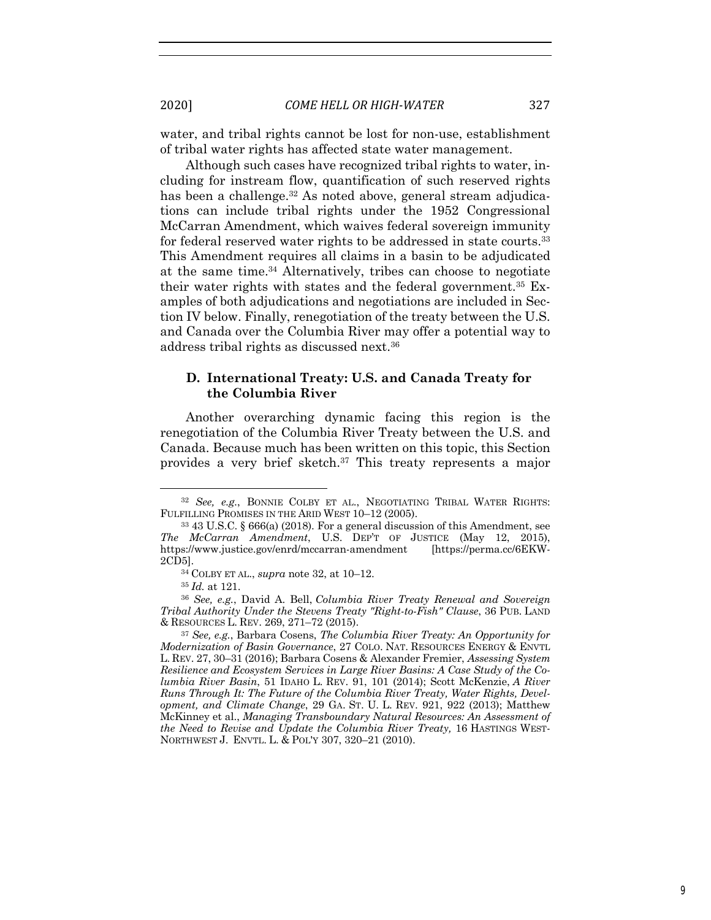water, and tribal rights cannot be lost for non-use, establishment of tribal water rights has affected state water management.

Although such cases have recognized tribal rights to water, including for instream flow, quantification of such reserved rights has been a challenge.<sup>32</sup> As noted above, general stream adjudications can include tribal rights under the 1952 Congressional McCarran Amendment, which waives federal sovereign immunity for federal reserved water rights to be addressed in state courts.<sup>33</sup> This Amendment requires all claims in a basin to be adjudicated at the same time.34 Alternatively, tribes can choose to negotiate their water rights with states and the federal government.35 Examples of both adjudications and negotiations are included in Section IV below. Finally, renegotiation of the treaty between the U.S. and Canada over the Columbia River may offer a potential way to address tribal rights as discussed next.36

# **D. International Treaty: U.S. and Canada Treaty for the Columbia River**

Another overarching dynamic facing this region is the renegotiation of the Columbia River Treaty between the U.S. and Canada. Because much has been written on this topic, this Section provides a very brief sketch.<sup>37</sup> This treaty represents a major

<sup>32</sup> *See, e.g.*, BONNIE COLBY ET AL., NEGOTIATING TRIBAL WATER RIGHTS: FULFILLING PROMISES IN THE ARID WEST 10–12 (2005).

<sup>33</sup> 43 U.S.C. § 666(a) (2018). For a general discussion of this Amendment, see *The McCarran Amendment*, U.S. DEP'T OF JUSTICE (May 12, 2015), https://www.justice.gov/enrd/mccarran-amendment [https://perma.cc/6EKW-

<sup>&</sup>lt;sup>34</sup> COLBY ET AL., *supra* note 32, at 10-12.

<sup>35</sup> *Id.* at 121.

<sup>36</sup> *See, e.g.*, David A. Bell, *Columbia River Treaty Renewal and Sovereign Tribal Authority Under the Stevens Treaty "Right-to-Fish" Clause*, 36 PUB. LAND & RESOURCES L. REV. 269, 271–72 (2015).

<sup>37</sup> *See, e.g.*, Barbara Cosens, *The Columbia River Treaty: An Opportunity for Modernization of Basin Governance*, 27 COLO. NAT. RESOURCES ENERGY & ENVTL L. REV. 27, 30–31 (2016); Barbara Cosens & Alexander Fremier, *Assessing System Resilience and Ecosystem Services in Large River Basins: A Case Study of the Columbia River Basin*, 51 IDAHO L. REV. 91, 101 (2014); Scott McKenzie, *A River Runs Through It: The Future of the Columbia River Treaty, Water Rights, Development, and Climate Change*, 29 GA. ST. U. L. REV. 921, 922 (2013); Matthew McKinney et al., *Managing Transboundary Natural Resources: An Assessment of the Need to Revise and Update the Columbia River Treaty,* 16 HASTINGS WEST-NORTHWEST J. ENVTL. L. & POL'Y 307, 320–21 (2010).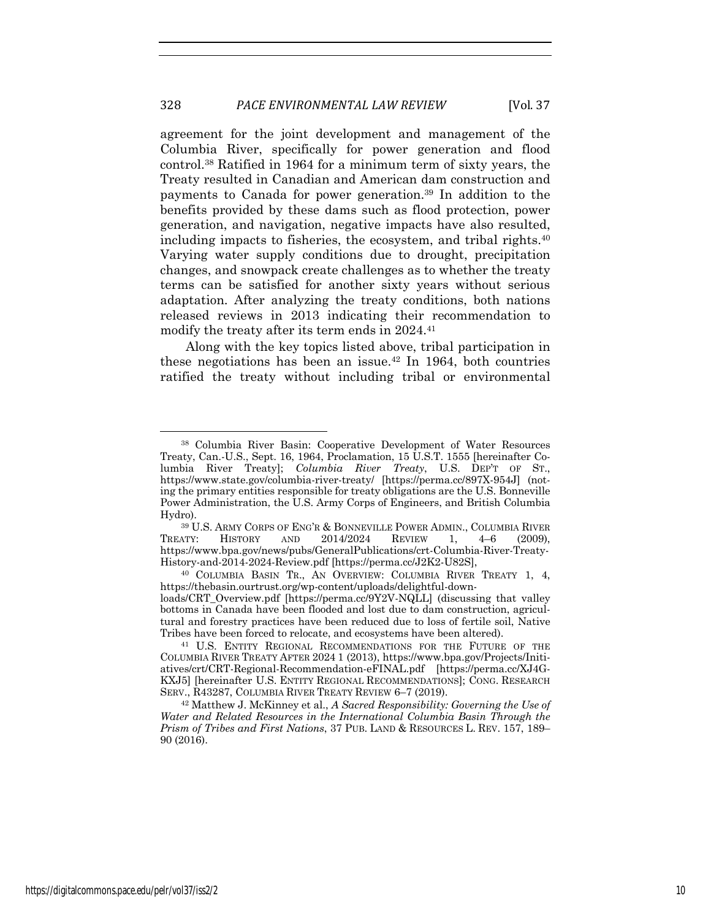agreement for the joint development and management of the Columbia River, specifically for power generation and flood control.38 Ratified in 1964 for a minimum term of sixty years, the Treaty resulted in Canadian and American dam construction and payments to Canada for power generation.39 In addition to the benefits provided by these dams such as flood protection, power generation, and navigation, negative impacts have also resulted, including impacts to fisheries, the ecosystem, and tribal rights.<sup>40</sup> Varying water supply conditions due to drought, precipitation changes, and snowpack create challenges as to whether the treaty terms can be satisfied for another sixty years without serious adaptation. After analyzing the treaty conditions, both nations released reviews in 2013 indicating their recommendation to modify the treaty after its term ends in 2024.<sup>41</sup>

Along with the key topics listed above, tribal participation in these negotiations has been an issue.42 In 1964, both countries ratified the treaty without including tribal or environmental

<sup>38</sup> Columbia River Basin: Cooperative Development of Water Resources Treaty, Can.-U.S., Sept. 16, 1964, Proclamation, 15 U.S.T. 1555 [hereinafter Columbia River Treaty]; *Columbia River Treaty*, U.S. DEP'T OF ST., https://www.state.gov/columbia-river-treaty/ [https://perma.cc/897X-954J] (noting the primary entities responsible for treaty obligations are the U.S. Bonneville Power Administration, the U.S. Army Corps of Engineers, and British Columbia Hydro).

<sup>39</sup> U.S. ARMY CORPS OF ENG'R & BONNEVILLE POWER ADMIN., COLUMBIA RIVER TREATY: HISTORY AND 2014/2024 REVIEW 1, 4–6 (2009), https://www.bpa.gov/news/pubs/GeneralPublications/crt-Columbia-River-Treaty-History-and-2014-2024-Review.pdf [https://perma.cc/J2K2-U82S],

<sup>40</sup> COLUMBIA BASIN TR., AN OVERVIEW: COLUMBIA RIVER TREATY 1, 4, https://thebasin.ourtrust.org/wp-content/uploads/delightful-down-

loads/CRT\_Overview.pdf [https://perma.cc/9Y2V-NQLL] (discussing that valley bottoms in Canada have been flooded and lost due to dam construction, agricultural and forestry practices have been reduced due to loss of fertile soil, Native Tribes have been forced to relocate, and ecosystems have been altered).

<sup>41</sup> U.S. ENTITY REGIONAL RECOMMENDATIONS FOR THE FUTURE OF THE COLUMBIA RIVER TREATY AFTER 2024 1 (2013), https://www.bpa.gov/Projects/Initiatives/crt/CRT-Regional-Recommendation-eFINAL.pdf [https://perma.cc/XJ4G-KXJ5] [hereinafter U.S. ENTITY REGIONAL RECOMMENDATIONS]; CONG. RESEARCH SERV., R43287, COLUMBIA RIVER TREATY REVIEW 6–7 (2019).

<sup>42</sup> Matthew J. McKinney et al., *A Sacred Responsibility: Governing the Use of Water and Related Resources in the International Columbia Basin Through the Prism of Tribes and First Nations*, 37 PUB. LAND & RESOURCES L. REV. 157, 189– 90 (2016).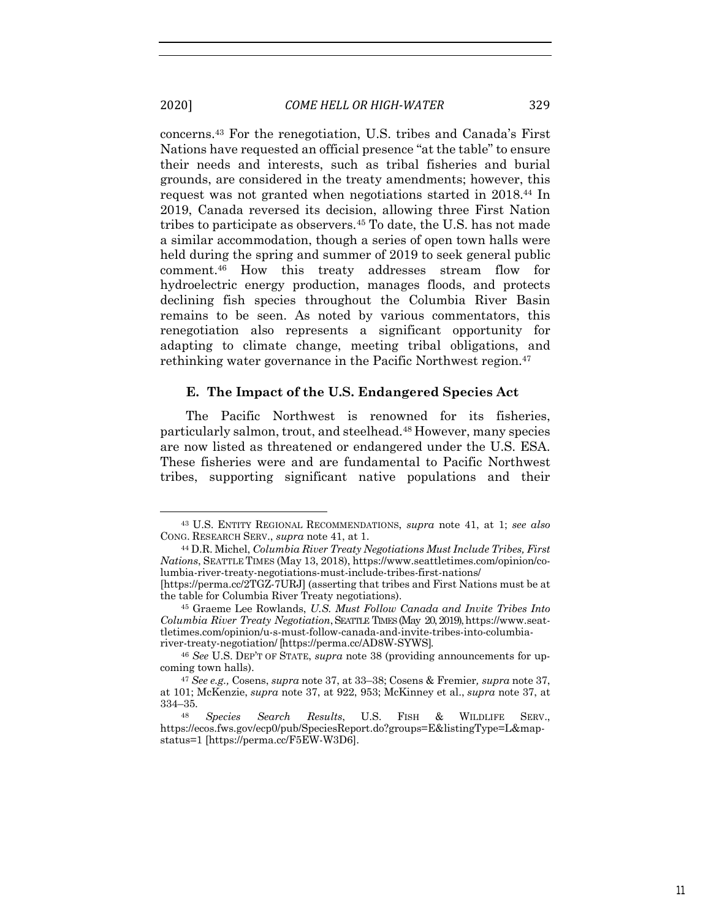concerns.43 For the renegotiation, U.S. tribes and Canada's First Nations have requested an official presence "at the table" to ensure their needs and interests, such as tribal fisheries and burial grounds, are considered in the treaty amendments; however, this request was not granted when negotiations started in 2018.44 In 2019, Canada reversed its decision, allowing three First Nation tribes to participate as observers.45 To date, the U.S. has not made a similar accommodation, though a series of open town halls were held during the spring and summer of 2019 to seek general public comment.46 How this treaty addresses stream flow for hydroelectric energy production, manages floods, and protects declining fish species throughout the Columbia River Basin remains to be seen. As noted by various commentators, this renegotiation also represents a significant opportunity for adapting to climate change, meeting tribal obligations, and rethinking water governance in the Pacific Northwest region.<sup>47</sup>

#### **E. The Impact of the U.S. Endangered Species Act**

The Pacific Northwest is renowned for its fisheries, particularly salmon, trout, and steelhead.48 However, many species are now listed as threatened or endangered under the U.S. ESA. These fisheries were and are fundamental to Pacific Northwest tribes, supporting significant native populations and their

<sup>43</sup> U.S. ENTITY REGIONAL RECOMMENDATIONS, *supra* note 41, at 1; *see also* CONG. RESEARCH SERV., *supra* note 41, at 1.

<sup>44</sup> D.R. Michel, *Columbia River Treaty Negotiations Must Include Tribes, First Nations*, SEATTLE TIMES (May 13, 2018), https://www.seattletimes.com/opinion/columbia-river-treaty-negotiations-must-include-tribes-first-nations/ [https://perma.cc/2TGZ-7URJ] (asserting that tribes and First Nations must be at

the table for Columbia River Treaty negotiations).

<sup>45</sup> Graeme Lee Rowlands, *U.S. Must Follow Canada and Invite Tribes Into Columbia River Treaty Negotiation*, SEATTLE TIMES (May 20, 2019), https://www.seattletimes.com/opinion/u-s-must-follow-canada-and-invite-tribes-into-columbiariver-treaty-negotiation/ [https://perma.cc/AD8W-SYWS].

<sup>46</sup> *See* U.S. DEP'T OF STATE, *supra* note 38 (providing announcements for upcoming town halls).

<sup>47</sup> *See e.g.,* Cosens, *supra* note 37, at 33–38; Cosens & Fremier*, supra* note 37, at 101; McKenzie, *supra* note 37, at 922, 953; McKinney et al., *supra* note 37, at 334–35.

<sup>48</sup> *Species Search Results*, U.S. FISH & WILDLIFE SERV., https://ecos.fws.gov/ecp0/pub/SpeciesReport.do?groups=E&listingType=L&mapstatus=1 [https://perma.cc/F5EW-W3D6].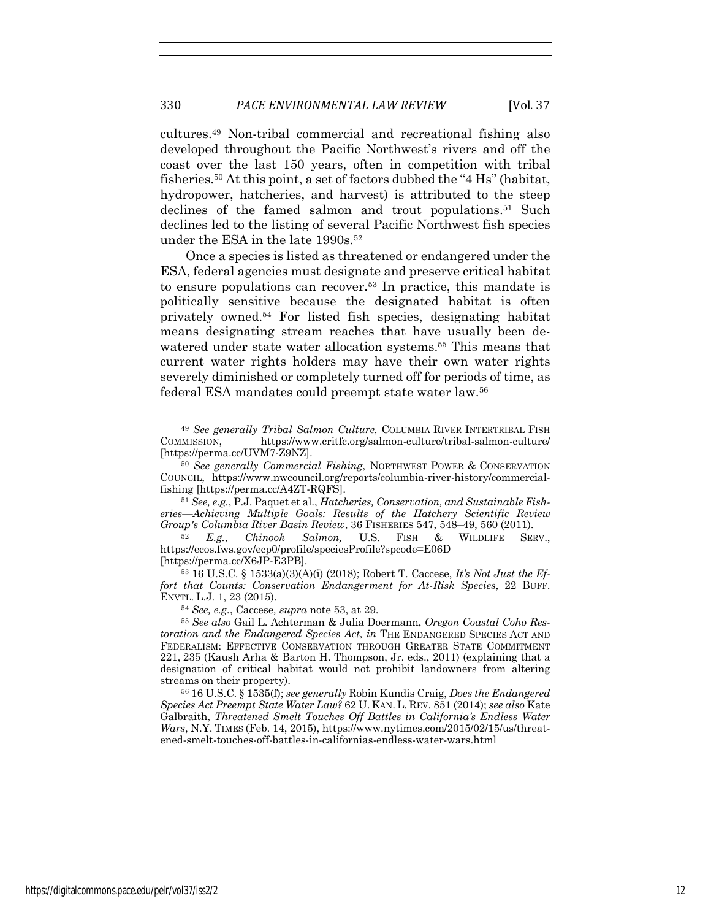cultures.49 Non-tribal commercial and recreational fishing also developed throughout the Pacific Northwest's rivers and off the coast over the last 150 years, often in competition with tribal fisheries.50 At this point, a set of factors dubbed the "4 Hs" (habitat, hydropower, hatcheries, and harvest) is attributed to the steep declines of the famed salmon and trout populations.<sup>51</sup> Such declines led to the listing of several Pacific Northwest fish species under the ESA in the late 1990s.<sup>52</sup>

Once a species is listed as threatened or endangered under the ESA, federal agencies must designate and preserve critical habitat to ensure populations can recover.53 In practice, this mandate is politically sensitive because the designated habitat is often privately owned.54 For listed fish species, designating habitat means designating stream reaches that have usually been dewatered under state water allocation systems.<sup>55</sup> This means that current water rights holders may have their own water rights severely diminished or completely turned off for periods of time, as federal ESA mandates could preempt state water law.56

<sup>49</sup> *See generally Tribal Salmon Culture,* COLUMBIA RIVER INTERTRIBAL FISH COMMISSION, https://www.critfc.org/salmon-culture/tribal-salmon-culture/ [https://perma.cc/UVM7-Z9NZ].

<sup>50</sup> *See generally Commercial Fishing*, NORTHWEST POWER & CONSERVATION COUNCIL, https://www.nwcouncil.org/reports/columbia-river-history/commercialfishing [https://perma.cc/A4ZT-RQFS].

<sup>51</sup> *See, e.g.*, P.J. Paquet et al., *Hatcheries, Conservation, and Sustainable Fisheries—Achieving Multiple Goals: Results of the Hatchery Scientific Review Group's Columbia River Basin Review*, 36 FISHERIES 547, 548–49, 560 (2011).

<sup>52</sup> *E.g.*, *Chinook Salmon,* U.S. FISH & WILDLIFE SERV., https://ecos.fws.gov/ecp0/profile/speciesProfile?spcode=E06D [https://perma.cc/X6JP-E3PB].

<sup>53</sup> 16 U.S.C. § 1533(a)(3)(A)(i) (2018); Robert T. Caccese, *It's Not Just the Effort that Counts: Conservation Endangerment for At-Risk Species*, 22 BUFF. ENVTL. L.J. 1, 23 (2015).

<sup>54</sup> *See, e.g.*, Caccese*, supra* note 53, at 29. 55 *See also* Gail L. Achterman & Julia Doermann, *Oregon Coastal Coho Restoration and the Endangered Species Act, in* THE ENDANGERED SPECIES ACT AND FEDERALISM: EFFECTIVE CONSERVATION THROUGH GREATER STATE COMMITMENT 221, 235 (Kaush Arha & Barton H. Thompson, Jr. eds., 2011) (explaining that a designation of critical habitat would not prohibit landowners from altering streams on their property). 56 16 U.S.C. § 1535(f); *see generally* Robin Kundis Craig, *Does the Endangered* 

*Species Act Preempt State Water Law?* 62 U. KAN. L. REV. 851 (2014); *see also* Kate Galbraith, *Threatened Smelt Touches Off Battles in California's Endless Water Wars*, N.Y. TIMES (Feb. 14, 2015), https://www.nytimes.com/2015/02/15/us/threatened-smelt-touches-off-battles-in-californias-endless-water-wars.html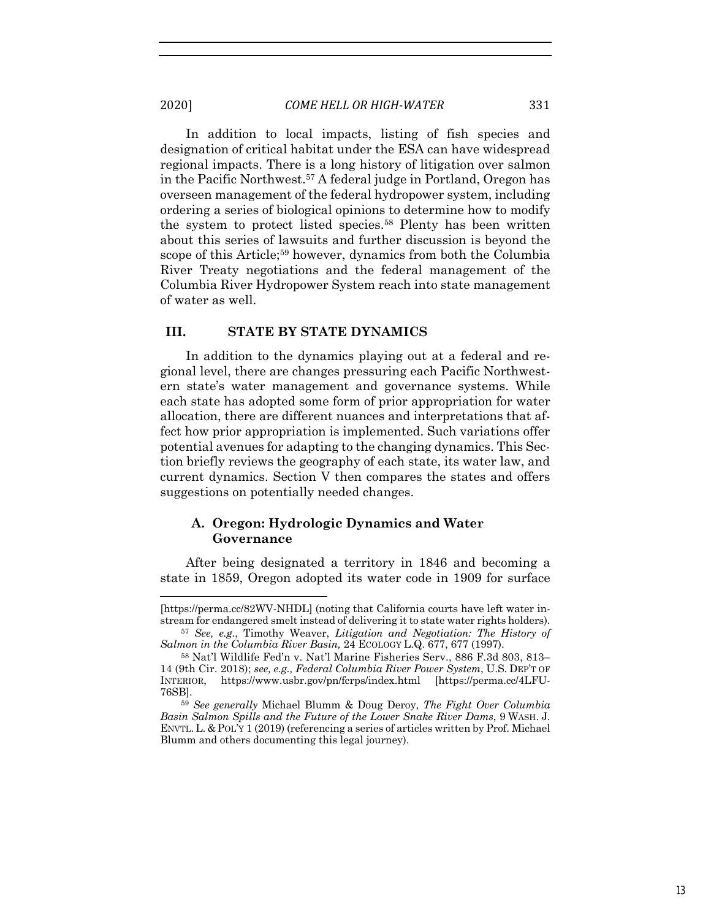In addition to local impacts, listing of fish species and designation of critical habitat under the ESA can have widespread regional impacts. There is a long history of litigation over salmon in the Pacific Northwest.57 A federal judge in Portland, Oregon has overseen management of the federal hydropower system, including ordering a series of biological opinions to determine how to modify the system to protect listed species.58 Plenty has been written about this series of lawsuits and further discussion is beyond the scope of this Article;<sup>59</sup> however, dynamics from both the Columbia River Treaty negotiations and the federal management of the Columbia River Hydropower System reach into state management of water as well.

### **III. STATE BY STATE DYNAMICS**

In addition to the dynamics playing out at a federal and regional level, there are changes pressuring each Pacific Northwestern state's water management and governance systems. While each state has adopted some form of prior appropriation for water allocation, there are different nuances and interpretations that affect how prior appropriation is implemented. Such variations offer potential avenues for adapting to the changing dynamics. This Section briefly reviews the geography of each state, its water law, and current dynamics. Section V then compares the states and offers suggestions on potentially needed changes.

# **A. Oregon: Hydrologic Dynamics and Water Governance**

After being designated a territory in 1846 and becoming a state in 1859, Oregon adopted its water code in 1909 for surface

<sup>[</sup>https://perma.cc/82WV-NHDL] (noting that California courts have left water instream for endangered smelt instead of delivering it to state water rights holders).

<sup>57</sup> *See, e.g.*, Timothy Weaver, *Litigation and Negotiation: The History of* 

<sup>&</sup>lt;sup>58</sup> Nat'l Wildlife Fed'n v. Nat'l Marine Fisheries Serv., 886 F.3d 803, 813– 14 (9th Cir. 2018); *see, e.g., Federal Columbia River Power System*, U.S. DEP'T OF INTERIOR, https://www.usbr.gov/pn/fcrps/index.html [https://perma.cc/4LFU-76SB]. 59 *See generally* Michael Blumm & Doug Deroy, *The Fight Over Columbia* 

*Basin Salmon Spills and the Future of the Lower Snake River Dams*, 9 WASH. J. ENVTL.L. & POL'Y 1 (2019) (referencing a series of articles written by Prof. Michael Blumm and others documenting this legal journey).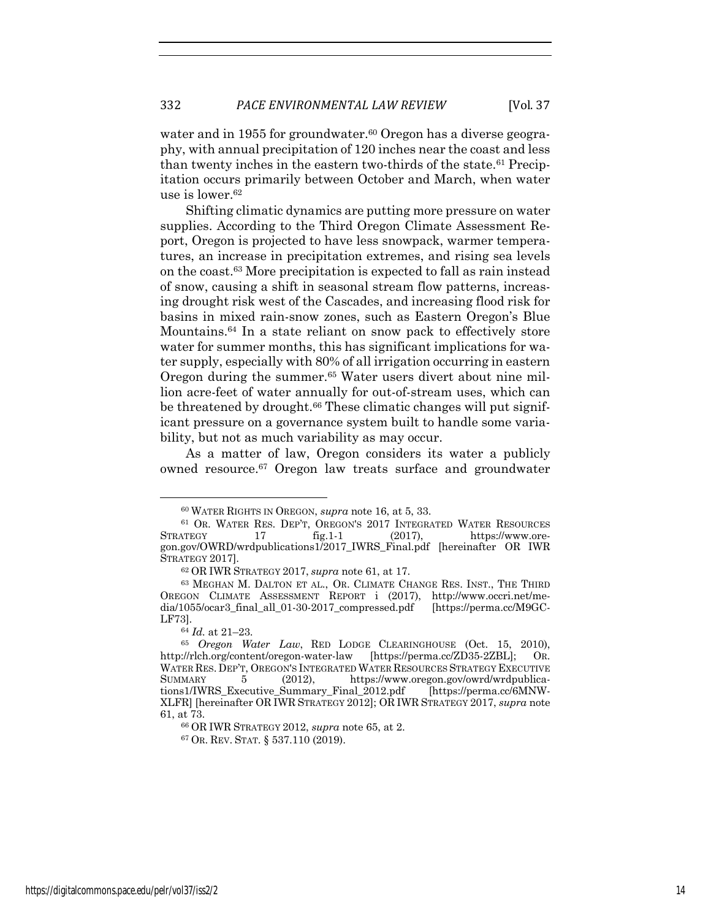water and in 1955 for groundwater.<sup>60</sup> Oregon has a diverse geography, with annual precipitation of 120 inches near the coast and less than twenty inches in the eastern two-thirds of the state.61 Precipitation occurs primarily between October and March, when water use is lower.62

Shifting climatic dynamics are putting more pressure on water supplies. According to the Third Oregon Climate Assessment Report, Oregon is projected to have less snowpack, warmer temperatures, an increase in precipitation extremes, and rising sea levels on the coast.63 More precipitation is expected to fall as rain instead of snow, causing a shift in seasonal stream flow patterns, increasing drought risk west of the Cascades, and increasing flood risk for basins in mixed rain-snow zones, such as Eastern Oregon's Blue Mountains.64 In a state reliant on snow pack to effectively store water for summer months, this has significant implications for water supply, especially with 80% of all irrigation occurring in eastern Oregon during the summer.65 Water users divert about nine million acre-feet of water annually for out-of-stream uses, which can be threatened by drought.<sup>66</sup> These climatic changes will put significant pressure on a governance system built to handle some variability, but not as much variability as may occur.

As a matter of law, Oregon considers its water a publicly owned resource.67 Oregon law treats surface and groundwater

<sup>66</sup> OR IWR STRATEGY 2012, *supra* note 65, at 2. 67 OR. REV. STAT. § 537.110 (2019).

<sup>60</sup> WATER RIGHTS IN OREGON, *supra* note 16, at 5, 33.

<sup>61</sup> OR. WATER RES. DEP'T, OREGON'S 2017 INTEGRATED WATER RESOURCES STRATEGY 17 fig.1-1 (2017), https://www.oregon.gov/OWRD/wrdpublications1/2017\_IWRS\_Final.pdf [hereinafter OR IWR STRATEGY 2017].

<sup>62</sup> OR IWR STRATEGY 2017, *supra* note 61, at 17.

<sup>63</sup> MEGHAN M. DALTON ET AL., OR. CLIMATE CHANGE RES. INST., THE THIRD OREGON CLIMATE ASSESSMENT REPORT i (2017), http://www.occri.net/media/1055/ocar3\_final\_all\_01-30-2017\_compressed.pdf [https://perma.cc/M9GC-LF73].

<sup>64</sup> *Id.* at 21–23. 65 *Oregon Water Law*, RED LODGE CLEARINGHOUSE (Oct. 15, 2010), http://rlch.org/content/oregon-water-law [https://perma.cc/ZD35-2ZBL]; OR. WATER RES. DEP'T, OREGON'S INTEGRATED WATER RESOURCES STRATEGY EXECUTIVE SUMMARY 5 (2012), https://www.oregon.gov/owrd/wrdpublications1/IWRS\_Executive\_Summary\_Final\_2012.pdf [https://perma.cc/6MNW-XLFR] [hereinafter OR IWR STRATEGY 2012]; OR IWR STRATEGY 2017, *supra* note 61, at 73.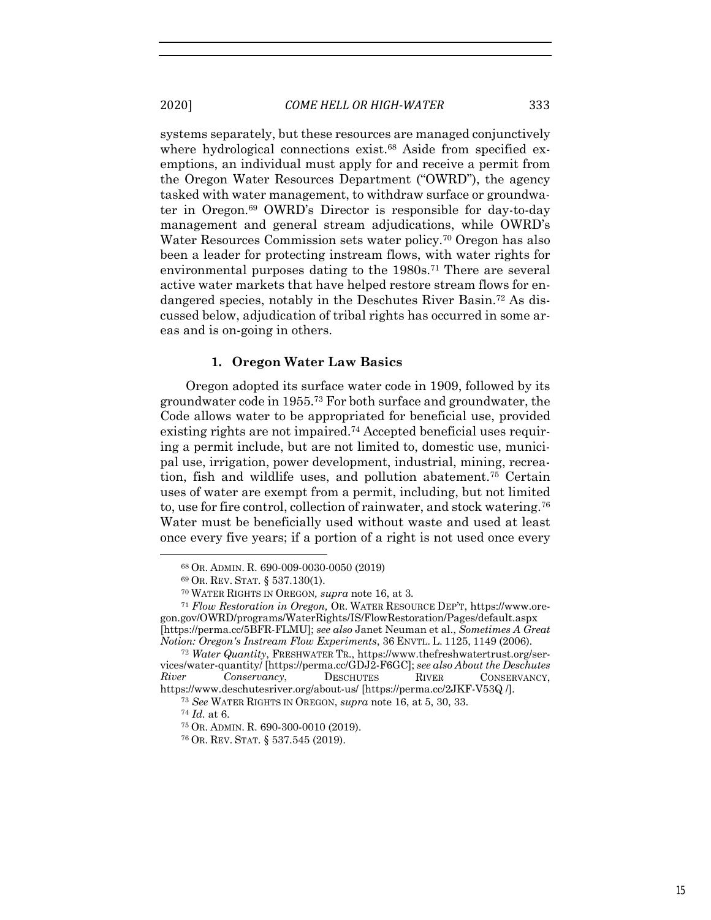systems separately, but these resources are managed conjunctively where hydrological connections exist.<sup>68</sup> Aside from specified exemptions, an individual must apply for and receive a permit from the Oregon Water Resources Department ("OWRD"), the agency tasked with water management, to withdraw surface or groundwater in Oregon.69 OWRD's Director is responsible for day-to-day management and general stream adjudications, while OWRD's Water Resources Commission sets water policy.<sup>70</sup> Oregon has also been a leader for protecting instream flows, with water rights for environmental purposes dating to the 1980s.<sup>71</sup> There are several active water markets that have helped restore stream flows for endangered species, notably in the Deschutes River Basin.72 As discussed below, adjudication of tribal rights has occurred in some areas and is on-going in others.

#### **1. Oregon Water Law Basics**

Oregon adopted its surface water code in 1909, followed by its groundwater code in 1955.73 For both surface and groundwater, the Code allows water to be appropriated for beneficial use, provided existing rights are not impaired.74 Accepted beneficial uses requiring a permit include, but are not limited to, domestic use, municipal use, irrigation, power development, industrial, mining, recreation, fish and wildlife uses, and pollution abatement.75 Certain uses of water are exempt from a permit, including, but not limited to, use for fire control, collection of rainwater, and stock watering.76 Water must be beneficially used without waste and used at least once every five years; if a portion of a right is not used once every

<sup>68</sup> OR. ADMIN. R. 690-009-0030-0050 (2019)

<sup>69</sup> OR. REV. STAT. § 537.130(1). 70 WATER RIGHTS IN OREGON*, supra* note 16, at 3*.*

<sup>71</sup> *Flow Restoration in Oregon,* OR. WATER RESOURCE DEP'T, https://www.oregon.gov/OWRD/programs/WaterRights/IS/FlowRestoration/Pages/default.aspx [https://perma.cc/5BFR-FLMU]; *see also* Janet Neuman et al., *Sometimes A Great Notion: Oregon's Instream Flow Experiments*, 36 ENVTL. L. 1125, 1149 (2006).

<sup>72</sup> *Water Quantity*, FRESHWATER TR., https://www.thefreshwatertrust.org/services/water-quantity/ [https://perma.cc/GDJ2-F6GC]; *see also About the Deschutes River Conservancy*, DESCHUTES RIVER CONSERVANCY, https://www.deschutesriver.org/about-us/ [https://perma.cc/2JKF-V53Q /].

<sup>73</sup> *See* WATER RIGHTS IN OREGON, *supra* note 16, at 5, 30, 33.

<sup>74</sup> *Id.* at 6.

<sup>75</sup> OR. ADMIN. R. 690-300-0010 (2019).

<sup>76</sup> OR. REV. STAT. § 537.545 (2019).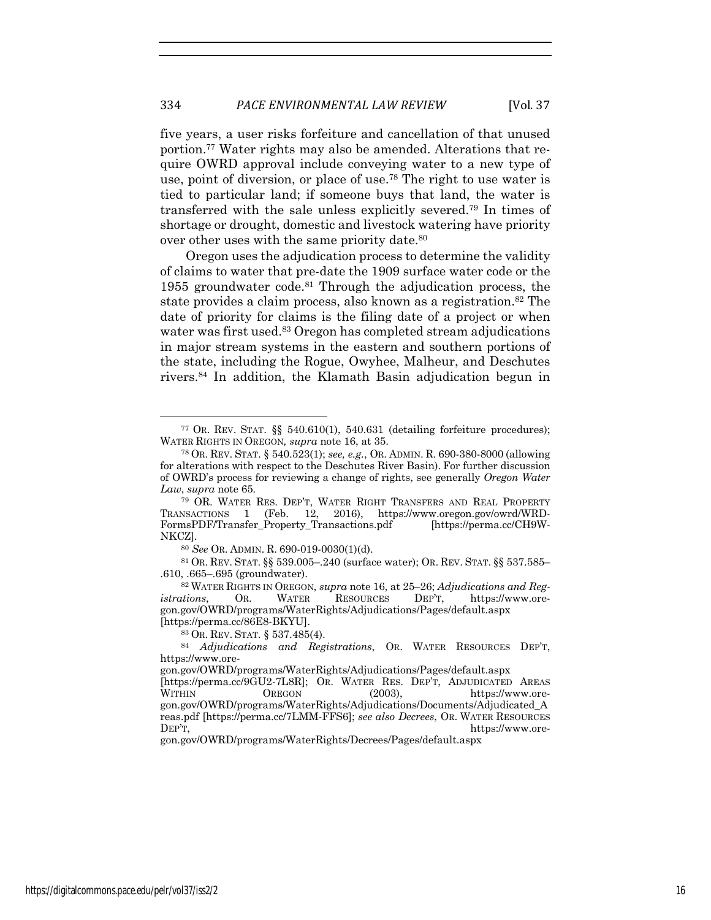five years, a user risks forfeiture and cancellation of that unused portion.77 Water rights may also be amended. Alterations that require OWRD approval include conveying water to a new type of use, point of diversion, or place of use.78 The right to use water is tied to particular land; if someone buys that land, the water is transferred with the sale unless explicitly severed.79 In times of shortage or drought, domestic and livestock watering have priority over other uses with the same priority date.<sup>80</sup>

Oregon uses the adjudication process to determine the validity of claims to water that pre-date the 1909 surface water code or the 1955 groundwater code. $81$  Through the adjudication process, the state provides a claim process, also known as a registration.<sup>82</sup> The date of priority for claims is the filing date of a project or when water was first used.<sup>83</sup> Oregon has completed stream adjudications in major stream systems in the eastern and southern portions of the state, including the Rogue, Owyhee, Malheur, and Deschutes rivers.84 In addition, the Klamath Basin adjudication begun in

gon.gov/OWRD/programs/WaterRights/Decrees/Pages/default.aspx

<sup>77</sup> OR. REV. STAT. §§ 540.610(1), 540.631 (detailing forfeiture procedures); WATER RIGHTS IN OREGON*, supra* note 16, at 35.

<sup>78</sup> OR. REV. STAT. § 540.523(1); *see, e.g.*, OR. ADMIN. R. 690-380-8000 (allowing for alterations with respect to the Deschutes River Basin). For further discussion of OWRD's process for reviewing a change of rights, see generally *Oregon Water Law*, *supra* note 65*.*

<sup>79</sup> OR. WATER RES. DEP'T, WATER RIGHT TRANSFERS AND REAL PROPERTY TRANSACTIONS 1 (Feb. 12, 2016), https://www.oregon.gov/owrd/WRD-FormsPDF/Transfer\_Property\_Transactions.pdf [https://perma.cc/CH9W-NKCZ]. 80 *See* OR. ADMIN. R. 690-019-0030(1)(d).

<sup>81</sup> OR. REV. STAT. §§ 539.005–.240 (surface water); OR. REV. STAT. §§ 537.585– .610, .665–.695 (groundwater). 82 WATER RIGHTS IN OREGON*, supra* note 16, at 25–26; *Adjudications and Reg-*

*istrations*, OR. WATER RESOURCES DEP'T, https://www.oregon.gov/OWRD/programs/WaterRights/Adjudications/Pages/default.aspx [https://perma.cc/86E8-BKYU].

<sup>83</sup> OR. REV. STAT. § 537.485(4).

<sup>84</sup> *Adjudications and Registrations*, OR. WATER RESOURCES DEP'T, https://www.ore-

gon.gov/OWRD/programs/WaterRights/Adjudications/Pages/default.aspx

<sup>[</sup>https://perma.cc/9GU2-7L8R]; OR. WATER RES. DEP'T, ADJUDICATED AREAS WITHIN OREGON (2003), https://www.oregon.gov/OWRD/programs/WaterRights/Adjudications/Documents/Adjudicated\_A reas.pdf [https://perma.cc/7LMM-FFS6]; *see also Decrees*, OR. WATER RESOURCES DEP'T, https://www.ore-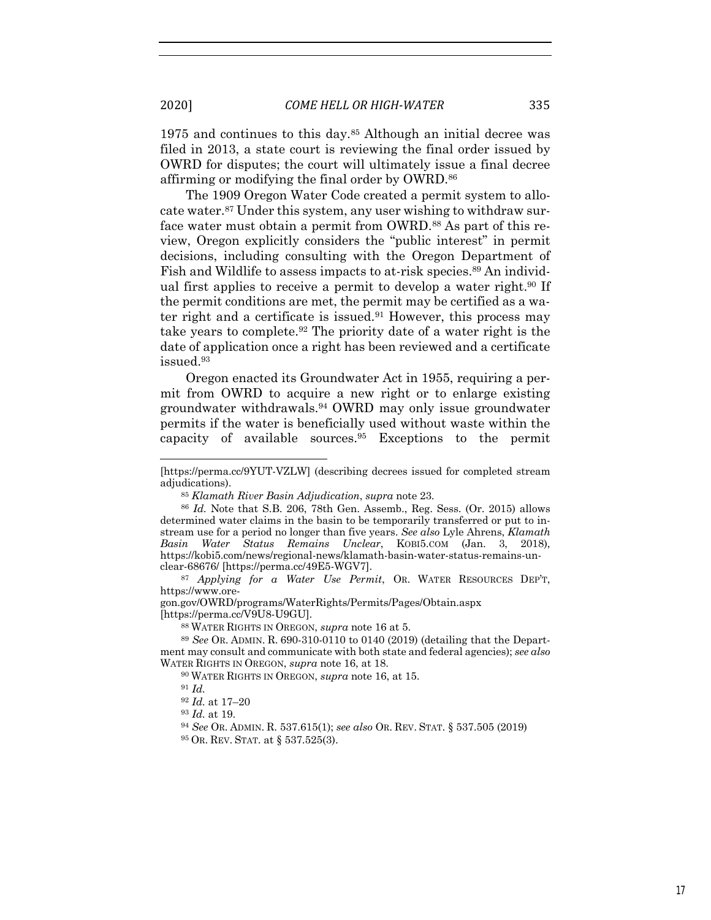1975 and continues to this day.85 Although an initial decree was filed in 2013, a state court is reviewing the final order issued by OWRD for disputes; the court will ultimately issue a final decree affirming or modifying the final order by OWRD.86

The 1909 Oregon Water Code created a permit system to allocate water.87 Under this system, any user wishing to withdraw surface water must obtain a permit from OWRD.<sup>88</sup> As part of this review, Oregon explicitly considers the "public interest" in permit decisions, including consulting with the Oregon Department of Fish and Wildlife to assess impacts to at-risk species.<sup>89</sup> An individual first applies to receive a permit to develop a water right.<sup>90</sup> If the permit conditions are met, the permit may be certified as a water right and a certificate is issued.91 However, this process may take years to complete.92 The priority date of a water right is the date of application once a right has been reviewed and a certificate issued.93

Oregon enacted its Groundwater Act in 1955, requiring a permit from OWRD to acquire a new right or to enlarge existing groundwater withdrawals.94 OWRD may only issue groundwater permits if the water is beneficially used without waste within the capacity of available sources.95 Exceptions to the permit

gon.gov/OWRD/programs/WaterRights/Permits/Pages/Obtain.aspx

 $88$  WATER RIGHTS IN OREGON, *supra* note 16 at 5.

<sup>89</sup> *See* OR. ADMIN. R. 690-310-0110 to 0140 (2019) (detailing that the Department may consult and communicate with both state and federal agencies); *see also* WATER RIGHTS IN OREGON, *supra* note 16, at 18.

<sup>90</sup> WATER RIGHTS IN OREGON, *supra* note 16, at 15.

<sup>94</sup> *See* OR. ADMIN. R. 537.615(1); *see also* OR. REV. STAT. § 537.505 (2019) <sup>95</sup> OR. REV. STAT. at § 537.525(3).

<sup>[</sup>https://perma.cc/9YUT-VZLW] (describing decrees issued for completed stream adjudications).

<sup>&</sup>lt;sup>85</sup> *Klamath River Basin Adjudication, supra* note 23.<br><sup>86</sup> *Id.* Note that S.B. 206, 78th Gen. Assemb., Reg. Sess. (Or. 2015) allows determined water claims in the basin to be temporarily transferred or put to instream use for a period no longer than five years. *See also* Lyle Ahrens, *Klamath Basin Water Status Remains Unclear*, KOBI5.COM (Jan. 3, 2018), https://kobi5.com/news/regional-news/klamath-basin-water-status-remains-unclear-68676/ [https://perma.cc/49E5-WGV7]. 87 *Applying for a Water Use Permit*, OR. WATER RESOURCES DEP'T,

https://www.ore-

<sup>91</sup> *Id.*

<sup>92</sup> *Id.* at 17–20

<sup>93</sup> *Id.* at 19.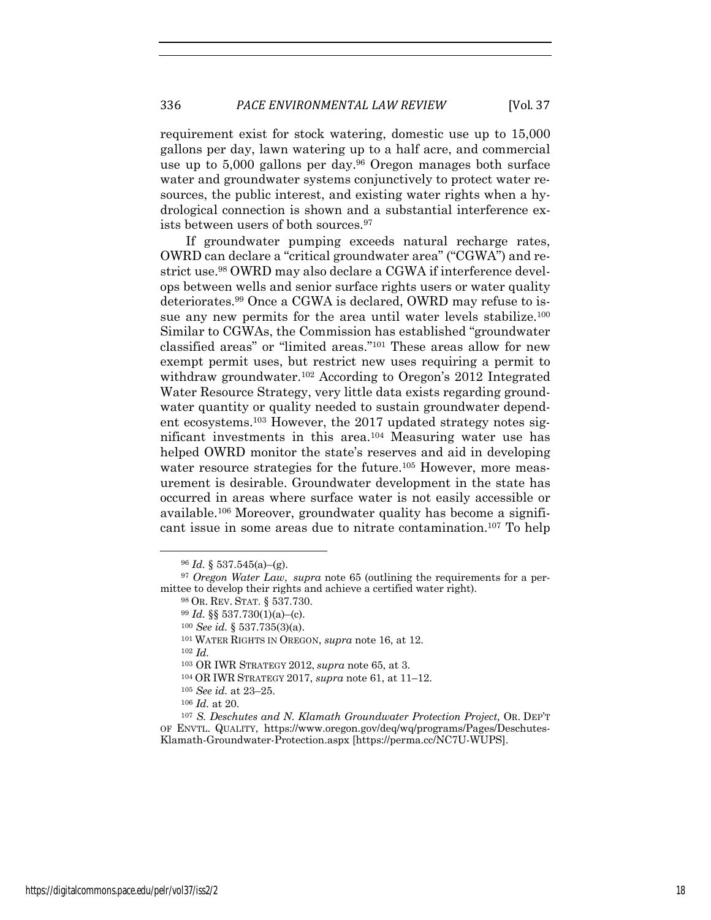requirement exist for stock watering, domestic use up to 15,000 gallons per day, lawn watering up to a half acre, and commercial use up to 5,000 gallons per day.<sup>96</sup> Oregon manages both surface water and groundwater systems conjunctively to protect water resources, the public interest, and existing water rights when a hydrological connection is shown and a substantial interference exists between users of both sources.97

If groundwater pumping exceeds natural recharge rates, OWRD can declare a "critical groundwater area" ("CGWA") and restrict use.98 OWRD may also declare a CGWA if interference develops between wells and senior surface rights users or water quality deteriorates.99 Once a CGWA is declared, OWRD may refuse to issue any new permits for the area until water levels stabilize.<sup>100</sup> Similar to CGWAs, the Commission has established "groundwater classified areas" or "limited areas."101 These areas allow for new exempt permit uses, but restrict new uses requiring a permit to withdraw groundwater.<sup>102</sup> According to Oregon's 2012 Integrated Water Resource Strategy, very little data exists regarding groundwater quantity or quality needed to sustain groundwater dependent ecosystems.103 However, the 2017 updated strategy notes significant investments in this area.104 Measuring water use has helped OWRD monitor the state's reserves and aid in developing water resource strategies for the future.<sup>105</sup> However, more measurement is desirable. Groundwater development in the state has occurred in areas where surface water is not easily accessible or available.106 Moreover, groundwater quality has become a significant issue in some areas due to nitrate contamination.107 To help

<sup>102</sup> *Id.*

 $96$  *Id.* § 537.545(a)–(g).

<sup>97</sup> *Oregon Water Law*, *supra* note 65 (outlining the requirements for a permittee to develop their rights and achieve a certified water right).<br><sup>98</sup> OR. REV. STAT. § 537.730.

<sup>99</sup> *Id.* §§ 537.730(1)(a)–(c).

<sup>100</sup> *See id.* § 537.735(3)(a).

<sup>101</sup> WATER RIGHTS IN OREGON, *supra* note 16, at 12.

<sup>103</sup> OR IWR STRATEGY 2012, *supra* note 65, at 3.

<sup>104</sup> OR IWR STRATEGY 2017, *supra* note 61, at 11–12. 105 *See id.* at 23–25.

<sup>106</sup> *Id.* at 20. 107 *S. Deschutes and N. Klamath Groundwater Protection Project,* OR. DEP'T OF ENVTL. QUALITY, https://www.oregon.gov/deq/wq/programs/Pages/Deschutes-Klamath-Groundwater-Protection.aspx [https://perma.cc/NC7U-WUPS].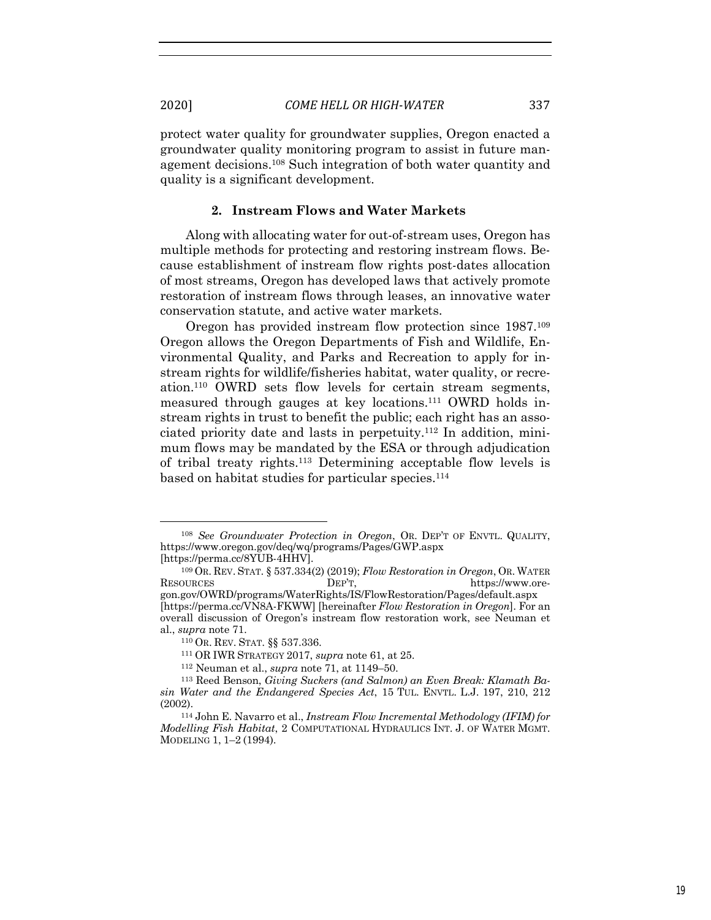protect water quality for groundwater supplies, Oregon enacted a groundwater quality monitoring program to assist in future management decisions.108 Such integration of both water quantity and quality is a significant development.

# **2. Instream Flows and Water Markets**

Along with allocating water for out-of-stream uses, Oregon has multiple methods for protecting and restoring instream flows. Because establishment of instream flow rights post-dates allocation of most streams, Oregon has developed laws that actively promote restoration of instream flows through leases, an innovative water conservation statute, and active water markets.

Oregon has provided instream flow protection since 1987.109 Oregon allows the Oregon Departments of Fish and Wildlife, Environmental Quality, and Parks and Recreation to apply for instream rights for wildlife/fisheries habitat, water quality, or recreation.110 OWRD sets flow levels for certain stream segments, measured through gauges at key locations.111 OWRD holds instream rights in trust to benefit the public; each right has an associated priority date and lasts in perpetuity.112 In addition, minimum flows may be mandated by the ESA or through adjudication of tribal treaty rights.113 Determining acceptable flow levels is based on habitat studies for particular species.114

<sup>108</sup> *See Groundwater Protection in Oregon*, OR. DEP'T OF ENVTL. QUALITY, https://www.oregon.gov/deq/wq/programs/Pages/GWP.aspx [https://perma.cc/8YUB-4HHV].

<sup>109</sup> OR. REV. STAT. § 537.334(2) (2019); *Flow Restoration in Oregon*, OR. WATER RESOURCES DEP'T, https://www.oregon.gov/OWRD/programs/WaterRights/IS/FlowRestoration/Pages/default.aspx [https://perma.cc/VN8A-FKWW] [hereinafter *Flow Restoration in Oregon*]. For an overall discussion of Oregon's instream flow restoration work, see Neuman et al., *supra* note 71.

<sup>110</sup> OR. REV. STAT. §§ 537.336.

<sup>111</sup> OR IWR STRATEGY 2017, *supra* note 61, at 25.

<sup>112</sup> Neuman et al., *supra* note 71, at 1149–50.

<sup>113</sup> Reed Benson, *Giving Suckers (and Salmon) an Even Break: Klamath Basin Water and the Endangered Species Act*, 15 TUL. ENVTL. L.J. 197, 210, 212 (2002).

<sup>114</sup> John E. Navarro et al., *Instream Flow Incremental Methodology (IFIM) for Modelling Fish Habitat*, 2 COMPUTATIONAL HYDRAULICS INT. J. OF WATER MGMT. MODELING 1, 1–2 (1994).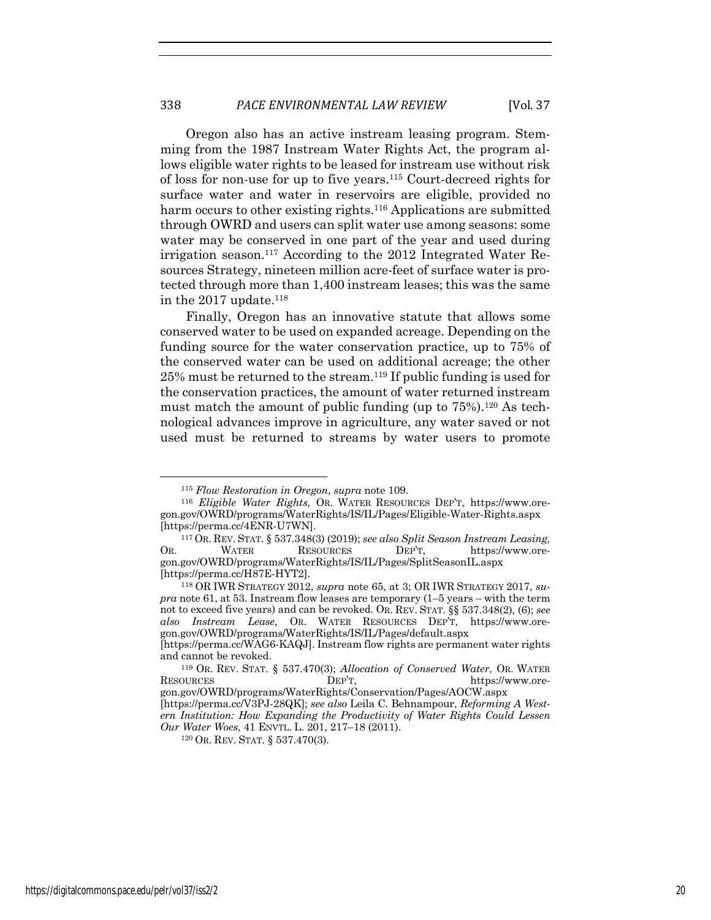Oregon also has an active instream leasing program. Stemming from the 1987 Instream Water Rights Act, the program allows eligible water rights to be leased for instream use without risk of loss for non-use for up to five years.115 Court-decreed rights for surface water and water in reservoirs are eligible, provided no harm occurs to other existing rights.<sup>116</sup> Applications are submitted through OWRD and users can split water use among seasons: some water may be conserved in one part of the year and used during irrigation season.117 According to the 2012 Integrated Water Resources Strategy, nineteen million acre-feet of surface water is protected through more than 1,400 instream leases; this was the same in the 2017 update. $118$ 

Finally, Oregon has an innovative statute that allows some conserved water to be used on expanded acreage. Depending on the funding source for the water conservation practice, up to 75% of the conserved water can be used on additional acreage; the other 25% must be returned to the stream.119 If public funding is used for the conservation practices, the amount of water returned instream must match the amount of public funding (up to  $75\%$ ).<sup>120</sup> As technological advances improve in agriculture, any water saved or not used must be returned to streams by water users to promote

<sup>115</sup> *Flow Restoration in Oregon*, *supra* note 109.

<sup>116</sup> *Eligible Water Rights,* OR. WATER RESOURCES DEP'T, https://www.oregon.gov/OWRD/programs/WaterRights/IS/IL/Pages/Eligible-Water-Rights.aspx [https://perma.cc/4ENR-U7WN]. 117 OR. REV. STAT. § 537.348(3) (2019); *see also Split Season Instream Leasing,* 

OR. WATER RESOURCES DEP'T, https://www.oregon.gov/OWRD/programs/WaterRights/IS/IL/Pages/SplitSeasonIL.aspx [https://perma.cc/H87E-HYT2].

<sup>118</sup> OR IWR STRATEGY 2012, *supra* note 65, at 3; OR IWR STRATEGY 2017, *supra* note 61, at 53. Instream flow leases are temporary (1–5 years – with the term not to exceed five years) and can be revoked. OR. REV. STAT. §§ 537.348(2), (6); *see also Instream Lease*, OR. WATER RESOURCES DEP'T, https://www.oregon.gov/OWRD/programs/WaterRights/IS/IL/Pages/default.aspx

<sup>[</sup>https://perma.cc/WAG6-KAQJ]. Instream flow rights are permanent water rights and cannot be revoked. 119 OR. REV. STAT. § 537.470(3); *Allocation of Conserved Water*, OR. WATER

RESOURCES DEP'T, https://www.oregon.gov/OWRD/programs/WaterRights/Conservation/Pages/AOCW.aspx

<sup>[</sup>https://perma.cc/V3PJ-28QK]; *see also* Leila C. Behnampour, *Reforming A West-*

*ern Institution: How Expanding the Productivity of Water Rights Could Lessen Our Water Woes*, 41 ENVTL. L. 201, 217–18 (2011).

<sup>120</sup> OR. REV. STAT. § 537.470(3).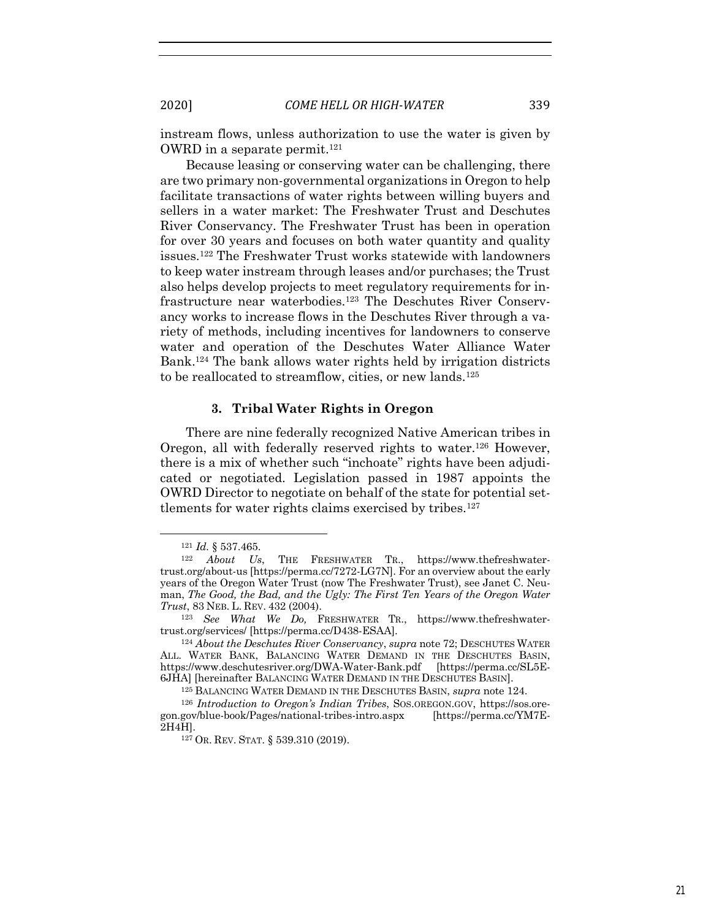instream flows, unless authorization to use the water is given by OWRD in a separate permit.<sup>121</sup>

Because leasing or conserving water can be challenging, there are two primary non-governmental organizations in Oregon to help facilitate transactions of water rights between willing buyers and sellers in a water market: The Freshwater Trust and Deschutes River Conservancy. The Freshwater Trust has been in operation for over 30 years and focuses on both water quantity and quality issues.122 The Freshwater Trust works statewide with landowners to keep water instream through leases and/or purchases; the Trust also helps develop projects to meet regulatory requirements for infrastructure near waterbodies.123 The Deschutes River Conservancy works to increase flows in the Deschutes River through a variety of methods, including incentives for landowners to conserve water and operation of the Deschutes Water Alliance Water Bank.124 The bank allows water rights held by irrigation districts to be reallocated to streamflow, cities, or new lands.<sup>125</sup>

# **3. Tribal Water Rights in Oregon**

There are nine federally recognized Native American tribes in Oregon, all with federally reserved rights to water.<sup>126</sup> However, there is a mix of whether such "inchoate" rights have been adjudicated or negotiated. Legislation passed in 1987 appoints the OWRD Director to negotiate on behalf of the state for potential settlements for water rights claims exercised by tribes.<sup>127</sup>

<sup>121</sup> *Id.* § 537.465.

<sup>122</sup> *About Us*, THE FRESHWATER TR., https://www.thefreshwatertrust.org/about-us [https://perma.cc/7272-LG7N]. For an overview about the early years of the Oregon Water Trust (now The Freshwater Trust), see Janet C. Neuman, *The Good, the Bad, and the Ugly: The First Ten Years of the Oregon Water Trust*, 83 NEB. L. REV. <sup>432</sup> (2004). 123 *See What We Do,* FRESHWATER TR., https://www.thefreshwater-

trust.org/services/ [https://perma.cc/D438-ESAA].

<sup>124</sup> *About the Deschutes River Conservancy*, *supra* note 72; DESCHUTES WATER ALL. WATER BANK, BALANCING WATER DEMAND IN THE DESCHUTES BASIN, https://www.deschutesriver.org/DWA-Water-Bank.pdf [https://perma.cc/SL5E-6JHA] [hereinafter BALANCING WATER DEMAND IN THE DESCHUTES BASIN].

<sup>125</sup> BALANCING WATER DEMAND IN THE DESCHUTES BASIN, *supra* note 124.

<sup>126</sup> *Introduction to Oregon's Indian Tribes*, SOS.OREGON.GOV, https://sos.oregon.gov/blue-book/Pages/national-tribes-intro.aspx [https://perma.cc/YM7E-2H4H].

<sup>127</sup> OR. REV. STAT. § 539.310 (2019).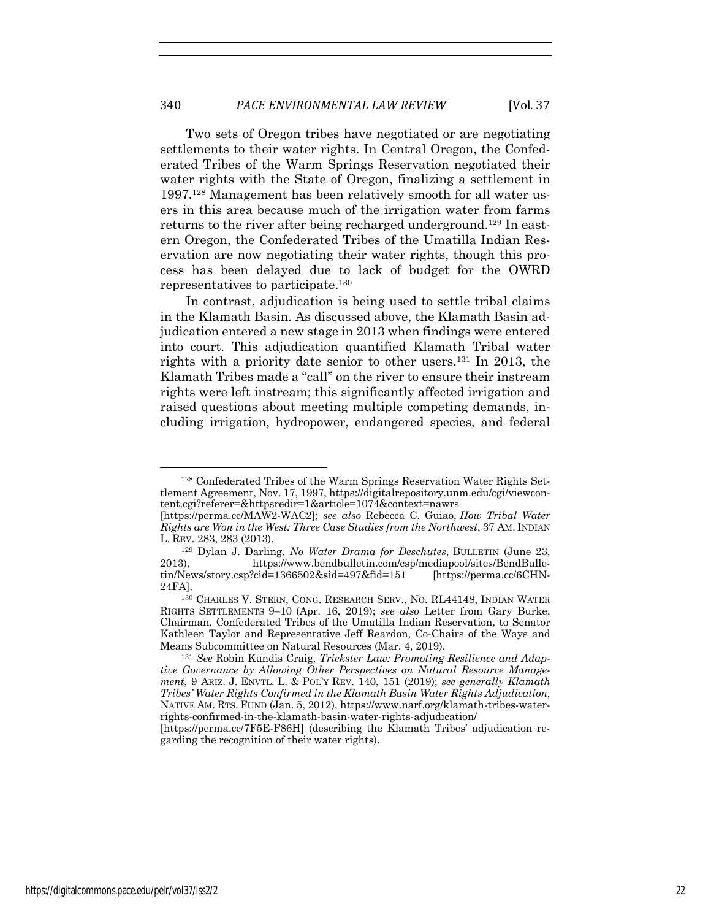Two sets of Oregon tribes have negotiated or are negotiating settlements to their water rights. In Central Oregon, the Confederated Tribes of the Warm Springs Reservation negotiated their water rights with the State of Oregon, finalizing a settlement in 1997.128 Management has been relatively smooth for all water users in this area because much of the irrigation water from farms returns to the river after being recharged underground.129 In eastern Oregon, the Confederated Tribes of the Umatilla Indian Reservation are now negotiating their water rights, though this process has been delayed due to lack of budget for the OWRD representatives to participate.130

In contrast, adjudication is being used to settle tribal claims in the Klamath Basin. As discussed above, the Klamath Basin adjudication entered a new stage in 2013 when findings were entered into court. This adjudication quantified Klamath Tribal water rights with a priority date senior to other users.131 In 2013, the Klamath Tribes made a "call" on the river to ensure their instream rights were left instream; this significantly affected irrigation and raised questions about meeting multiple competing demands, including irrigation, hydropower, endangered species, and federal

<sup>128</sup> Confederated Tribes of the Warm Springs Reservation Water Rights Settlement Agreement, Nov. 17, 1997, https://digitalrepository.unm.edu/cgi/viewcontent.cgi?referer=&httpsredir=1&article=1074&context=nawrs

<sup>[</sup>https://perma.cc/MAW2-WAC2]; *see also* Rebecca C. Guiao, *How Tribal Water Rights are Won in the West: Three Case Studies from the Northwest*, 37 AM. INDIAN L. REV. 283, 283 (2013).

<sup>129</sup> Dylan J. Darling, *No Water Drama for Deschutes*, BULLETIN (June 23, 2013), https://www.bendbulletin.com/csp/mediapool/sites/BendBulletin/News/story.csp?cid=1366502&sid=497&fid=151 [https://perma.cc/6CHN-24FA].

<sup>130</sup> CHARLES V. STERN, CONG. RESEARCH SERV., NO. RL44148, INDIAN WATER RIGHTS SETTLEMENTS 9–10 (Apr. 16, 2019); *see also* Letter from Gary Burke, Chairman, Confederated Tribes of the Umatilla Indian Reservation, to Senator Kathleen Taylor and Representative Jeff Reardon, Co-Chairs of the Ways and Means Subcommittee on Natural Resources (Mar. 4, 2019). 131 *See* Robin Kundis Craig, *Trickster Law: Promoting Resilience and Adap-*

*tive Governance by Allowing Other Perspectives on Natural Resource Management*, 9 ARIZ. J. ENVTL. L. & POL'Y REV. 140, 151 (2019); *see generally Klamath Tribes' Water Rights Confirmed in the Klamath Basin Water Rights Adjudication*, NATIVE AM. RTS. FUND (Jan. 5, 2012), https://www.narf.org/klamath-tribes-waterrights-confirmed-in-the-klamath-basin-water-rights-adjudication/

<sup>[</sup>https://perma.cc/7F5E-F86H] (describing the Klamath Tribes' adjudication regarding the recognition of their water rights).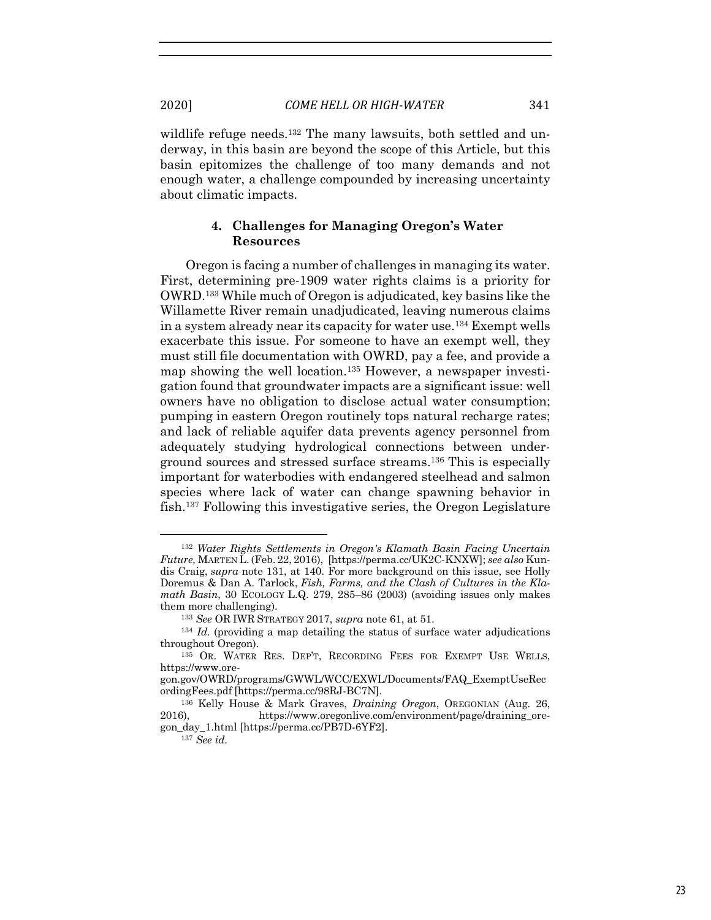wildlife refuge needs.<sup>132</sup> The many lawsuits, both settled and underway, in this basin are beyond the scope of this Article, but this basin epitomizes the challenge of too many demands and not enough water, a challenge compounded by increasing uncertainty about climatic impacts.

# **4. Challenges for Managing Oregon's Water Resources**

Oregon is facing a number of challenges in managing its water. First, determining pre-1909 water rights claims is a priority for OWRD.133 While much of Oregon is adjudicated, key basins like the Willamette River remain unadjudicated, leaving numerous claims in a system already near its capacity for water use.134 Exempt wells exacerbate this issue. For someone to have an exempt well, they must still file documentation with OWRD, pay a fee, and provide a map showing the well location.135 However, a newspaper investigation found that groundwater impacts are a significant issue: well owners have no obligation to disclose actual water consumption; pumping in eastern Oregon routinely tops natural recharge rates; and lack of reliable aquifer data prevents agency personnel from adequately studying hydrological connections between underground sources and stressed surface streams.136 This is especially important for waterbodies with endangered steelhead and salmon species where lack of water can change spawning behavior in fish.137 Following this investigative series, the Oregon Legislature

<sup>132</sup> *Water Rights Settlements in Oregon's Klamath Basin Facing Uncertain Future,* MARTEN L. (Feb. 22, 2016), [https://perma.cc/UK2C-KNXW]; *see also* Kundis Craig, *supra* note 131, at 140. For more background on this issue, see Holly Doremus & Dan A. Tarlock, *Fish, Farms, and the Clash of Cultures in the Klamath Basin*, 30 ECOLOGY L.Q. 279, 285–86 (2003) (avoiding issues only makes them more challenging).

<sup>133</sup> *See* OR IWR STRATEGY 2017, *supra* note 61, at 51.

<sup>134</sup> *Id.* (providing a map detailing the status of surface water adjudications throughout Oregon).

<sup>135</sup> OR. WATER RES. DEP'T, RECORDING FEES FOR EXEMPT USE WELLS, https://www.ore-

gon.gov/OWRD/programs/GWWL/WCC/EXWL/Documents/FAQ\_ExemptUseRec ordingFees.pdf [https://perma.cc/98RJ-BC7N].

<sup>136</sup> Kelly House & Mark Graves, *Draining Oregon*, OREGONIAN (Aug. 26, 2016), https://www.oregonlive.com/environment/page/draining\_oregon\_day\_1.html [https://perma.cc/PB7D-6YF2].

<sup>137</sup> *See id.*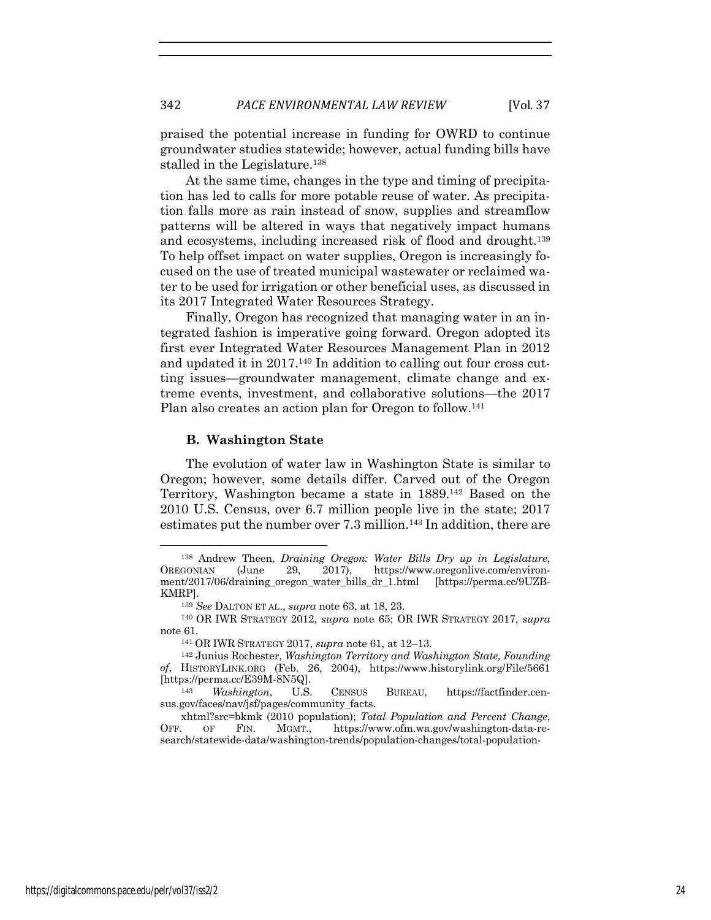praised the potential increase in funding for OWRD to continue groundwater studies statewide; however, actual funding bills have stalled in the Legislature.138

At the same time, changes in the type and timing of precipitation has led to calls for more potable reuse of water. As precipitation falls more as rain instead of snow, supplies and streamflow patterns will be altered in ways that negatively impact humans and ecosystems, including increased risk of flood and drought.139 To help offset impact on water supplies, Oregon is increasingly focused on the use of treated municipal wastewater or reclaimed water to be used for irrigation or other beneficial uses, as discussed in its 2017 Integrated Water Resources Strategy.

Finally, Oregon has recognized that managing water in an integrated fashion is imperative going forward. Oregon adopted its first ever Integrated Water Resources Management Plan in 2012 and updated it in 2017.140 In addition to calling out four cross cutting issues—groundwater management, climate change and extreme events, investment, and collaborative solutions—the 2017 Plan also creates an action plan for Oregon to follow.<sup>141</sup>

#### **B. Washington State**

The evolution of water law in Washington State is similar to Oregon; however, some details differ. Carved out of the Oregon Territory, Washington became a state in 1889.142 Based on the 2010 U.S. Census, over 6.7 million people live in the state; 2017 estimates put the number over 7.3 million.<sup>143</sup> In addition, there are

<sup>138</sup> Andrew Theen, *Draining Oregon: Water Bills Dry up in Legislature*, OREGONIAN (June 29, 2017), https://www.oregonlive.com/environment/2017/06/draining\_oregon\_water\_bills\_dr\_1.html [https://perma.cc/9UZB-KMRP].

<sup>139</sup> *See* DALTON ET AL., *supra* note 63, at 18, 23.

<sup>140</sup> OR IWR STRATEGY 2012, *supra* note 65; OR IWR STRATEGY 2017, *supra*  note 61. 141 OR IWR STRATEGY 2017, *supra* note 61, at 12–13.

<sup>142</sup> Junius Rochester, *Washington Territory and Washington State, Founding of*, HISTORYLINK.ORG (Feb. 26, 2004), https://www.historylink.org/File/5661 [https://perma.cc/E39M-8N5Q].

<sup>143</sup> *Washington*, U.S. CENSUS BUREAU, https://factfinder.census.gov/faces/nav/jsf/pages/community\_facts.

xhtml?src=bkmk (2010 population); *Total Population and Percent Change*, OFF. OF FIN. MGMT., https://www.ofm.wa.gov/washington-data-research/statewide-data/washington-trends/population-changes/total-population-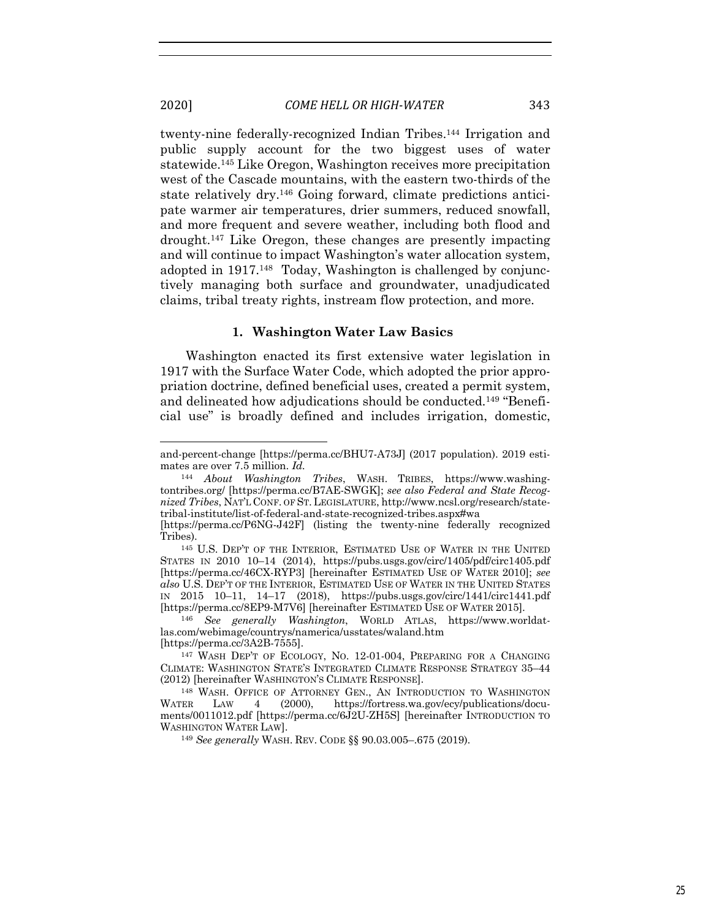twenty-nine federally-recognized Indian Tribes.144 Irrigation and public supply account for the two biggest uses of water statewide.145 Like Oregon, Washington receives more precipitation west of the Cascade mountains, with the eastern two-thirds of the state relatively dry.146 Going forward, climate predictions anticipate warmer air temperatures, drier summers, reduced snowfall, and more frequent and severe weather, including both flood and drought.147 Like Oregon, these changes are presently impacting and will continue to impact Washington's water allocation system, adopted in 1917.<sup>148</sup> Today, Washington is challenged by conjunctively managing both surface and groundwater, unadjudicated claims, tribal treaty rights, instream flow protection, and more.

### **1. Washington Water Law Basics**

Washington enacted its first extensive water legislation in 1917 with the Surface Water Code, which adopted the prior appropriation doctrine, defined beneficial uses, created a permit system, and delineated how adjudications should be conducted.149 "Beneficial use" is broadly defined and includes irrigation, domestic,

<sup>146</sup> See generally Washington, WORLD ATLAS, https://www.worldatlas.com/webimage/countrys/namerica/usstates/waland.htm

<sup>149</sup> *See generally* WASH. REV. CODE §§ 90.03.005–.675 (2019).

and-percent-change [https://perma.cc/BHU7-A73J] (2017 population). 2019 estimates are over 7.5 million. *Id.*

<sup>144</sup> *About Washington Tribes*, WASH. TRIBES, https://www.washingtontribes.org/ [https://perma.cc/B7AE-SWGK]; *see also Federal and State Recognized Tribes*, NAT'L CONF. OF ST.LEGISLATURE, http://www.ncsl.org/research/statetribal-institute/list-of-federal-and-state-recognized-tribes.aspx#wa

<sup>[</sup>https://perma.cc/P6NG-J42F] (listing the twenty-nine federally recognized Tribes). 145 U.S. DEP'T OF THE INTERIOR, ESTIMATED USE OF WATER IN THE UNITED

STATES IN 2010 10–14 (2014), https://pubs.usgs.gov/circ/1405/pdf/circ1405.pdf [https://perma.cc/46CX-RYP3] [hereinafter ESTIMATED USE OF WATER 2010]; *see also* U.S. DEP'T OF THE INTERIOR, ESTIMATED USE OF WATER IN THE UNITED STATES IN 2015 10–11, 14–17 (2018), https://pubs.usgs.gov/circ/1441/circ1441.pdf

<sup>[</sup>https://perma.cc/3A2B-7555]. 147 WASH DEP'T OF ECOLOGY, NO. 12-01-004, PREPARING FOR A CHANGING CLIMATE: WASHINGTON STATE'S INTEGRATED CLIMATE RESPONSE STRATEGY 35–44 (2012) [hereinafter WASHINGTON'S CLIMATE RESPONSE].

<sup>148</sup> WASH. OFFICE OF ATTORNEY GEN., AN INTRODUCTION TO WASHINGTON WATER LAW 4 (2000), https://fortress.wa.gov/ecy/publications/documents/0011012.pdf [https://perma.cc/6J2U-ZH5S] [hereinafter INTRODUCTION TO WASHINGTON WATER LAW].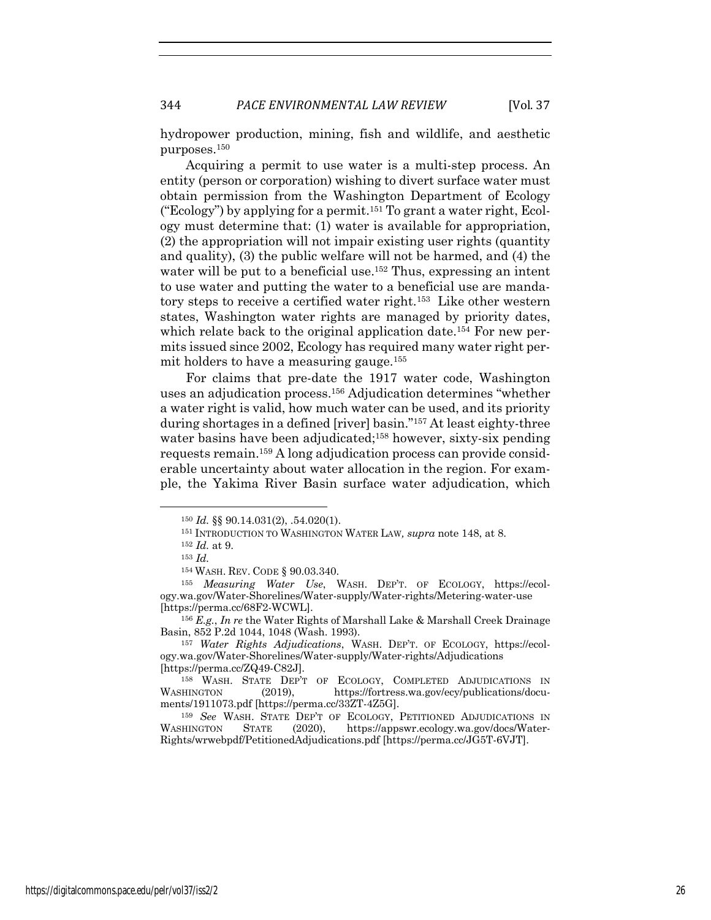hydropower production, mining, fish and wildlife, and aesthetic purposes.150

Acquiring a permit to use water is a multi-step process. An entity (person or corporation) wishing to divert surface water must obtain permission from the Washington Department of Ecology ("Ecology") by applying for a permit.151 To grant a water right, Ecology must determine that: (1) water is available for appropriation, (2) the appropriation will not impair existing user rights (quantity and quality), (3) the public welfare will not be harmed, and (4) the water will be put to a beneficial use.<sup>152</sup> Thus, expressing an intent to use water and putting the water to a beneficial use are mandatory steps to receive a certified water right.153 Like other western states, Washington water rights are managed by priority dates, which relate back to the original application date.<sup>154</sup> For new permits issued since 2002, Ecology has required many water right permit holders to have a measuring gauge.155

For claims that pre-date the 1917 water code, Washington uses an adjudication process.156 Adjudication determines "whether a water right is valid, how much water can be used, and its priority during shortages in a defined [river] basin."157 At least eighty-three water basins have been adjudicated;<sup>158</sup> however, sixty-six pending requests remain.159 A long adjudication process can provide considerable uncertainty about water allocation in the region. For example, the Yakima River Basin surface water adjudication, which

<sup>150</sup> *Id.* §§ 90.14.031(2), .54.020(1).

<sup>151</sup> INTRODUCTION TO WASHINGTON WATER LAW*, supra* note 148, at 8.

<sup>152</sup> *Id.* at 9. 153 *Id.*

<sup>154</sup> WASH. REV. CODE § 90.03.340.

<sup>155</sup> *Measuring Water Use*, WASH. DEP'T. OF ECOLOGY, https://ecology.wa.gov/Water-Shorelines/Water-supply/Water-rights/Metering-water-use [https://perma.cc/68F2-WCWL].

<sup>156</sup> *E.g.*, *In re* the Water Rights of Marshall Lake & Marshall Creek Drainage Basin, 852 P.2d 1044, 1048 (Wash. 1993).

<sup>157</sup> *Water Rights Adjudications*, WASH. DEP'T. OF ECOLOGY, https://ecology.wa.gov/Water-Shorelines/Water-supply/Water-rights/Adjudications [https://perma.cc/ZQ49-C82J].

<sup>158</sup> WASH. STATE DEP'T OF ECOLOGY, COMPLETED ADJUDICATIONS IN WASHINGTON  $(2019)$ , https://fortress.wa.gov/ecy/publications/documents/1911073.pdf [https://perma.cc/33ZT-4Z5G].

<sup>&</sup>lt;sup>159</sup> *See* WASH. STATE DEP'T OF ECOLOGY, PETITIONED ADJUDICATIONS IN WASHINGTON STATE (2020), https://appswr.ecology.wa.gov/docs/Water-STATE (2020), https://appswr.ecology.wa.gov/docs/Water-Rights/wrwebpdf/PetitionedAdjudications.pdf [https://perma.cc/JG5T-6VJT].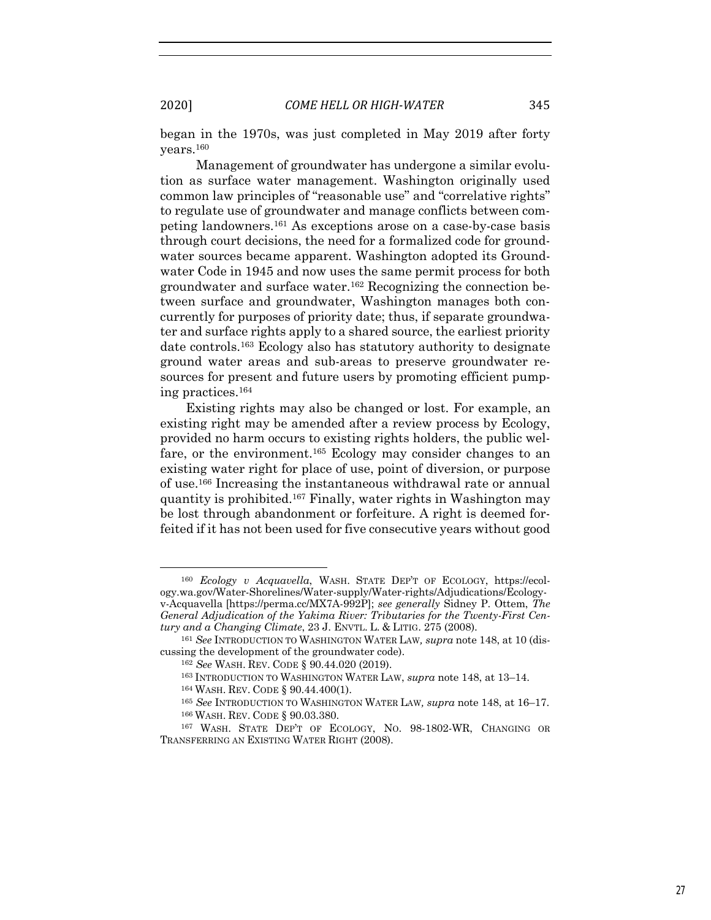began in the 1970s, was just completed in May 2019 after forty years.160

Management of groundwater has undergone a similar evolution as surface water management. Washington originally used common law principles of "reasonable use" and "correlative rights" to regulate use of groundwater and manage conflicts between competing landowners.161 As exceptions arose on a case-by-case basis through court decisions, the need for a formalized code for groundwater sources became apparent. Washington adopted its Groundwater Code in 1945 and now uses the same permit process for both groundwater and surface water.162 Recognizing the connection between surface and groundwater, Washington manages both concurrently for purposes of priority date; thus, if separate groundwater and surface rights apply to a shared source, the earliest priority date controls.163 Ecology also has statutory authority to designate ground water areas and sub-areas to preserve groundwater resources for present and future users by promoting efficient pumping practices.164

Existing rights may also be changed or lost. For example, an existing right may be amended after a review process by Ecology, provided no harm occurs to existing rights holders, the public welfare, or the environment.165 Ecology may consider changes to an existing water right for place of use, point of diversion, or purpose of use.166 Increasing the instantaneous withdrawal rate or annual quantity is prohibited.167 Finally, water rights in Washington may be lost through abandonment or forfeiture. A right is deemed forfeited if it has not been used for five consecutive years without good

<sup>160</sup> *Ecology v Acquavella*, WASH. STATE DEP'T OF ECOLOGY, https://ecology.wa.gov/Water-Shorelines/Water-supply/Water-rights/Adjudications/Ecologyv-Acquavella [https://perma.cc/MX7A-992P]; *see generally* Sidney P. Ottem, *The General Adjudication of the Yakima River: Tributaries for the Twenty-First Cen-*

<sup>&</sup>lt;sup>161</sup> See INTRODUCTION TO WASHINGTON WATER LAW, supra note 148, at 10 (discussing the development of the groundwater code).

<sup>162</sup> *See* WASH. REV. CODE § 90.44.020 (2019).

<sup>163</sup> INTRODUCTION TO WASHINGTON WATER LAW, *supra* note 148, at 13–14.

<sup>164</sup> WASH. REV. CODE § 90.44.400(1).

<sup>165</sup> *See* INTRODUCTION TO WASHINGTON WATER LAW*, supra* note 148, at 16–17. <sup>166</sup> WASH. REV. CODE § 90.03.380.

<sup>167</sup> WASH. STATE DEP'T OF ECOLOGY, NO. 98-1802-WR, CHANGING OR TRANSFERRING AN EXISTING WATER RIGHT (2008).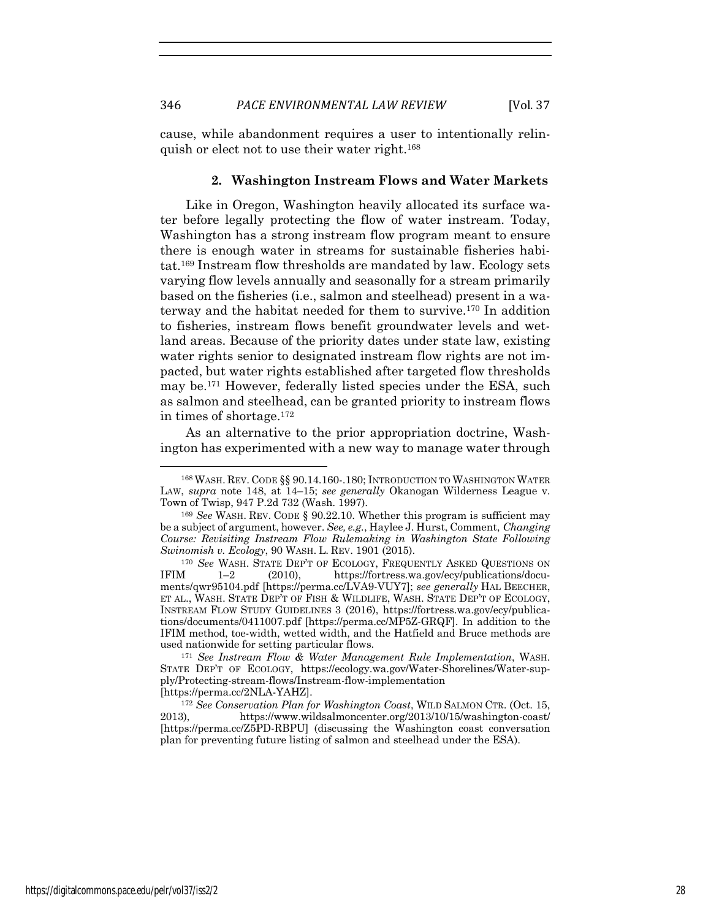cause, while abandonment requires a user to intentionally relinquish or elect not to use their water right.168

#### **2. Washington Instream Flows and Water Markets**

Like in Oregon, Washington heavily allocated its surface water before legally protecting the flow of water instream. Today, Washington has a strong instream flow program meant to ensure there is enough water in streams for sustainable fisheries habitat.169 Instream flow thresholds are mandated by law. Ecology sets varying flow levels annually and seasonally for a stream primarily based on the fisheries (i.e., salmon and steelhead) present in a waterway and the habitat needed for them to survive.170 In addition to fisheries, instream flows benefit groundwater levels and wetland areas. Because of the priority dates under state law, existing water rights senior to designated instream flow rights are not impacted, but water rights established after targeted flow thresholds may be.171 However, federally listed species under the ESA, such as salmon and steelhead, can be granted priority to instream flows in times of shortage.172

As an alternative to the prior appropriation doctrine, Washington has experimented with a new way to manage water through

<sup>168</sup> WASH. REV. CODE §§ 90.14.160-.180; INTRODUCTION TO WASHINGTON WATER LAW, *supra* note 148, at 14–15; *see generally* Okanogan Wilderness League v. Town of Twisp, 947 P.2d 732 (Wash. 1997).

<sup>&</sup>lt;sup>169</sup> See WASH. REV. CODE § 90.22.10. Whether this program is sufficient may be a subject of argument, however. *See, e.g.*, Haylee J. Hurst, Comment, *Changing Course: Revisiting Instream Flow Rulemaking in Washington State Following Swinomish v. Ecology*, 90 WASH. L. REV. 1901 (2015).

<sup>&</sup>lt;sup>170</sup> *See* WASH. STATE DEP'T OF ECOLOGY, FREQUENTLY ASKED QUESTIONS ON IFIM 1-2 (2010), https://fortress.wa.gov/ecy/publications/docu-(2010), https://fortress.wa.gov/ecy/publications/documents/qwr95104.pdf [https://perma.cc/LVA9-VUY7]; *see generally* HAL BEECHER, ET AL., WASH. STATE DEP'T OF FISH & WILDLIFE, WASH. STATE DEP'T OF ECOLOGY, INSTREAM FLOW STUDY GUIDELINES 3 (2016), https://fortress.wa.gov/ecy/publications/documents/0411007.pdf [https://perma.cc/MP5Z-GRQF]. In addition to the IFIM method, toe-width, wetted width, and the Hatfield and Bruce methods are used nationwide for setting particular flows.

<sup>171</sup> *See Instream Flow & Water Management Rule Implementation*, WASH. STATE DEP'T OF ECOLOGY, https://ecology.wa.gov/Water-Shorelines/Water-supply/Protecting-stream-flows/Instream-flow-implementation [https://perma.cc/2NLA-YAHZ].

<sup>172</sup> *See Conservation Plan for Washington Coast*, WILD SALMON CTR. (Oct. 15, 2013), https://www.wildsalmoncenter.org/2013/10/15/washington-coast/ [https://perma.cc/Z5PD-RBPU] (discussing the Washington coast conversation plan for preventing future listing of salmon and steelhead under the ESA).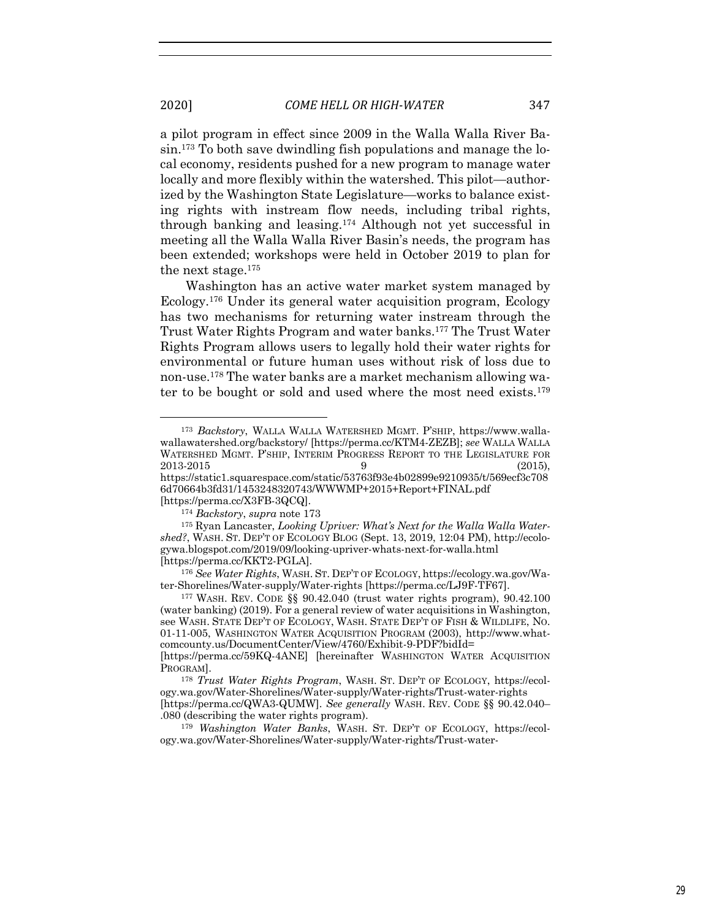2020] *COME HELL OR HIGH-WATER* 347

a pilot program in effect since 2009 in the Walla Walla River Basin. <sup>173</sup> To both save dwindling fish populations and manage the local economy, residents pushed for a new program to manage water locally and more flexibly within the watershed. This pilot—authorized by the Washington State Legislature—works to balance existing rights with instream flow needs, including tribal rights, through banking and leasing.174 Although not yet successful in meeting all the Walla Walla River Basin's needs, the program has been extended; workshops were held in October 2019 to plan for the next stage.175

Washington has an active water market system managed by Ecology.176 Under its general water acquisition program, Ecology has two mechanisms for returning water instream through the Trust Water Rights Program and water banks.177 The Trust Water Rights Program allows users to legally hold their water rights for environmental or future human uses without risk of loss due to non-use.178 The water banks are a market mechanism allowing water to be bought or sold and used where the most need exists.179

<sup>173</sup> *Backstory*, WALLA WALLA WATERSHED MGMT. P'SHIP, https://www.wallawallawatershed.org/backstory/ [https://perma.cc/KTM4-ZEZB]; *see* WALLA WALLA WATERSHED MGMT. P'SHIP, INTERIM PROGRESS REPORT TO THE LEGISLATURE FOR  $2013-2015$  (2015), https://static1.squarespace.com/static/53763f93e4b02899e9210935/t/569ecf3c708 6d70664b3fd31/1453248320743/WWWMP+2015+Report+FINAL.pdf [https://perma.cc/X3FB-3QCQ].

<sup>174</sup> *Backstory*, *supra* note 173

<sup>175</sup> Ryan Lancaster, *Looking Upriver: What's Next for the Walla Walla Watershed?*, WASH. ST. DEP'T OF ECOLOGY BLOG (Sept. 13, 2019, 12:04 PM), http://ecologywa.blogspot.com/2019/09/looking-upriver-whats-next-for-walla.html

<sup>&</sup>lt;sup>176</sup> See Water Rights, WASH. ST. DEP'T OF ECOLOGY, https://ecology.wa.gov/Water-Shorelines/Water-supply/Water-rights [https://perma.cc/LJ9F-TF67]. 177 WASH. REV. CODE §§ 90.42.040 (trust water rights program), 90.42.100

<sup>(</sup>water banking) (2019). For a general review of water acquisitions in Washington, see WASH. STATE DEP'T OF ECOLOGY, WASH. STATE DEP'T OF FISH & WILDLIFE, NO. 01-11-005, WASHINGTON WATER ACQUISITION PROGRAM (2003), http://www.whatcomcounty.us/DocumentCenter/View/4760/Exhibit-9-PDF?bidId=

<sup>[</sup>https://perma.cc/59KQ-4ANE] [hereinafter WASHINGTON WATER ACQUISITION PROGRAM].

<sup>178</sup> *Trust Water Rights Program*, WASH. ST. DEP'T OF ECOLOGY, https://ecology.wa.gov/Water-Shorelines/Water-supply/Water-rights/Trust-water-rights [https://perma.cc/QWA3-QUMW]. *See generally* WASH. REV. CODE §§ 90.42.040– .080 (describing the water rights program).

<sup>179</sup> *Washington Water Banks*, WASH. ST. DEP'T OF ECOLOGY, https://ecology.wa.gov/Water-Shorelines/Water-supply/Water-rights/Trust-water-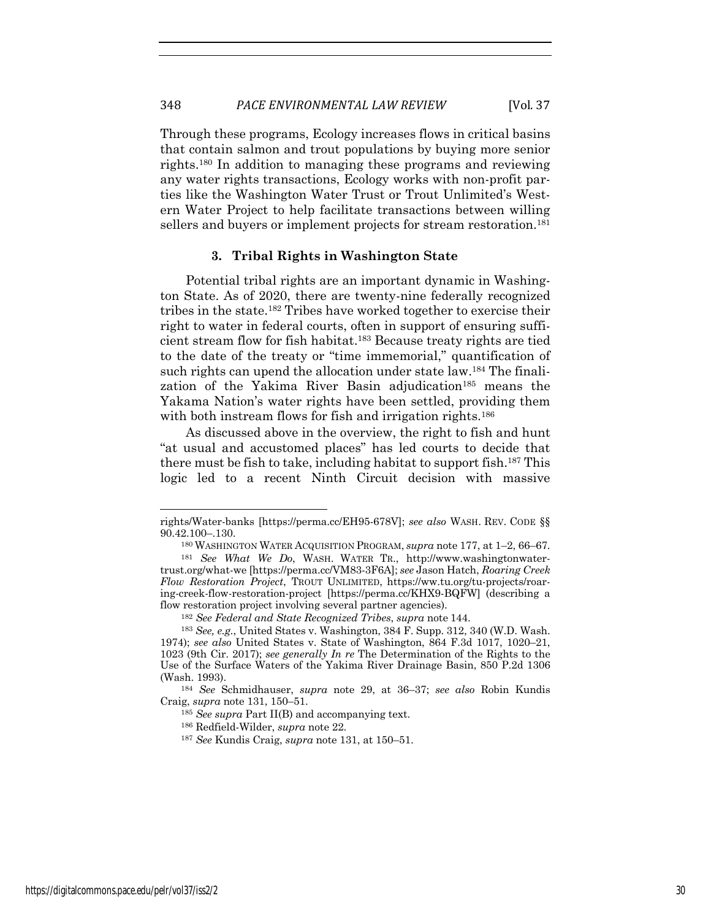Through these programs, Ecology increases flows in critical basins that contain salmon and trout populations by buying more senior rights.180 In addition to managing these programs and reviewing any water rights transactions, Ecology works with non-profit parties like the Washington Water Trust or Trout Unlimited's Western Water Project to help facilitate transactions between willing sellers and buyers or implement projects for stream restoration.<sup>181</sup>

#### **3. Tribal Rights in Washington State**

Potential tribal rights are an important dynamic in Washington State. As of 2020, there are twenty-nine federally recognized tribes in the state.182 Tribes have worked together to exercise their right to water in federal courts, often in support of ensuring sufficient stream flow for fish habitat.183 Because treaty rights are tied to the date of the treaty or "time immemorial," quantification of such rights can upend the allocation under state law.<sup>184</sup> The finalization of the Yakima River Basin adjudication<sup>185</sup> means the Yakama Nation's water rights have been settled, providing them with both instream flows for fish and irrigation rights.<sup>186</sup>

As discussed above in the overview, the right to fish and hunt "at usual and accustomed places" has led courts to decide that there must be fish to take, including habitat to support fish.187 This logic led to a recent Ninth Circuit decision with massive

rights/Water-banks [https://perma.cc/EH95-678V]; *see also* WASH. REV. CODE §§ 90.42.100–.130.

<sup>180</sup> WASHINGTON WATER ACQUISITION PROGRAM, *supra* note 177, at 1–2, 66–67. 181 *See What We Do*, WASH. WATER TR., http://www.washingtonwater-

trust.org/what-we [https://perma.cc/VM83-3F6A]; *see* Jason Hatch, *Roaring Creek Flow Restoration Project*, TROUT UNLIMITED, https://ww.tu.org/tu-projects/roaring-creek-flow-restoration-project [https://perma.cc/KHX9-BQFW] (describing a flow restoration project involving several partner agencies).

<sup>182</sup> *See Federal and State Recognized Tribes*, *supra* note 144. 183 *See, e.g.*, United States v. Washington, 384 F. Supp. 312, 340 (W.D. Wash. 1974); *see also* United States v. State of Washington, 864 F.3d 1017, 1020–21, 1023 (9th Cir. 2017); *see generally In re* The Determination of the Rights to the Use of the Surface Waters of the Yakima River Drainage Basin, 850 P.2d 1306 (Wash. 1993).

<sup>184</sup> *See* Schmidhauser, *supra* note 29, at 36–37; *see also* Robin Kundis Craig, *supra* note 131, 150–51.

<sup>185</sup> *See supra* Part II(B) and accompanying text.

<sup>186</sup> Redfield-Wilder, *supra* note 22.

<sup>187</sup> *See* Kundis Craig, *supra* note 131, at 150–51.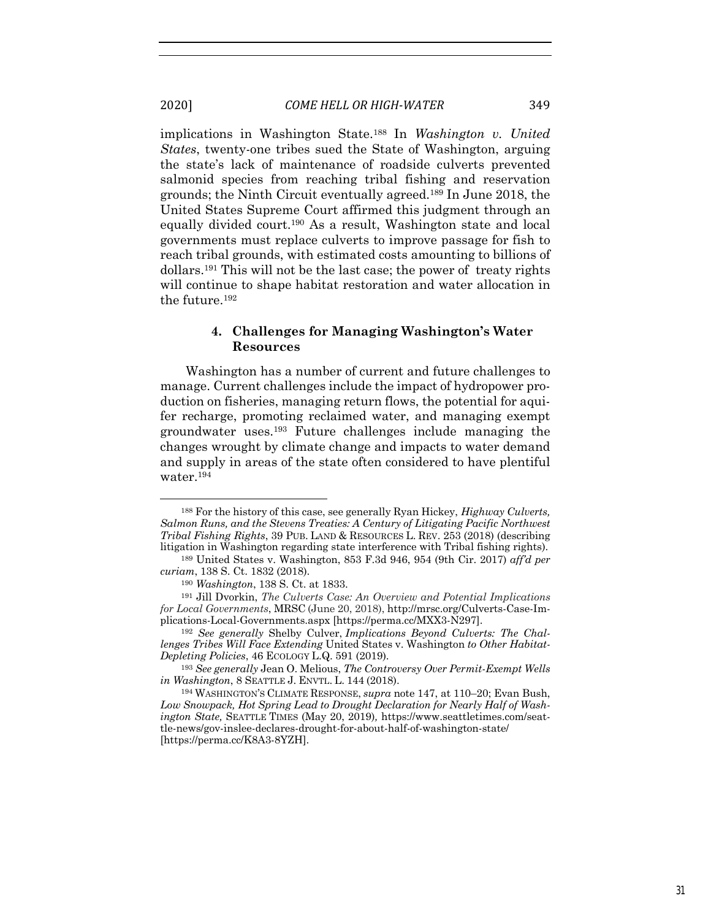implications in Washington State.188 In *Washington v. United States*, twenty-one tribes sued the State of Washington, arguing the state's lack of maintenance of roadside culverts prevented salmonid species from reaching tribal fishing and reservation grounds; the Ninth Circuit eventually agreed.189 In June 2018, the United States Supreme Court affirmed this judgment through an equally divided court.190 As a result, Washington state and local governments must replace culverts to improve passage for fish to reach tribal grounds, with estimated costs amounting to billions of dollars.191 This will not be the last case; the power of treaty rights will continue to shape habitat restoration and water allocation in the future.192

## **4. Challenges for Managing Washington's Water Resources**

Washington has a number of current and future challenges to manage. Current challenges include the impact of hydropower production on fisheries, managing return flows, the potential for aquifer recharge, promoting reclaimed water, and managing exempt groundwater uses.193 Future challenges include managing the changes wrought by climate change and impacts to water demand and supply in areas of the state often considered to have plentiful water.194

*lenges Tribes Will Face Extending* United States v. Washington *to Other Habitat-Depleting Policies*, 46 ECOLOGY L.Q. 591 (2019).

<sup>193</sup> *See generally* Jean O. Melious, *The Controversy Over Permit-Exempt Wells in Washington*, 8 SEATTLE J. ENVTL. L. 144 (2018).

<sup>188</sup> For the history of this case, see generally Ryan Hickey, *Highway Culverts, Salmon Runs, and the Stevens Treaties: A Century of Litigating Pacific Northwest Tribal Fishing Rights*, 39 PUB. LAND & RESOURCES L. REV. 253 (2018) (describing litigation in Washington regarding state interference with Tribal fishing rights).

<sup>189</sup> United States v. Washington, 853 F.3d 946, 954 (9th Cir. 2017) *aff'd per curiam*, 138 S. Ct. 1832 (2018).

<sup>190</sup> *Washington*, 138 S. Ct. at 1833.

<sup>191</sup> Jill Dvorkin, *The Culverts Case: An Overview and Potential Implications for Local Governments*, MRSC (June 20, 2018), http://mrsc.org/Culverts-Case-Implications-Local-Governments.aspx [https://perma.cc/MXX3-N297]. 192 *See generally* Shelby Culver, *Implications Beyond Culverts: The Chal-*

<sup>194</sup> WASHINGTON'S CLIMATE RESPONSE, *supra* note 147, at 110–20; Evan Bush, *Low Snowpack, Hot Spring Lead to Drought Declaration for Nearly Half of Washington State,* SEATTLE TIMES (May 20, 2019)*,* https://www.seattletimes.com/seattle-news/gov-inslee-declares-drought-for-about-half-of-washington-state/ [https://perma.cc/K8A3-8YZH].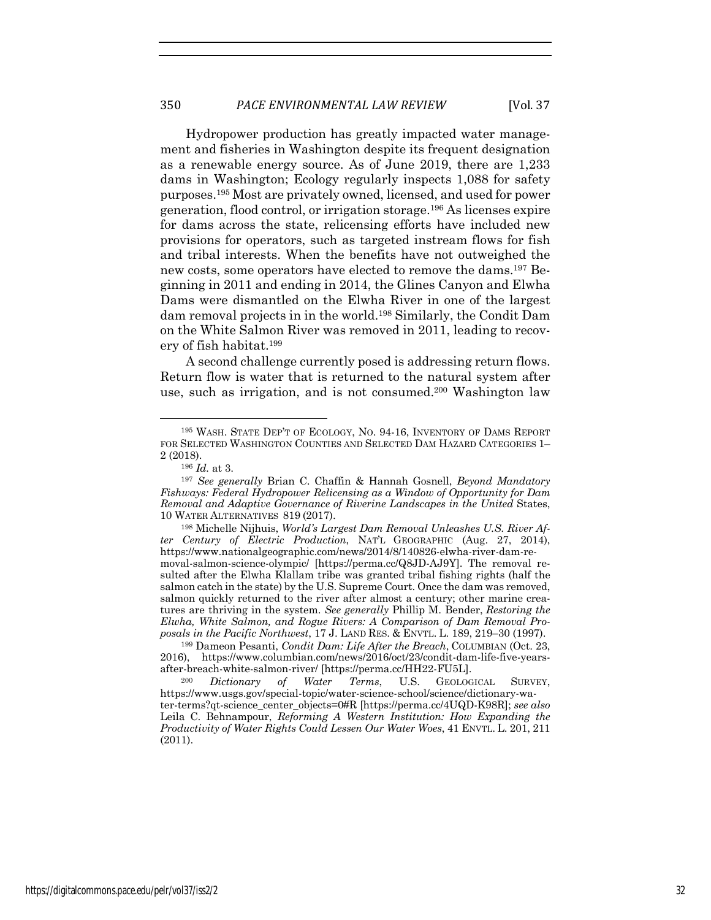Hydropower production has greatly impacted water management and fisheries in Washington despite its frequent designation as a renewable energy source. As of June 2019, there are 1,233 dams in Washington; Ecology regularly inspects 1,088 for safety purposes.195 Most are privately owned, licensed, and used for power generation, flood control, or irrigation storage.196 As licenses expire for dams across the state, relicensing efforts have included new provisions for operators, such as targeted instream flows for fish and tribal interests. When the benefits have not outweighed the new costs, some operators have elected to remove the dams.197 Beginning in 2011 and ending in 2014, the Glines Canyon and Elwha Dams were dismantled on the Elwha River in one of the largest dam removal projects in in the world.198 Similarly, the Condit Dam on the White Salmon River was removed in 2011, leading to recovery of fish habitat.199

A second challenge currently posed is addressing return flows. Return flow is water that is returned to the natural system after use, such as irrigation, and is not consumed.200 Washington law

<sup>195</sup> WASH. STATE DEP'T OF ECOLOGY, NO. 94-16, INVENTORY OF DAMS REPORT FOR SELECTED WASHINGTON COUNTIES AND SELECTED DAM HAZARD CATEGORIES 1– 2 (2018).

<sup>196</sup> *Id.* at 3.

<sup>197</sup> *See generally* Brian C. Chaffin & Hannah Gosnell, *Beyond Mandatory Fishways: Federal Hydropower Relicensing as a Window of Opportunity for Dam Removal and Adaptive Governance of Riverine Landscapes in the United* States, 10 WATER ALTERNATIVES 819 (2017).

<sup>198</sup> Michelle Nijhuis, *World's Largest Dam Removal Unleashes U.S. River After Century of Electric Production*, NAT'L GEOGRAPHIC (Aug. 27, 2014), https://www.nationalgeographic.com/news/2014/8/140826-elwha-river-dam-removal-salmon-science-olympic/ [https://perma.cc/Q8JD-AJ9Y]. The removal resulted after the Elwha Klallam tribe was granted tribal fishing rights (half the salmon catch in the state) by the U.S. Supreme Court. Once the dam was removed, salmon quickly returned to the river after almost a century; other marine creatures are thriving in the system. *See generally* Phillip M. Bender, *Restoring the Elwha, White Salmon, and Rogue Rivers: A Comparison of Dam Removal Proposals in the Pacific Northwest*, 17 J. LAND RES. & ENVTL. L. 189, 219–30 (1997). 199 Dameon Pesanti, *Condit Dam: Life After the Breach*, COLUMBIAN (Oct. 23,

<sup>2016),</sup> https://www.columbian.com/news/2016/oct/23/condit-dam-life-five-yearsafter-breach-white-salmon-river/ [https://perma.cc/HH22-FU5L].

Dictionary of Water Terms, U.S. GEOLOGICAL SURVEY, https://www.usgs.gov/special-topic/water-science-school/science/dictionary-water-terms?qt-science\_center\_objects=0#R [https://perma.cc/4UQD-K98R]; *see also* Leila C. Behnampour, *Reforming A Western Institution: How Expanding the Productivity of Water Rights Could Lessen Our Water Woes*, 41 ENVTL. L. 201, 211 (2011).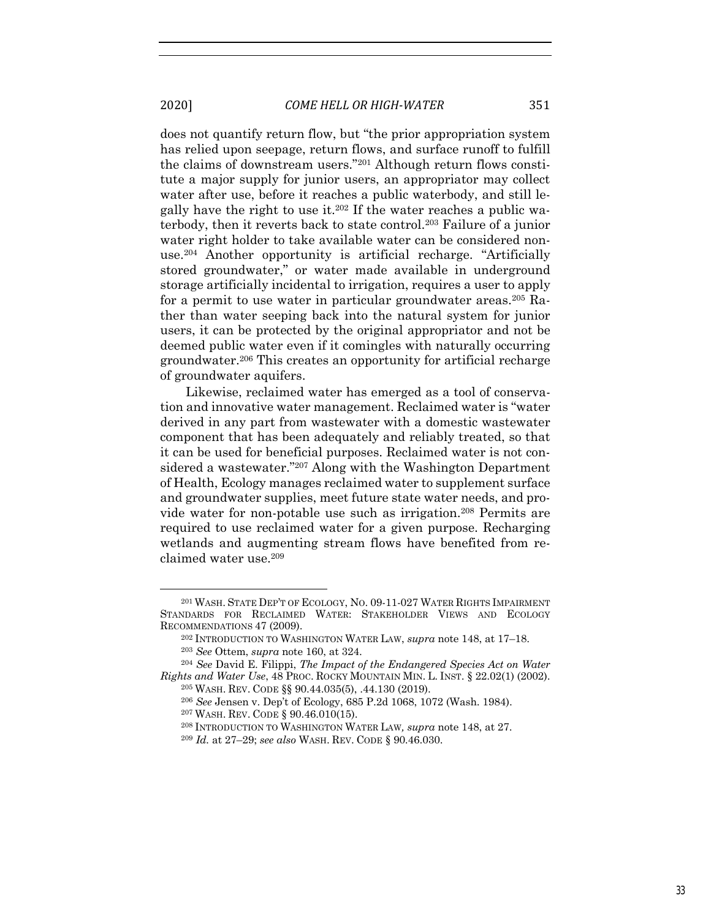does not quantify return flow, but "the prior appropriation system has relied upon seepage, return flows, and surface runoff to fulfill the claims of downstream users."201 Although return flows constitute a major supply for junior users, an appropriator may collect water after use, before it reaches a public waterbody, and still legally have the right to use it.202 If the water reaches a public waterbody, then it reverts back to state control.203 Failure of a junior water right holder to take available water can be considered nonuse.204 Another opportunity is artificial recharge. "Artificially stored groundwater," or water made available in underground storage artificially incidental to irrigation, requires a user to apply for a permit to use water in particular groundwater areas.<sup>205</sup> Rather than water seeping back into the natural system for junior users, it can be protected by the original appropriator and not be deemed public water even if it comingles with naturally occurring groundwater.206 This creates an opportunity for artificial recharge of groundwater aquifers.

Likewise, reclaimed water has emerged as a tool of conservation and innovative water management. Reclaimed water is "water derived in any part from wastewater with a domestic wastewater component that has been adequately and reliably treated, so that it can be used for beneficial purposes. Reclaimed water is not considered a wastewater."207 Along with the Washington Department of Health, Ecology manages reclaimed water to supplement surface and groundwater supplies, meet future state water needs, and provide water for non-potable use such as irrigation.208 Permits are required to use reclaimed water for a given purpose. Recharging wetlands and augmenting stream flows have benefited from reclaimed water use.209

<sup>201</sup> WASH. STATE DEP'T OF ECOLOGY, NO. 09-11-027 WATER RIGHTS IMPAIRMENT STANDARDS FOR RECLAIMED WATER: STAKEHOLDER VIEWS AND ECOLOGY RECOMMENDATIONS 47 (2009).

<sup>202</sup> INTRODUCTION TO WASHINGTON WATER LAW, *supra* note 148, at 17–18. <sup>203</sup> *See* Ottem, *supra* note 160, at 324.

<sup>204</sup> *See* David E. Filippi, *The Impact of the Endangered Species Act on Water Rights and Water Use*, 48 PROC. ROCKY MOUNTAIN MIN. L. INST. § 22.02(1) (2002).

<sup>205</sup> WASH. REV. CODE §§ 90.44.035(5), .44.130 (2019).

<sup>206</sup> *See* Jensen v. Dep't of Ecology, 685 P.2d 1068, 1072 (Wash. 1984).

<sup>207</sup> WASH. REV. CODE § 90.46.010(15).

<sup>208</sup> INTRODUCTION TO WASHINGTON WATER LAW*, supra* note 148, at 27.

<sup>209</sup> *Id.* at 27–29; *see also* WASH. REV. CODE § 90.46.030.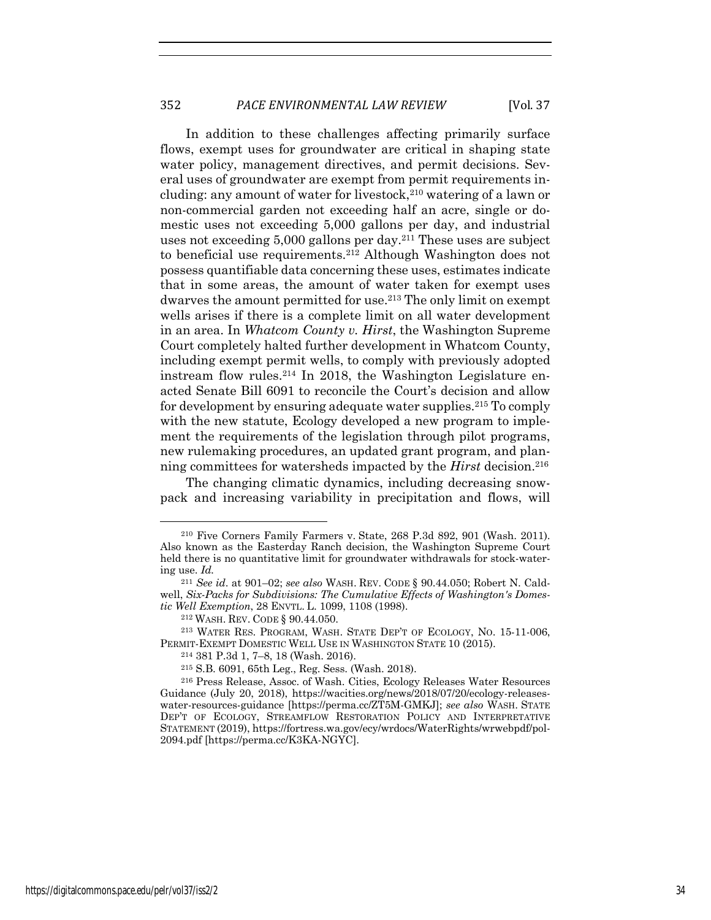In addition to these challenges affecting primarily surface flows, exempt uses for groundwater are critical in shaping state water policy, management directives, and permit decisions. Several uses of groundwater are exempt from permit requirements including: any amount of water for livestock,<sup>210</sup> watering of a lawn or non-commercial garden not exceeding half an acre, single or domestic uses not exceeding 5,000 gallons per day, and industrial uses not exceeding 5,000 gallons per day.211 These uses are subject to beneficial use requirements.212 Although Washington does not possess quantifiable data concerning these uses, estimates indicate that in some areas, the amount of water taken for exempt uses dwarves the amount permitted for use.<sup>213</sup> The only limit on exempt wells arises if there is a complete limit on all water development in an area. In *Whatcom County v. Hirst*, the Washington Supreme Court completely halted further development in Whatcom County, including exempt permit wells, to comply with previously adopted instream flow rules.214 In 2018, the Washington Legislature enacted Senate Bill 6091 to reconcile the Court's decision and allow for development by ensuring adequate water supplies.215 To comply with the new statute, Ecology developed a new program to implement the requirements of the legislation through pilot programs, new rulemaking procedures, an updated grant program, and planning committees for watersheds impacted by the *Hirst* decision.216

The changing climatic dynamics, including decreasing snowpack and increasing variability in precipitation and flows, will

<sup>210</sup> Five Corners Family Farmers v. State, 268 P.3d 892, 901 (Wash. 2011). Also known as the Easterday Ranch decision, the Washington Supreme Court held there is no quantitative limit for groundwater withdrawals for stock-watering use. *Id.*

<sup>211</sup> *See id*. at 901–02; *see also* WASH. REV. CODE § 90.44.050; Robert N. Caldwell, *Six-Packs for Subdivisions: The Cumulative Effects of Washington's Domestic Well Exemption*, 28 ENVTL. L. 1099, 1108 (1998).

<sup>212</sup> WASH. REV. CODE § 90.44.050.

<sup>213</sup> WATER RES. PROGRAM, WASH. STATE DEP'T OF ECOLOGY, NO. 15-11-006, PERMIT-EXEMPT DOMESTIC WELL USE IN WASHINGTON STATE 10 (2015).

<sup>214</sup> 381 P.3d 1, 7–8, 18 (Wash. 2016).

<sup>215</sup> S.B. 6091, 65th Leg., Reg. Sess. (Wash. 2018). 216 Press Release, Assoc. of Wash. Cities, Ecology Releases Water Resources Guidance (July 20, 2018), https://wacities.org/news/2018/07/20/ecology-releaseswater-resources-guidance [https://perma.cc/ZT5M-GMKJ]; *see also* WASH. STATE DEP'T OF ECOLOGY, STREAMFLOW RESTORATION POLICY AND INTERPRETATIVE STATEMENT (2019), https://fortress.wa.gov/ecy/wrdocs/WaterRights/wrwebpdf/pol-2094.pdf [https://perma.cc/K3KA-NGYC].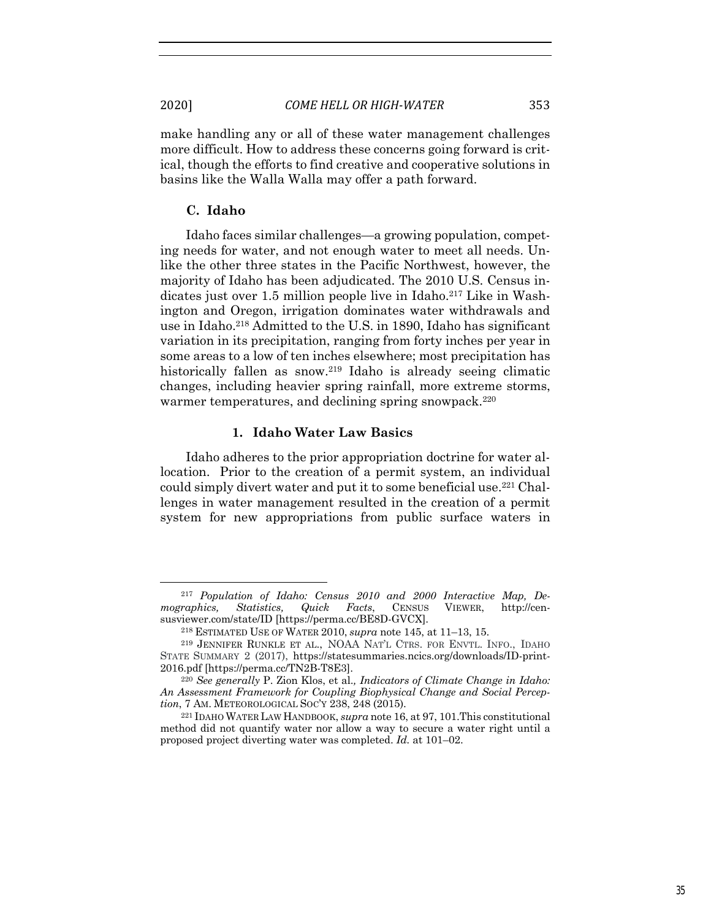make handling any or all of these water management challenges more difficult. How to address these concerns going forward is critical, though the efforts to find creative and cooperative solutions in basins like the Walla Walla may offer a path forward.

#### **C. Idaho**

Idaho faces similar challenges—a growing population, competing needs for water, and not enough water to meet all needs. Unlike the other three states in the Pacific Northwest, however, the majority of Idaho has been adjudicated. The 2010 U.S. Census indicates just over 1.5 million people live in Idaho.<sup>217</sup> Like in Washington and Oregon, irrigation dominates water withdrawals and use in Idaho.218 Admitted to the U.S. in 1890, Idaho has significant variation in its precipitation, ranging from forty inches per year in some areas to a low of ten inches elsewhere; most precipitation has historically fallen as snow.<sup>219</sup> Idaho is already seeing climatic changes, including heavier spring rainfall, more extreme storms, warmer temperatures, and declining spring snowpack.<sup>220</sup>

#### **1. Idaho Water Law Basics**

Idaho adheres to the prior appropriation doctrine for water allocation. Prior to the creation of a permit system, an individual could simply divert water and put it to some beneficial use.221 Challenges in water management resulted in the creation of a permit system for new appropriations from public surface waters in

<sup>&</sup>lt;sup>217</sup> *Population of Idaho: Census 2010 and 2000 Interactive Map, De-*<br> *raphics, Statistics, Quick Facts, CENSUS VIEWER, http://cenmographics, Statistics, Quick Facts*, CENSUS VIEWER, http://censusviewer.com/state/ID [https://perma.cc/BE8D-GVCX].

<sup>&</sup>lt;sup>218</sup> ESTIMATED USE OF WATER 2010, *supra* note 145, at 11–13, 15.<br><sup>219</sup> JENNIFER RUNKLE ET AL., NOAA NAT'L CTRS. FOR ENVTL. INFO., IDAHO STATE SUMMARY 2 (2017), https://statesummaries.ncics.org/downloads/ID-print-2016.pdf [https://perma.cc/TN2B-T8E3].

<sup>220</sup> *See generally* P. Zion Klos, et al.*, Indicators of Climate Change in Idaho: An Assessment Framework for Coupling Biophysical Change and Social Perception*, 7 AM. METEOROLOGICAL SOC'Y 238, 248 (2015). 221 IDAHO WATER LAW HANDBOOK, *supra* note 16, at 97, 101.This constitutional

method did not quantify water nor allow a way to secure a water right until a proposed project diverting water was completed. *Id.* at 101–02.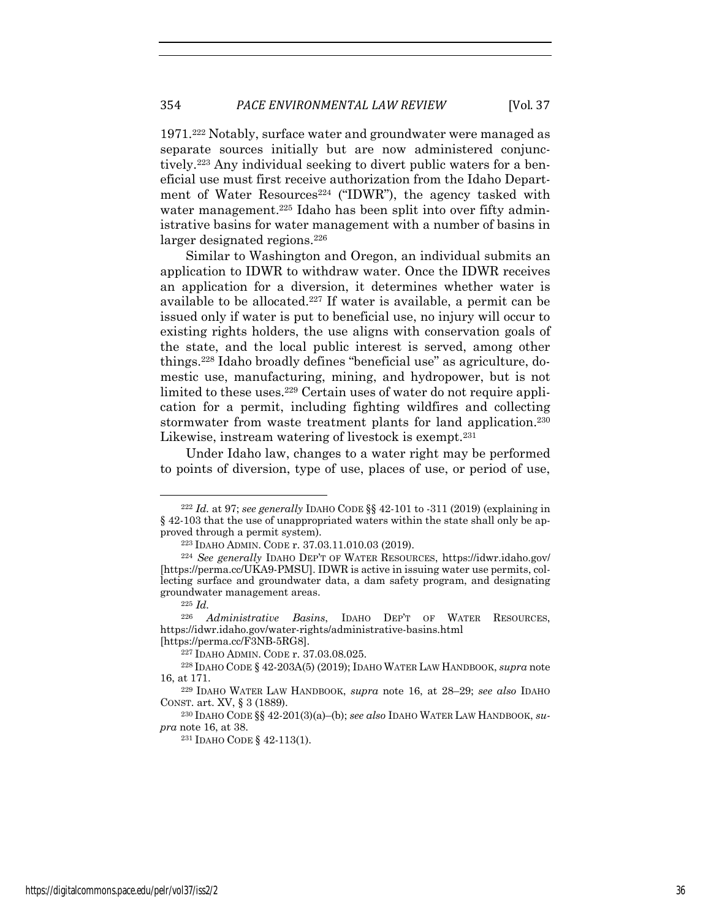1971.222 Notably, surface water and groundwater were managed as separate sources initially but are now administered conjunctively.223 Any individual seeking to divert public waters for a beneficial use must first receive authorization from the Idaho Department of Water Resources<sup>224</sup> ("IDWR"), the agency tasked with water management.<sup>225</sup> Idaho has been split into over fifty administrative basins for water management with a number of basins in larger designated regions.<sup>226</sup>

Similar to Washington and Oregon, an individual submits an application to IDWR to withdraw water. Once the IDWR receives an application for a diversion, it determines whether water is available to be allocated.227 If water is available, a permit can be issued only if water is put to beneficial use, no injury will occur to existing rights holders, the use aligns with conservation goals of the state, and the local public interest is served, among other things.228 Idaho broadly defines "beneficial use" as agriculture, domestic use, manufacturing, mining, and hydropower, but is not limited to these uses.229 Certain uses of water do not require application for a permit, including fighting wildfires and collecting stormwater from waste treatment plants for land application.<sup>230</sup> Likewise, instream watering of livestock is exempt.<sup>231</sup>

Under Idaho law, changes to a water right may be performed to points of diversion, type of use, places of use, or period of use,

<sup>222</sup> *Id.* at 97; *see generally* IDAHO CODE §§ 42-101 to -311 (2019) (explaining in § 42-103 that the use of unappropriated waters within the state shall only be approved through a permit system).

<sup>223</sup> IDAHO ADMIN. CODE r. 37.03.11.010.03 (2019).

<sup>224</sup> *See generally* IDAHO DEP'T OF WATER RESOURCES, https://idwr.idaho.gov/ [https://perma.cc/UKA9-PMSU]. IDWR is active in issuing water use permits, collecting surface and groundwater data, a dam safety program, and designating groundwater management areas.

<sup>225</sup> *Id.* 

<sup>226</sup> *Administrative Basins*, IDAHO DEP'T OF WATER RESOURCES, https://idwr.idaho.gov/water-rights/administrative-basins.html

<sup>[</sup>https://perma.cc/F3NB-5RG8]. 227 IDAHO ADMIN. CODE r. 37.03.08.025.

<sup>228</sup> IDAHO CODE § 42-203A(5) (2019); IDAHO WATER LAW HANDBOOK, *supra* note 16, at 171.

<sup>229</sup> IDAHO WATER LAW HANDBOOK, *supra* note 16, at 28–29; *see also* IDAHO CONST. art. XV, § 3 (1889). 230 IDAHO CODE §§ 42-201(3)(a)–(b); *see also* IDAHO WATER LAW HANDBOOK, *su-*

*pra* note 16, at 38.

<sup>231</sup> IDAHO CODE § 42-113(1).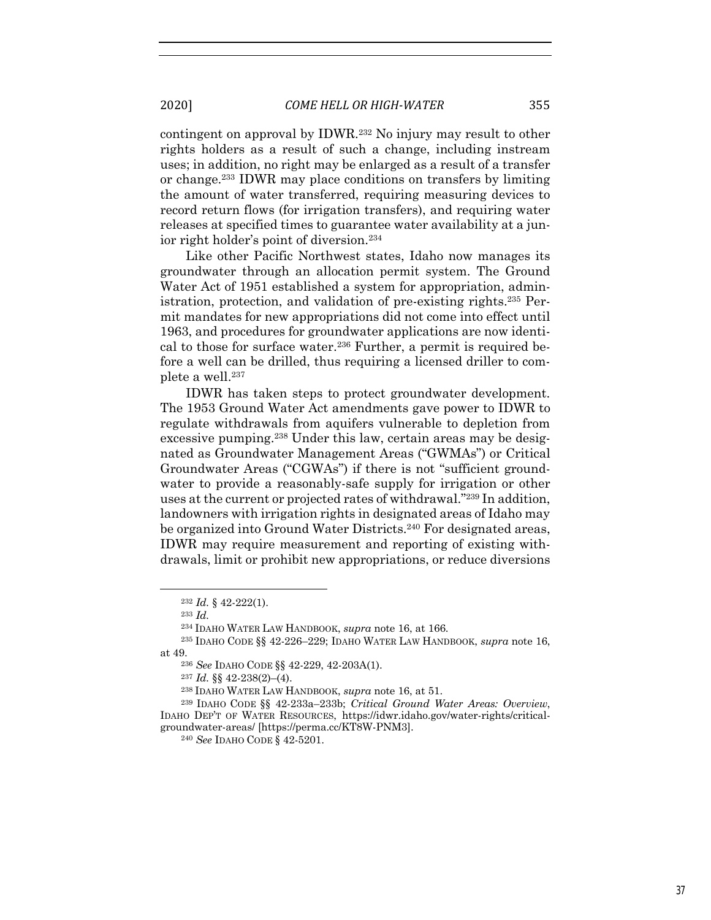contingent on approval by IDWR.232 No injury may result to other rights holders as a result of such a change, including instream uses; in addition, no right may be enlarged as a result of a transfer or change.233 IDWR may place conditions on transfers by limiting the amount of water transferred, requiring measuring devices to record return flows (for irrigation transfers), and requiring water releases at specified times to guarantee water availability at a junior right holder's point of diversion.234

Like other Pacific Northwest states, Idaho now manages its groundwater through an allocation permit system. The Ground Water Act of 1951 established a system for appropriation, administration, protection, and validation of pre-existing rights.235 Permit mandates for new appropriations did not come into effect until 1963, and procedures for groundwater applications are now identical to those for surface water. $236$  Further, a permit is required before a well can be drilled, thus requiring a licensed driller to complete a well.<sup>237</sup>

IDWR has taken steps to protect groundwater development. The 1953 Ground Water Act amendments gave power to IDWR to regulate withdrawals from aquifers vulnerable to depletion from excessive pumping.238 Under this law, certain areas may be designated as Groundwater Management Areas ("GWMAs") or Critical Groundwater Areas ("CGWAs") if there is not "sufficient groundwater to provide a reasonably-safe supply for irrigation or other uses at the current or projected rates of withdrawal."239 In addition, landowners with irrigation rights in designated areas of Idaho may be organized into Ground Water Districts.240 For designated areas, IDWR may require measurement and reporting of existing withdrawals, limit or prohibit new appropriations, or reduce diversions

<sup>232</sup> *Id.* § 42-222(1).

<sup>233</sup> *Id.*

<sup>234</sup> IDAHO WATER LAW HANDBOOK, *supra* note 16, at 166.

<sup>235</sup> IDAHO CODE §§ 42-226–229; IDAHO WATER LAW HANDBOOK, *supra* note 16, at 49.236 *See* IDAHO CODE §§ 42-229, 42-203A(1).

<sup>237</sup> *Id.* §§ 42-238(2)–(4).

<sup>238</sup> IDAHO WATER LAW HANDBOOK, *supra* note 16, at 51. 239 IDAHO CODE §§ 42-233a–233b; *Critical Ground Water Areas: Overview*, IDAHO DEP'T OF WATER RESOURCES, https://idwr.idaho.gov/water-rights/criticalgroundwater-areas/ [https://perma.cc/KT8W-PNM3]. 240 *See* IDAHO CODE § 42-5201.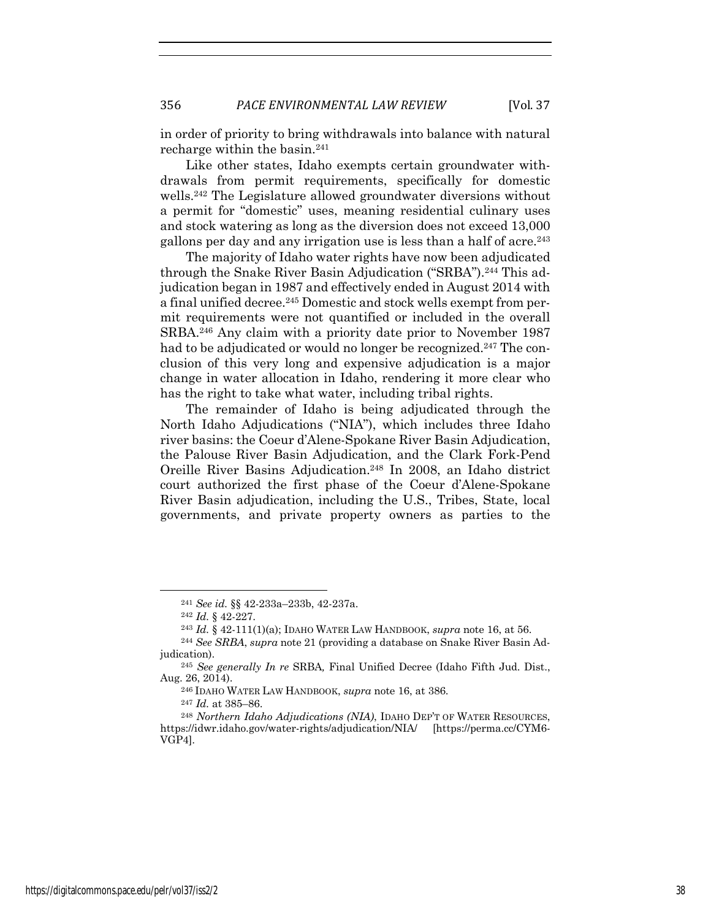in order of priority to bring withdrawals into balance with natural recharge within the basin.<sup>241</sup>

Like other states, Idaho exempts certain groundwater withdrawals from permit requirements, specifically for domestic wells.242 The Legislature allowed groundwater diversions without a permit for "domestic" uses, meaning residential culinary uses and stock watering as long as the diversion does not exceed 13,000 gallons per day and any irrigation use is less than a half of acre.243

The majority of Idaho water rights have now been adjudicated through the Snake River Basin Adjudication ("SRBA").<sup>244</sup> This adjudication began in 1987 and effectively ended in August 2014 with a final unified decree.<sup>245</sup> Domestic and stock wells exempt from permit requirements were not quantified or included in the overall SRBA.246 Any claim with a priority date prior to November 1987 had to be adjudicated or would no longer be recognized.<sup>247</sup> The conclusion of this very long and expensive adjudication is a major change in water allocation in Idaho, rendering it more clear who has the right to take what water, including tribal rights.

The remainder of Idaho is being adjudicated through the North Idaho Adjudications ("NIA"), which includes three Idaho river basins: the Coeur d'Alene-Spokane River Basin Adjudication, the Palouse River Basin Adjudication, and the Clark Fork-Pend Oreille River Basins Adjudication.<sup>248</sup> In 2008, an Idaho district court authorized the first phase of the Coeur d'Alene-Spokane River Basin adjudication, including the U.S., Tribes, State, local governments, and private property owners as parties to the

<sup>241</sup> *See id.* §§ 42-233a–233b, 42-237a.

<sup>242</sup> *Id.* § 42-227.

<sup>243</sup> *Id.* § 42-111(1)(a); IDAHO WATER LAW HANDBOOK, *supra* note 16, at 56.

<sup>244</sup> *See SRBA*, *supra* note 21 (providing a database on Snake River Basin Adjudication).

<sup>245</sup> *See generally In re* SRBA*,* Final Unified Decree (Idaho Fifth Jud. Dist., Aug. 26, 2014).

<sup>246</sup> IDAHO WATER LAW HANDBOOK, *supra* note 16, at 386.

<sup>247</sup> *Id.* at 385–86.

<sup>248</sup> *Northern Idaho Adjudications (NIA)*, IDAHO DEP'T OF WATER RESOURCES, https://idwr.idaho.gov/water-rights/adjudication/NIA/ [https://perma.cc/CYM6- VGP4].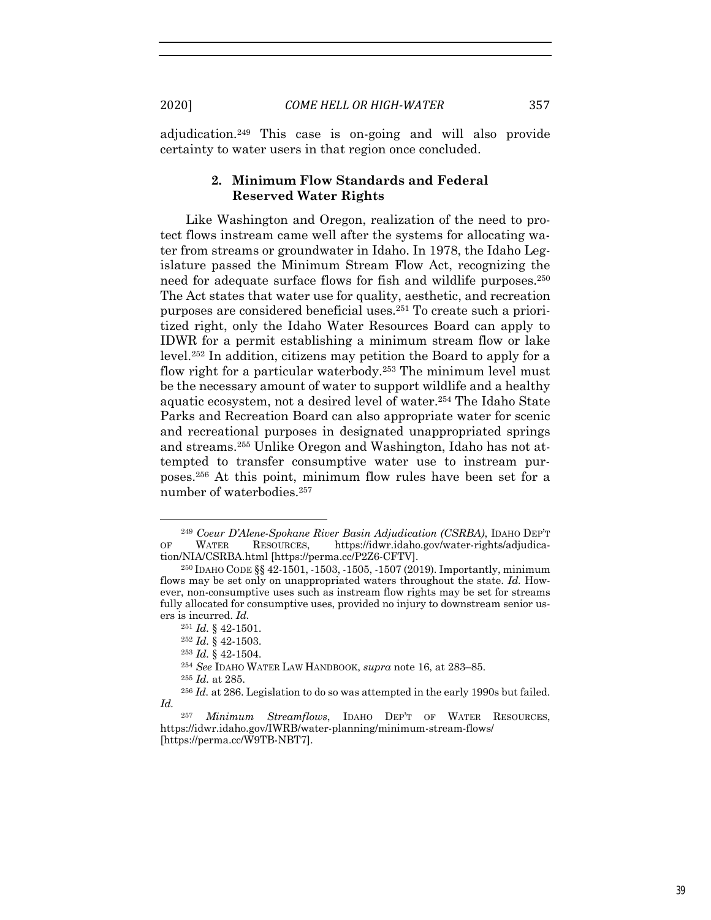adjudication.249 This case is on-going and will also provide certainty to water users in that region once concluded.

# **2. Minimum Flow Standards and Federal Reserved Water Rights**

Like Washington and Oregon, realization of the need to protect flows instream came well after the systems for allocating water from streams or groundwater in Idaho. In 1978, the Idaho Legislature passed the Minimum Stream Flow Act, recognizing the need for adequate surface flows for fish and wildlife purposes.<sup>250</sup> The Act states that water use for quality, aesthetic, and recreation purposes are considered beneficial uses.251 To create such a prioritized right, only the Idaho Water Resources Board can apply to IDWR for a permit establishing a minimum stream flow or lake level.252 In addition, citizens may petition the Board to apply for a flow right for a particular waterbody.253 The minimum level must be the necessary amount of water to support wildlife and a healthy aquatic ecosystem, not a desired level of water.254 The Idaho State Parks and Recreation Board can also appropriate water for scenic and recreational purposes in designated unappropriated springs and streams.255 Unlike Oregon and Washington, Idaho has not attempted to transfer consumptive water use to instream purposes.256 At this point, minimum flow rules have been set for a number of waterbodies.257

<sup>249</sup> *Coeur D'Alene-Spokane River Basin Adjudication (CSRBA)*, IDAHO DEP'T OF WATER RESOURCES, https://idwr.idaho.gov/water-rights/adjudication/NIA/CSRBA.html [https://perma.cc/P2Z6-CFTV]. 250 IDAHO CODE §§ 42-1501, -1503, -1505, -1507 (2019). Importantly, minimum

flows may be set only on unappropriated waters throughout the state. *Id.* However, non-consumptive uses such as instream flow rights may be set for streams fully allocated for consumptive uses, provided no injury to downstream senior users is incurred. *Id.*

<sup>251</sup> *Id.* § 42-1501.

<sup>252</sup> *Id.* § 42-1503.

<sup>253</sup> *Id.* § 42-1504.

<sup>254</sup> *See* IDAHO WATER LAW HANDBOOK, *supra* note 16, at 283–85.

<sup>255</sup> *Id.* at 285.

<sup>256</sup> *Id.* at 286. Legislation to do so was attempted in the early 1990s but failed. *Id.*

<sup>257</sup> *Minimum Streamflows*, IDAHO DEP'T OF WATER RESOURCES, https://idwr.idaho.gov/IWRB/water-planning/minimum-stream-flows/ [https://perma.cc/W9TB-NBT7].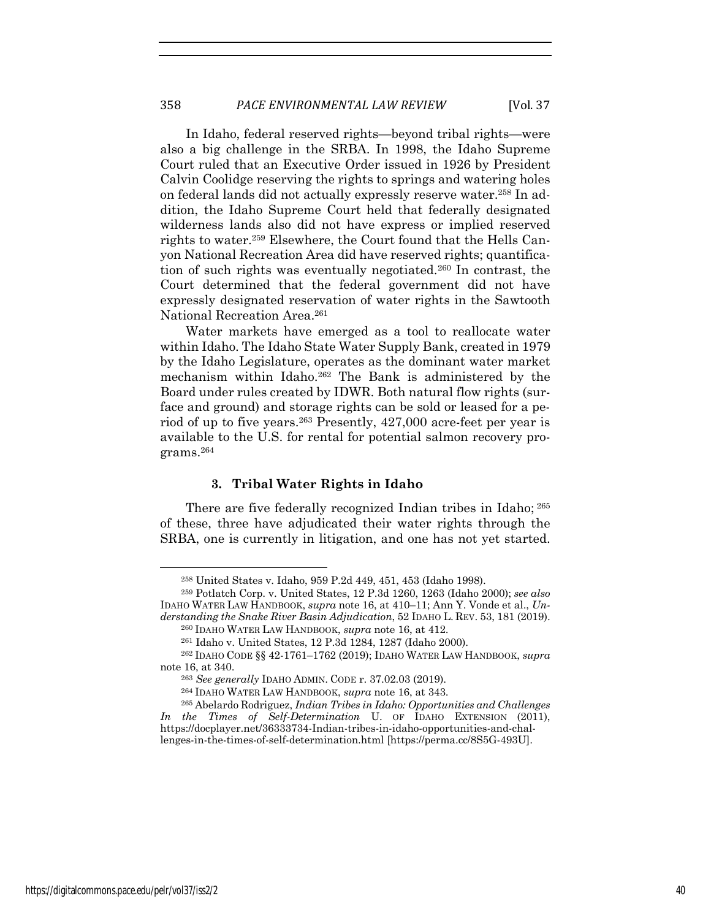In Idaho, federal reserved rights—beyond tribal rights—were also a big challenge in the SRBA. In 1998, the Idaho Supreme Court ruled that an Executive Order issued in 1926 by President Calvin Coolidge reserving the rights to springs and watering holes on federal lands did not actually expressly reserve water.258 In addition, the Idaho Supreme Court held that federally designated wilderness lands also did not have express or implied reserved rights to water.259 Elsewhere, the Court found that the Hells Canyon National Recreation Area did have reserved rights; quantification of such rights was eventually negotiated.260 In contrast, the Court determined that the federal government did not have expressly designated reservation of water rights in the Sawtooth National Recreation Area.261

Water markets have emerged as a tool to reallocate water within Idaho. The Idaho State Water Supply Bank, created in 1979 by the Idaho Legislature, operates as the dominant water market mechanism within Idaho.262 The Bank is administered by the Board under rules created by IDWR. Both natural flow rights (surface and ground) and storage rights can be sold or leased for a period of up to five years.263 Presently, 427,000 acre-feet per year is available to the U.S. for rental for potential salmon recovery programs.264

#### **3. Tribal Water Rights in Idaho**

There are five federally recognized Indian tribes in Idaho; <sup>265</sup> of these, three have adjudicated their water rights through the SRBA, one is currently in litigation, and one has not yet started.

<sup>258</sup> United States v. Idaho, 959 P.2d 449, 451, 453 (Idaho 1998).

<sup>259</sup> Potlatch Corp. v. United States, 12 P.3d 1260, 1263 (Idaho 2000); *see also*  IDAHO WATER LAW HANDBOOK, *supra* note 16, at 410–11; Ann Y. Vonde et al., *Understanding the Snake River Basin Adjudication*, 52 IDAHO L. REV. 53, 181 (2019).

<sup>260</sup> IDAHO WATER LAW HANDBOOK, *supra* note 16, at 412.

<sup>261</sup> Idaho v. United States, 12 P.3d 1284, 1287 (Idaho 2000). 262 IDAHO CODE §§ 42-1761–1762 (2019); IDAHO WATER LAW HANDBOOK, *supra* note 16, at 340.

<sup>263</sup> *See generally* IDAHO ADMIN. CODE r. 37.02.03 (2019).

<sup>264</sup> IDAHO WATER LAW HANDBOOK, *supra* note 16, at 343.

<sup>265</sup> Abelardo Rodriguez, *Indian Tribes in Idaho: Opportunities and Challenges*  In the Times of Self-Determination U. OF IDAHO EXTENSION (2011), https://docplayer.net/36333734-Indian-tribes-in-idaho-opportunities-and-chal-

lenges-in-the-times-of-self-determination.html [https://perma.cc/8S5G-493U].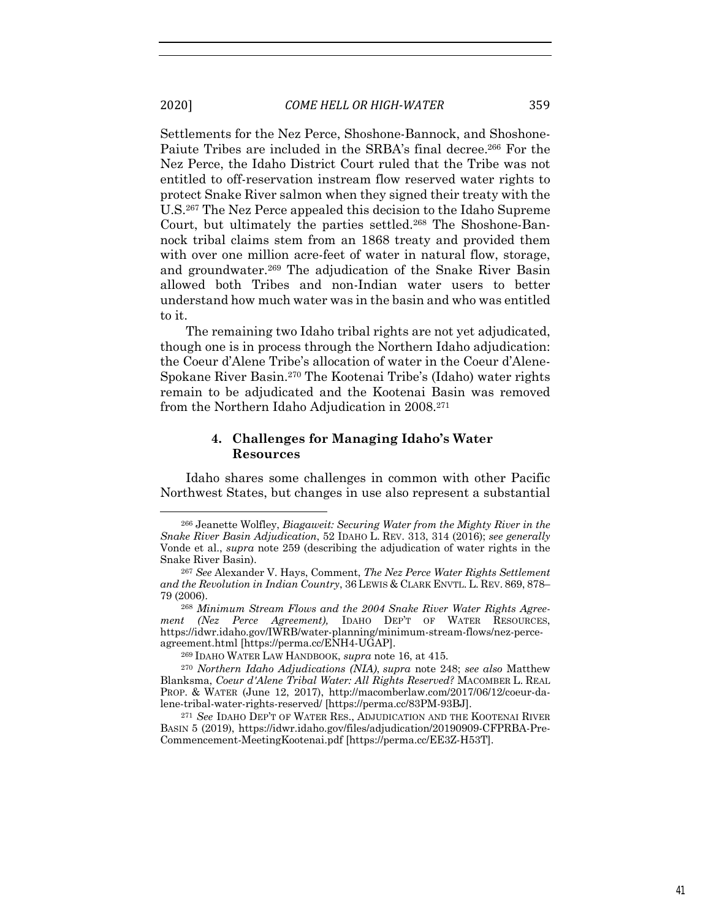Settlements for the Nez Perce, Shoshone-Bannock, and Shoshone-Paiute Tribes are included in the SRBA's final decree.<sup>266</sup> For the Nez Perce, the Idaho District Court ruled that the Tribe was not entitled to off-reservation instream flow reserved water rights to protect Snake River salmon when they signed their treaty with the U.S.267 The Nez Perce appealed this decision to the Idaho Supreme Court, but ultimately the parties settled.268 The Shoshone-Bannock tribal claims stem from an 1868 treaty and provided them with over one million acre-feet of water in natural flow, storage, and groundwater.<sup>269</sup> The adjudication of the Snake River Basin allowed both Tribes and non-Indian water users to better understand how much water was in the basin and who was entitled to it.

The remaining two Idaho tribal rights are not yet adjudicated, though one is in process through the Northern Idaho adjudication: the Coeur d'Alene Tribe's allocation of water in the Coeur d'Alene-Spokane River Basin.270 The Kootenai Tribe's (Idaho) water rights remain to be adjudicated and the Kootenai Basin was removed from the Northern Idaho Adjudication in 2008.271

#### **4. Challenges for Managing Idaho's Water Resources**

Idaho shares some challenges in common with other Pacific Northwest States, but changes in use also represent a substantial

<sup>266</sup> Jeanette Wolfley, *Biagaweit: Securing Water from the Mighty River in the Snake River Basin Adjudication*, 52 IDAHO L. REV. 313, 314 (2016); *see generally* Vonde et al., *supra* note 259 (describing the adjudication of water rights in the Snake River Basin). 267 *See* Alexander V. Hays, Comment, *The Nez Perce Water Rights Settlement* 

*and the Revolution in Indian Country*, 36 LEWIS & CLARK ENVTL. L. REV. 869, 878– 79 (2006).

<sup>268</sup> *Minimum Stream Flows and the 2004 Snake River Water Rights Agreement (Nez Perce Agreement),* IDAHO DEP'T OF WATER RESOURCES, https://idwr.idaho.gov/IWRB/water-planning/minimum-stream-flows/nez-perceagreement.html [https://perma.cc/ENH4-UGAP]. 269 IDAHO WATER LAW HANDBOOK, *supra* note 16, at 415.

<sup>270</sup> *Northern Idaho Adjudications (NIA)*, *supra* note 248; *see also* Matthew Blanksma, *Coeur d'Alene Tribal Water: All Rights Reserved?* MACOMBER L. REAL PROP. & WATER (June 12, 2017), http://macomberlaw.com/2017/06/12/coeur-dalene-tribal-water-rights-reserved/ [https://perma.cc/83PM-93BJ].

<sup>271</sup> *See* IDAHO DEP'T OF WATER RES., ADJUDICATION AND THE KOOTENAI RIVER BASIN 5 (2019), https://idwr.idaho.gov/files/adjudication/20190909-CFPRBA-Pre-Commencement-MeetingKootenai.pdf [https://perma.cc/EE3Z-H53T].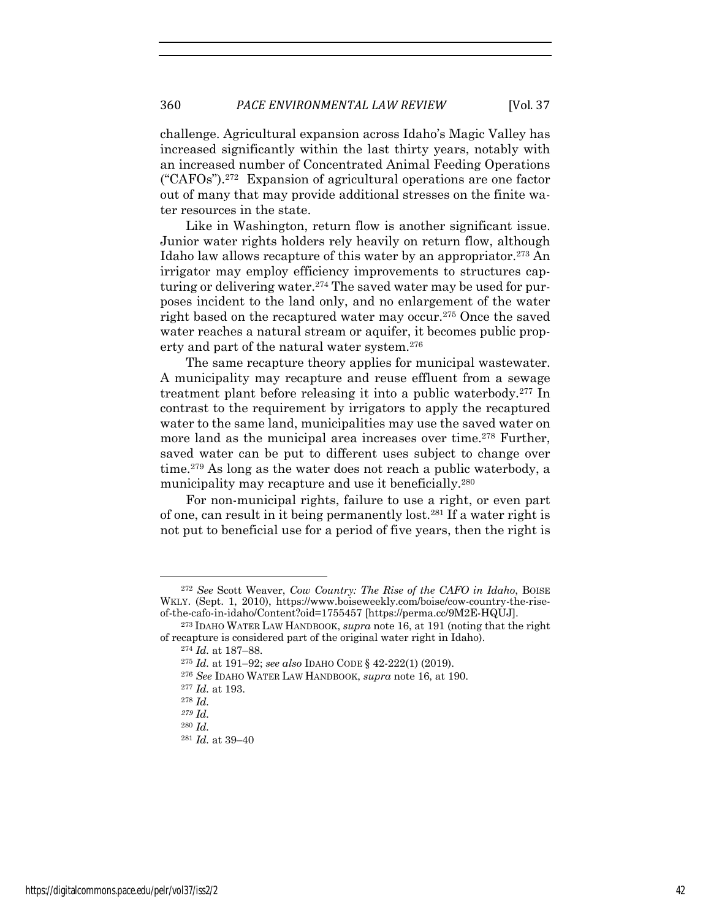challenge. Agricultural expansion across Idaho's Magic Valley has increased significantly within the last thirty years, notably with an increased number of Concentrated Animal Feeding Operations ("CAFOs").272 Expansion of agricultural operations are one factor out of many that may provide additional stresses on the finite water resources in the state.

Like in Washington, return flow is another significant issue. Junior water rights holders rely heavily on return flow, although Idaho law allows recapture of this water by an appropriator.273 An irrigator may employ efficiency improvements to structures capturing or delivering water.<sup>274</sup> The saved water may be used for purposes incident to the land only, and no enlargement of the water right based on the recaptured water may occur.<sup>275</sup> Once the saved water reaches a natural stream or aquifer, it becomes public property and part of the natural water system.276

The same recapture theory applies for municipal wastewater. A municipality may recapture and reuse effluent from a sewage treatment plant before releasing it into a public waterbody.277 In contrast to the requirement by irrigators to apply the recaptured water to the same land, municipalities may use the saved water on more land as the municipal area increases over time.278 Further, saved water can be put to different uses subject to change over time.279 As long as the water does not reach a public waterbody, a municipality may recapture and use it beneficially.<sup>280</sup>

For non-municipal rights, failure to use a right, or even part of one, can result in it being permanently lost.281 If a water right is not put to beneficial use for a period of five years, then the right is

<sup>272</sup> *See* Scott Weaver, *Cow Country: The Rise of the CAFO in Idaho*, BOISE WKLY. (Sept. 1, 2010), https://www.boiseweekly.com/boise/cow-country-the-riseof-the-cafo-in-idaho/Content?oid=1755457 [https://perma.cc/9M2E-HQUJ].

<sup>273</sup> IDAHO WATER LAW HANDBOOK, *supra* note 16, at 191 (noting that the right of recapture is considered part of the original water right in Idaho).

<sup>274</sup> *Id.* at 187–88.

<sup>275</sup> *Id.* at 191–92; *see also* IDAHO CODE § 42-222(1) (2019).

<sup>276</sup> *See* IDAHO WATER LAW HANDBOOK, *supra* note 16, at 190.

<sup>277</sup> *Id.* at 193.

<sup>278</sup> *Id.*

*<sup>279</sup> Id.*

<sup>280</sup> *Id.*

<sup>281</sup> *Id.* at 39–40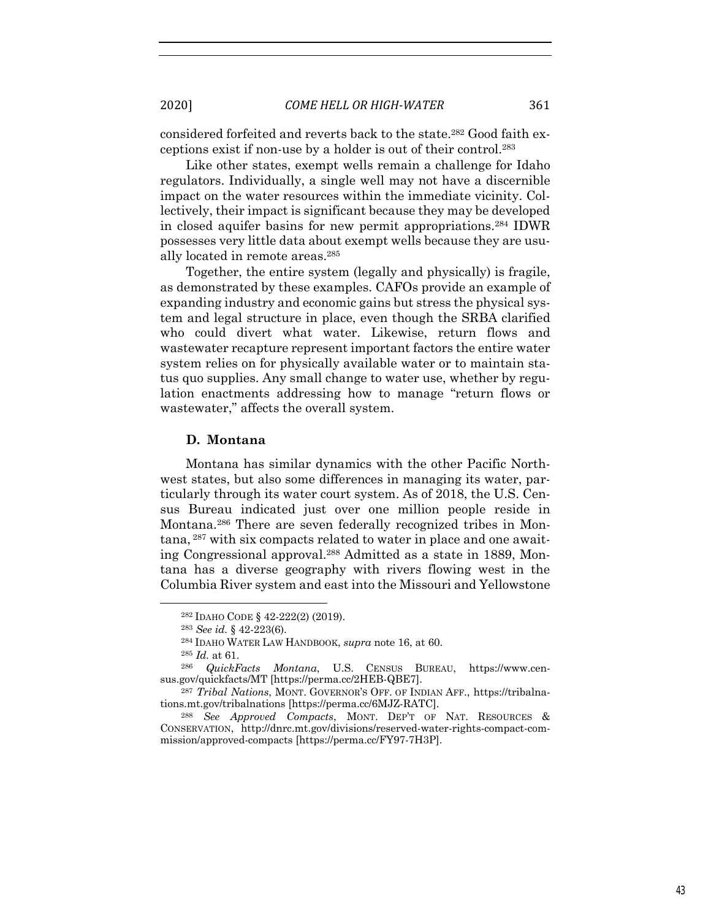considered forfeited and reverts back to the state.282 Good faith exceptions exist if non-use by a holder is out of their control.283

Like other states, exempt wells remain a challenge for Idaho regulators. Individually, a single well may not have a discernible impact on the water resources within the immediate vicinity. Collectively, their impact is significant because they may be developed in closed aquifer basins for new permit appropriations.284 IDWR possesses very little data about exempt wells because they are usually located in remote areas.285

Together, the entire system (legally and physically) is fragile, as demonstrated by these examples. CAFOs provide an example of expanding industry and economic gains but stress the physical system and legal structure in place, even though the SRBA clarified who could divert what water. Likewise, return flows and wastewater recapture represent important factors the entire water system relies on for physically available water or to maintain status quo supplies. Any small change to water use, whether by regulation enactments addressing how to manage "return flows or wastewater," affects the overall system.

### **D. Montana**

Montana has similar dynamics with the other Pacific Northwest states, but also some differences in managing its water, particularly through its water court system. As of 2018, the U.S. Census Bureau indicated just over one million people reside in Montana.286 There are seven federally recognized tribes in Montana, <sup>287</sup> with six compacts related to water in place and one awaiting Congressional approval.288 Admitted as a state in 1889, Montana has a diverse geography with rivers flowing west in the Columbia River system and east into the Missouri and Yellowstone

<sup>282</sup> IDAHO CODE § 42-222(2) (2019).

<sup>283</sup> *See id.* § 42-223(6).

<sup>284</sup> IDAHO WATER LAW HANDBOOK, *supra* note 16, at 60.

<sup>285</sup> *Id.* at 61.

<sup>&</sup>lt;sup>286</sup> *QuickFacts Montana*, U.S. CENSUS BUREAU, https://www.cen-sus.gov/quickfacts/MT [https://perma.cc/2HEB-QBE7].

<sup>&</sup>lt;sup>287</sup> *Tribal Nations*, MONT. GOVERNOR'S OFF. OF INDIAN AFF., https://tribalnations.mt.gov/tribalnations [https://perma.cc/6MJZ-RATC]. 288 *See Approved Compacts*, MONT. DEP'T OF NAT. RESOURCES &

CONSERVATION, http://dnrc.mt.gov/divisions/reserved-water-rights-compact-commission/approved-compacts [https://perma.cc/FY97-7H3P].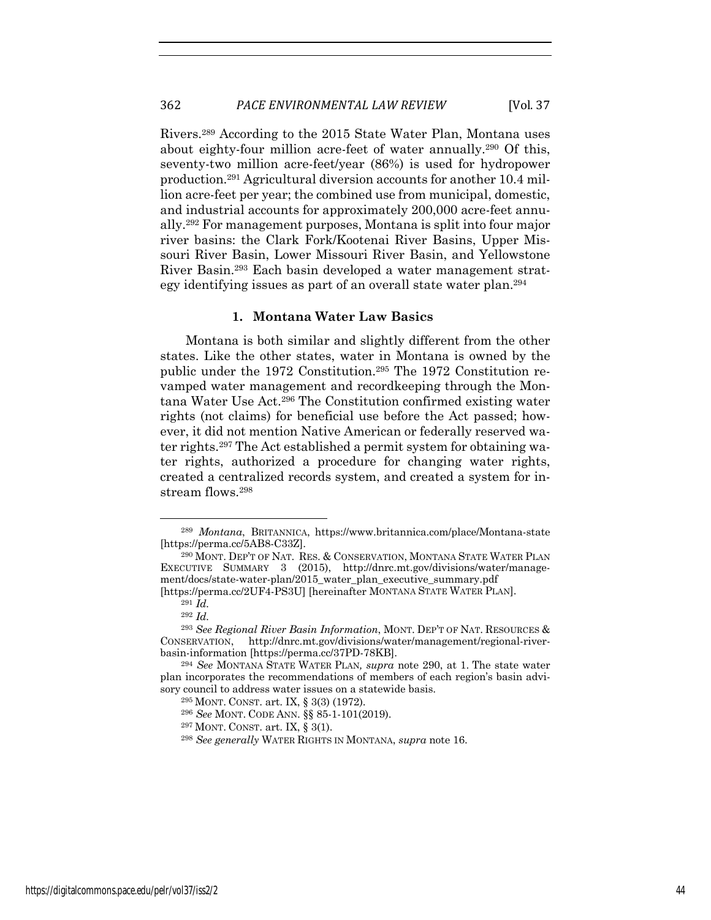Rivers.289 According to the 2015 State Water Plan, Montana uses about eighty-four million acre-feet of water annually.290 Of this, seventy-two million acre-feet/year (86%) is used for hydropower production.291 Agricultural diversion accounts for another 10.4 million acre-feet per year; the combined use from municipal, domestic, and industrial accounts for approximately 200,000 acre-feet annually.292 For management purposes, Montana is split into four major river basins: the Clark Fork/Kootenai River Basins, Upper Missouri River Basin, Lower Missouri River Basin, and Yellowstone River Basin.293 Each basin developed a water management strategy identifying issues as part of an overall state water plan.294

#### **1. Montana Water Law Basics**

Montana is both similar and slightly different from the other states. Like the other states, water in Montana is owned by the public under the 1972 Constitution.295 The 1972 Constitution revamped water management and recordkeeping through the Montana Water Use Act.296 The Constitution confirmed existing water rights (not claims) for beneficial use before the Act passed; however, it did not mention Native American or federally reserved water rights.297 The Act established a permit system for obtaining water rights, authorized a procedure for changing water rights, created a centralized records system, and created a system for instream flows.298

<sup>289</sup> *Montana*, BRITANNICA, https://www.britannica.com/place/Montana-state [https://perma.cc/5AB8-C33Z].

<sup>290</sup> MONT. DEP'T OF NAT. RES. & CONSERVATION, MONTANA STATE WATER PLAN EXECUTIVE SUMMARY 3 (2015), http://dnrc.mt.gov/divisions/water/management/docs/state-water-plan/2015\_water\_plan\_executive\_summary.pdf

<sup>[</sup>https://perma.cc/2UF4-PS3U] [hereinafter MONTANA STATE WATER PLAN]. <sup>291</sup> *Id.*

<sup>292</sup> *Id.*

<sup>293</sup> *See Regional River Basin Information*, MONT. DEP'T OF NAT. RESOURCES & CONSERVATION, http://dnrc.mt.gov/divisions/water/management/regional-riverbasin-information [https://perma.cc/37PD-78KB].

<sup>294</sup> *See* MONTANA STATE WATER PLAN*, supra* note 290, at 1. The state water plan incorporates the recommendations of members of each region's basin advisory council to address water issues on a statewide basis.

<sup>295</sup> MONT. CONST. art. IX, § 3(3) (1972).

<sup>296</sup> *See* MONT. CODE ANN. §§ 85-1-101(2019).

<sup>297</sup> MONT. CONST. art. IX, § 3(1).

<sup>298</sup> *See generally* WATER RIGHTS IN MONTANA, *supra* note 16.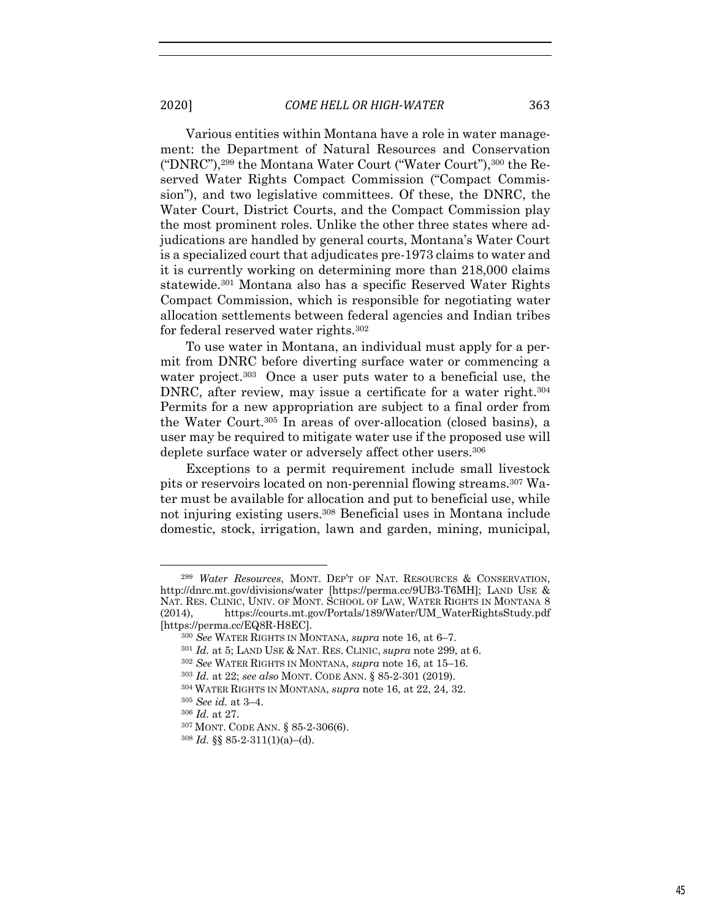Various entities within Montana have a role in water management: the Department of Natural Resources and Conservation ("DNRC"),299 the Montana Water Court ("Water Court"),300 the Reserved Water Rights Compact Commission ("Compact Commission"), and two legislative committees. Of these, the DNRC, the Water Court, District Courts, and the Compact Commission play the most prominent roles. Unlike the other three states where adjudications are handled by general courts, Montana's Water Court is a specialized court that adjudicates pre-1973 claims to water and it is currently working on determining more than 218,000 claims statewide.301 Montana also has a specific Reserved Water Rights Compact Commission, which is responsible for negotiating water allocation settlements between federal agencies and Indian tribes for federal reserved water rights.302

To use water in Montana, an individual must apply for a permit from DNRC before diverting surface water or commencing a water project.<sup>303</sup> Once a user puts water to a beneficial use, the DNRC, after review, may issue a certificate for a water right.<sup>304</sup> Permits for a new appropriation are subject to a final order from the Water Court.305 In areas of over-allocation (closed basins), a user may be required to mitigate water use if the proposed use will deplete surface water or adversely affect other users.<sup>306</sup>

Exceptions to a permit requirement include small livestock pits or reservoirs located on non-perennial flowing streams.307 Water must be available for allocation and put to beneficial use, while not injuring existing users.308 Beneficial uses in Montana include domestic, stock, irrigation, lawn and garden, mining, municipal,

<sup>299</sup> *Water Resources*, MONT. DEP'T OF NAT. RESOURCES & CONSERVATION, http://dnrc.mt.gov/divisions/water [https://perma.cc/9UB3-T6MH]; LAND USE & NAT. RES. CLINIC, UNIV. OF MONT. SCHOOL OF LAW, WATER RIGHTS IN MONTANA 8 (2014), https://courts.mt.gov/Portals/189/Water/UM\_WaterRightsStudy.pdf [https://perma.cc/EQ8R-H8EC]. 300 *See* WATER RIGHTS IN MONTANA, *supra* note 16, at 6–7.

<sup>301</sup> *Id.* at 5; LAND USE & NAT. RES. CLINIC, *supra* note 299, at 6.

<sup>302</sup> *See* WATER RIGHTS IN MONTANA, *supra* note 16, at 15–16.

<sup>303</sup> *Id.* at 22; *see also* MONT. CODE ANN. § 85-2-301 (2019).

<sup>304</sup> WATER RIGHTS IN MONTANA, *supra* note 16, at 22, 24, 32.

<sup>305</sup> *See id.* at 3–4.

<sup>306</sup> *Id.* at 27.

<sup>307</sup> MONT. CODE ANN. § 85-2-306(6).

<sup>308</sup> *Id.* §§ 85-2-311(1)(a)–(d).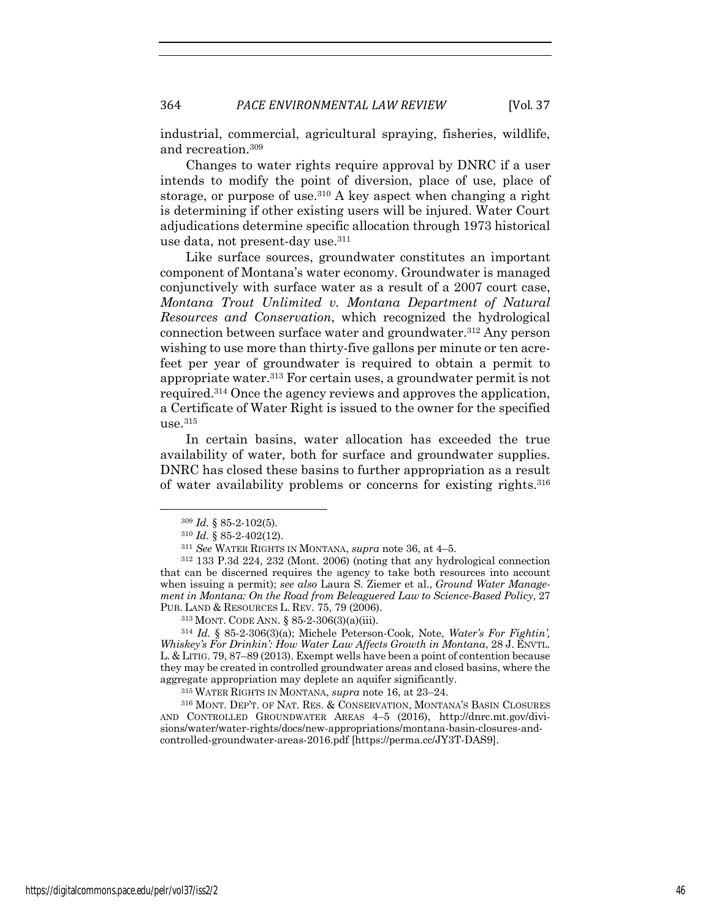industrial, commercial, agricultural spraying, fisheries, wildlife, and recreation.309

Changes to water rights require approval by DNRC if a user intends to modify the point of diversion, place of use, place of storage, or purpose of use.<sup>310</sup> A key aspect when changing a right is determining if other existing users will be injured. Water Court adjudications determine specific allocation through 1973 historical use data, not present-day use.311

Like surface sources, groundwater constitutes an important component of Montana's water economy. Groundwater is managed conjunctively with surface water as a result of a 2007 court case, *Montana Trout Unlimited v. Montana Department of Natural Resources and Conservation*, which recognized the hydrological connection between surface water and groundwater.312 Any person wishing to use more than thirty-five gallons per minute or ten acrefeet per year of groundwater is required to obtain a permit to appropriate water.313 For certain uses, a groundwater permit is not required.314 Once the agency reviews and approves the application, a Certificate of Water Right is issued to the owner for the specified use.315

In certain basins, water allocation has exceeded the true availability of water, both for surface and groundwater supplies. DNRC has closed these basins to further appropriation as a result of water availability problems or concerns for existing rights.316

<sup>309</sup> *Id.* § 85-2-102(5).

<sup>310</sup> *Id.* § 85-2-402(12).

<sup>311</sup> *See* WATER RIGHTS IN MONTANA, *supra* note 36, at 4–5.

<sup>312</sup> 133 P.3d 224, 232 (Mont. 2006) (noting that any hydrological connection that can be discerned requires the agency to take both resources into account when issuing a permit); *see also* Laura S. Ziemer et al., *Ground Water Management in Montana: On the Road from Beleaguered Law to Science-Based Policy*, 27 PUB. LAND & RESOURCES L. REV. 75, 79 (2006).

<sup>313</sup> MONT. CODE ANN. § 85-2-306(3)(a)(iii).

<sup>314</sup> *Id.* § 85-2-306(3)(a); Michele Peterson-Cook, Note, *Water's For Fightin', Whiskey's For Drinkin': How Water Law Affects Growth in Montana*, 28 J. ENVTL. L. & LITIG. 79, 87–89 (2013). Exempt wells have been a point of contention because they may be created in controlled groundwater areas and closed basins, where the aggregate appropriation may deplete an aquifer significantly.

<sup>315</sup> WATER RIGHTS IN MONTANA, *supra* note 16, at 23–24.

<sup>316</sup> MONT. DEP'T. OF NAT. RES. & CONSERVATION, MONTANA'S BASIN CLOSURES AND CONTROLLED GROUNDWATER AREAS 4–5 (2016), http://dnrc.mt.gov/divisions/water/water-rights/docs/new-appropriations/montana-basin-closures-andcontrolled-groundwater-areas-2016.pdf [https://perma.cc/JY3T-DAS9].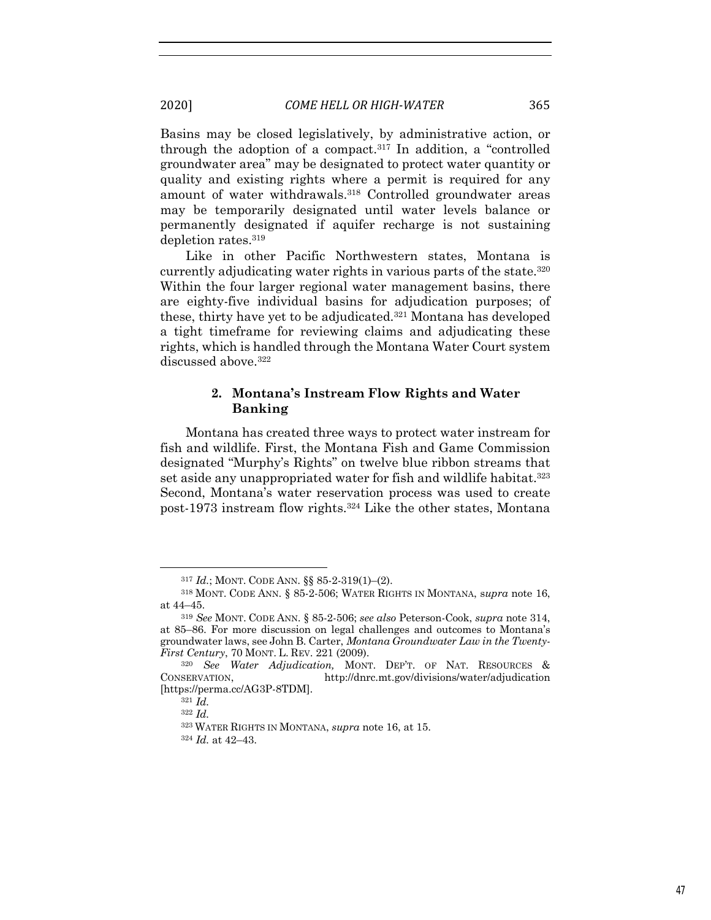Basins may be closed legislatively, by administrative action, or through the adoption of a compact.317 In addition, a "controlled groundwater area" may be designated to protect water quantity or quality and existing rights where a permit is required for any amount of water withdrawals.318 Controlled groundwater areas may be temporarily designated until water levels balance or permanently designated if aquifer recharge is not sustaining depletion rates.319

Like in other Pacific Northwestern states, Montana is currently adjudicating water rights in various parts of the state.320 Within the four larger regional water management basins, there are eighty-five individual basins for adjudication purposes; of these, thirty have yet to be adjudicated.321 Montana has developed a tight timeframe for reviewing claims and adjudicating these rights, which is handled through the Montana Water Court system discussed above.<sup>322</sup>

# **2. Montana's Instream Flow Rights and Water Banking**

Montana has created three ways to protect water instream for fish and wildlife. First, the Montana Fish and Game Commission designated "Murphy's Rights" on twelve blue ribbon streams that set aside any unappropriated water for fish and wildlife habitat.<sup>323</sup> Second, Montana's water reservation process was used to create post-1973 instream flow rights.324 Like the other states, Montana

<sup>317</sup> *Id.*; MONT. CODE ANN. §§ 85-2-319(1)–(2).

<sup>318</sup> MONT. CODE ANN. § 85-2-506; WATER RIGHTS IN MONTANA, s*upra* note 16, at 44–45.

<sup>319</sup> *See* MONT. CODE ANN. § 85-2-506; *see also* Peterson-Cook, *supra* note 314, at 85–86. For more discussion on legal challenges and outcomes to Montana's groundwater laws, see John B. Carter, *Montana Groundwater Law in the Twenty-First Century*, 70 MONT. L. REV. 221 (2009).

<sup>320</sup> *See Water Adjudication,* MONT. DEP'T. OF NAT. RESOURCES & CONSERVATION, http://dnrc.mt.gov/divisions/water/adjudication [https://perma.cc/AG3P-8TDM].

<sup>321</sup> *Id.*

<sup>322</sup> *Id.*

<sup>323</sup> WATER RIGHTS IN MONTANA, *supra* note 16, at 15.

<sup>324</sup> *Id.* at 42–43.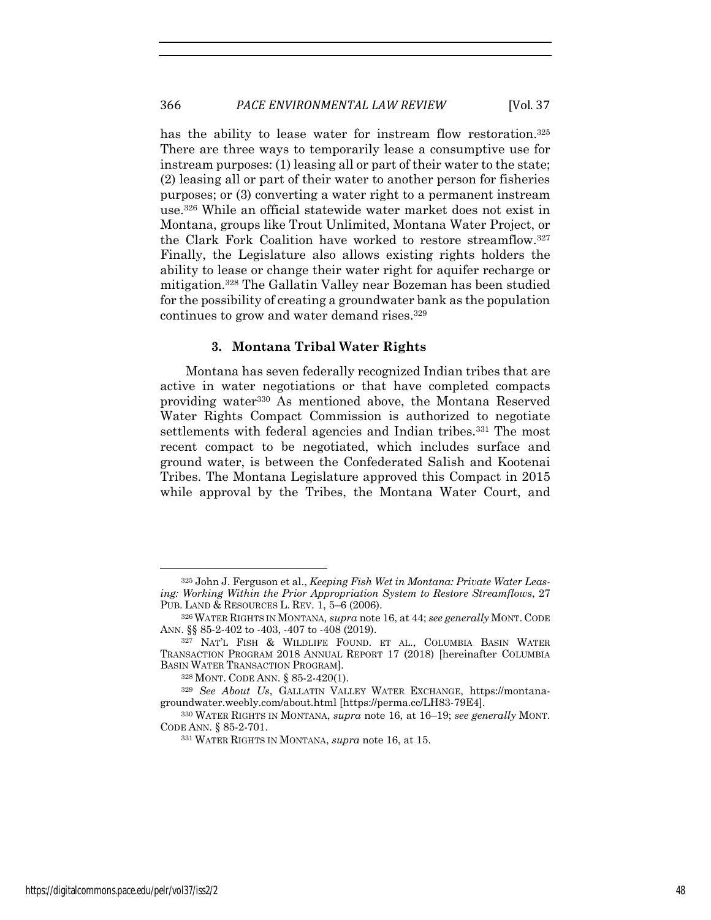has the ability to lease water for instream flow restoration.<sup>325</sup> There are three ways to temporarily lease a consumptive use for instream purposes: (1) leasing all or part of their water to the state; (2) leasing all or part of their water to another person for fisheries purposes; or (3) converting a water right to a permanent instream use.326 While an official statewide water market does not exist in Montana, groups like Trout Unlimited, Montana Water Project, or the Clark Fork Coalition have worked to restore streamflow.327 Finally, the Legislature also allows existing rights holders the ability to lease or change their water right for aquifer recharge or mitigation.328 The Gallatin Valley near Bozeman has been studied for the possibility of creating a groundwater bank as the population continues to grow and water demand rises.329

#### **3. Montana Tribal Water Rights**

Montana has seven federally recognized Indian tribes that are active in water negotiations or that have completed compacts providing water330 As mentioned above, the Montana Reserved Water Rights Compact Commission is authorized to negotiate settlements with federal agencies and Indian tribes.<sup>331</sup> The most recent compact to be negotiated, which includes surface and ground water, is between the Confederated Salish and Kootenai Tribes. The Montana Legislature approved this Compact in 2015 while approval by the Tribes, the Montana Water Court, and

<sup>325</sup> John J. Ferguson et al., *Keeping Fish Wet in Montana: Private Water Leasing: Working Within the Prior Appropriation System to Restore Streamflows*, 27 PUB. LAND & RESOURCES L. REV. 1, 5–6 (2006).

<sup>326</sup> WATER RIGHTS IN MONTANA*, supra* note 16, at 44; *see generally* MONT. CODE ANN. §§ 85-2-402 to -403, -407 to -408 (2019).

<sup>327</sup> NAT'L FISH & WILDLIFE FOUND. ET AL., COLUMBIA BASIN WATER TRANSACTION PROGRAM 2018 ANNUAL REPORT 17 (2018) [hereinafter COLUMBIA BASIN WATER TRANSACTION PROGRAM].

<sup>328</sup> MONT. CODE ANN. § 85-2-420(1).

<sup>329</sup> *See About Us*, GALLATIN VALLEY WATER EXCHANGE, https://montanagroundwater.weebly.com/about.html [https://perma.cc/LH83-79E4]. 330 WATER RIGHTS IN MONTANA, *supra* note 16, at 16–19; *see generally* MONT.

CODE ANN. § 85-2-701.

<sup>331</sup> WATER RIGHTS IN MONTANA, *supra* note 16, at 15.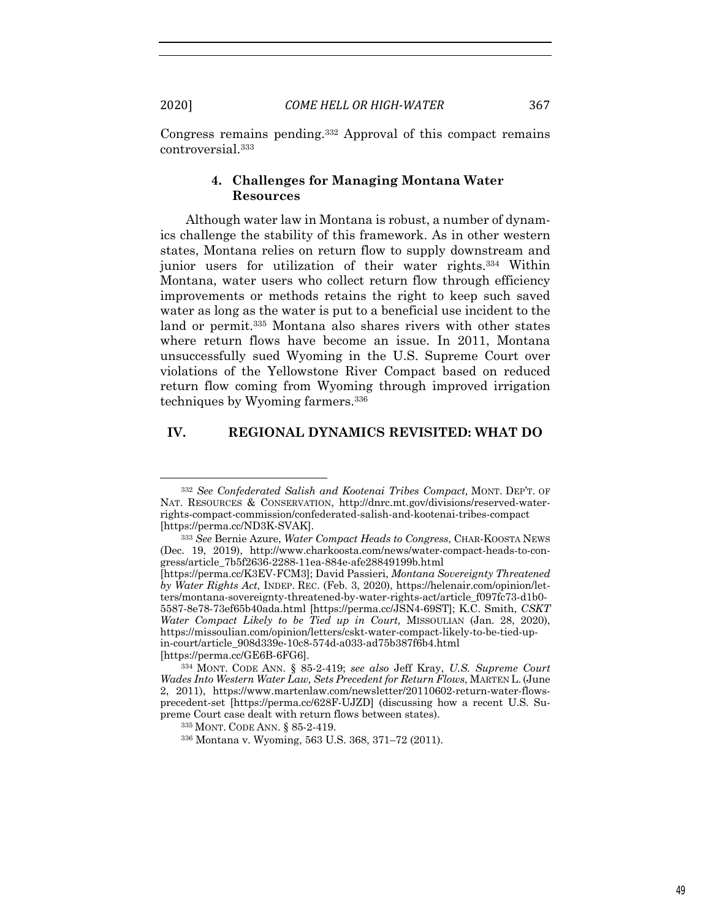Congress remains pending.332 Approval of this compact remains controversial.333

# **4. Challenges for Managing Montana Water Resources**

Although water law in Montana is robust, a number of dynamics challenge the stability of this framework. As in other western states, Montana relies on return flow to supply downstream and junior users for utilization of their water rights.334 Within Montana, water users who collect return flow through efficiency improvements or methods retains the right to keep such saved water as long as the water is put to a beneficial use incident to the land or permit.335 Montana also shares rivers with other states where return flows have become an issue. In 2011, Montana unsuccessfully sued Wyoming in the U.S. Supreme Court over violations of the Yellowstone River Compact based on reduced return flow coming from Wyoming through improved irrigation techniques by Wyoming farmers.336

#### **IV. REGIONAL DYNAMICS REVISITED: WHAT DO**

<sup>332</sup> *See Confederated Salish and Kootenai Tribes Compact,* MONT. DEP'T. OF NAT. RESOURCES & CONSERVATION, http://dnrc.mt.gov/divisions/reserved-waterrights-compact-commission/confederated-salish-and-kootenai-tribes-compact [https://perma.cc/ND3K-SVAK].

<sup>333</sup> *See* Bernie Azure, *Water Compact Heads to Congress*, CHAR-KOOSTA NEWS (Dec. 19, 2019), http://www.charkoosta.com/news/water-compact-heads-to-congress/article\_7b5f2636-2288-11ea-884e-afe28849199b.html

<sup>[</sup>https://perma.cc/K3EV-FCM3]; David Passieri, *Montana Sovereignty Threatened by Water Rights Act,* INDEP. REC. (Feb. 3, 2020), https://helenair.com/opinion/letters/montana-sovereignty-threatened-by-water-rights-act/article\_f097fc73-d1b0- 5587-8e78-73ef65b40ada.html [https://perma.cc/JSN4-69ST]; K.C. Smith, *CSKT Water Compact Likely to be Tied up in Court,* MISSOULIAN (Jan. 28, 2020), https://missoulian.com/opinion/letters/cskt-water-compact-likely-to-be-tied-upin-court/article\_908d339e-10c8-574d-a033-ad75b387f6b4.html

<sup>[</sup>https://perma.cc/GE6B-6FG6]. 334 MONT. CODE ANN. § 85-2-419; *see also* Jeff Kray, *U.S. Supreme Court Wades Into Western Water Law, Sets Precedent for Return Flows*, MARTEN L. (June 2, 2011), https://www.martenlaw.com/newsletter/20110602-return-water-flowsprecedent-set [https://perma.cc/628F-UJZD] (discussing how a recent U.S. Supreme Court case dealt with return flows between states). 335 MONT. CODE ANN. § 85-2-419.

<sup>336</sup> Montana v. Wyoming, 563 U.S. 368, 371–72 (2011).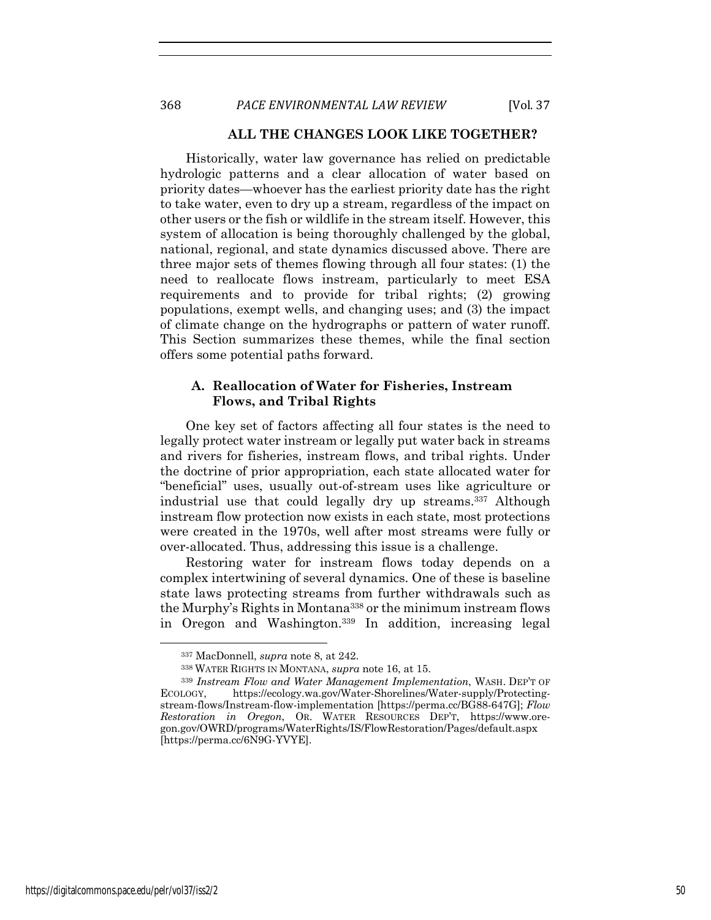# **ALL THE CHANGES LOOK LIKE TOGETHER?**

Historically, water law governance has relied on predictable hydrologic patterns and a clear allocation of water based on priority dates—whoever has the earliest priority date has the right to take water, even to dry up a stream, regardless of the impact on other users or the fish or wildlife in the stream itself. However, this system of allocation is being thoroughly challenged by the global, national, regional, and state dynamics discussed above. There are three major sets of themes flowing through all four states: (1) the need to reallocate flows instream, particularly to meet ESA requirements and to provide for tribal rights; (2) growing populations, exempt wells, and changing uses; and (3) the impact of climate change on the hydrographs or pattern of water runoff. This Section summarizes these themes, while the final section offers some potential paths forward.

# **A. Reallocation of Water for Fisheries, Instream Flows, and Tribal Rights**

One key set of factors affecting all four states is the need to legally protect water instream or legally put water back in streams and rivers for fisheries, instream flows, and tribal rights. Under the doctrine of prior appropriation, each state allocated water for "beneficial" uses, usually out-of-stream uses like agriculture or industrial use that could legally dry up streams.337 Although instream flow protection now exists in each state, most protections were created in the 1970s, well after most streams were fully or over-allocated. Thus, addressing this issue is a challenge.

Restoring water for instream flows today depends on a complex intertwining of several dynamics. One of these is baseline state laws protecting streams from further withdrawals such as the Murphy's Rights in Montana338 or the minimum instream flows in Oregon and Washington.339 In addition, increasing legal

<sup>337</sup> MacDonnell, *supra* note 8, at 242.

<sup>338</sup> WATER RIGHTS IN MONTANA, *supra* note 16, at 15.

<sup>339</sup> *Instream Flow and Water Management Implementation*, WASH. DEP'T OF ECOLOGY, https://ecology.wa.gov/Water-Shorelines/Water-supply/Protectingstream-flows/Instream-flow-implementation [https://perma.cc/BG88-647G]; *Flow Restoration in Oregon*, OR. WATER RESOURCES DEP'T, https://www.oregon.gov/OWRD/programs/WaterRights/IS/FlowRestoration/Pages/default.aspx [https://perma.cc/6N9G-YVYE].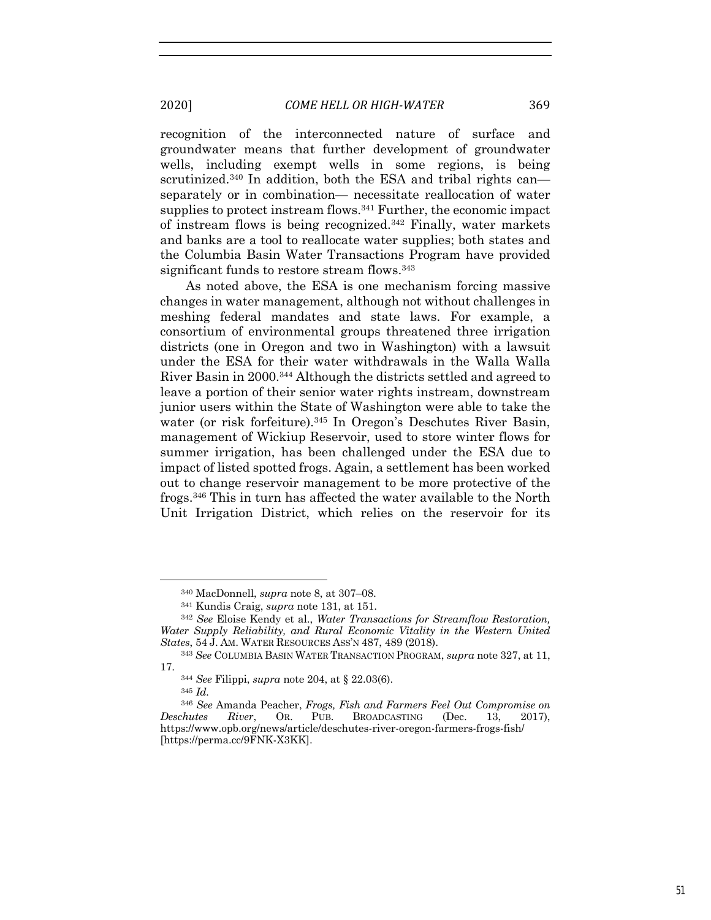recognition of the interconnected nature of surface and groundwater means that further development of groundwater wells, including exempt wells in some regions, is being scrutinized.<sup>340</sup> In addition, both the ESA and tribal rights can separately or in combination— necessitate reallocation of water supplies to protect instream flows.<sup>341</sup> Further, the economic impact of instream flows is being recognized.342 Finally, water markets and banks are a tool to reallocate water supplies; both states and the Columbia Basin Water Transactions Program have provided significant funds to restore stream flows.<sup>343</sup>

As noted above, the ESA is one mechanism forcing massive changes in water management, although not without challenges in meshing federal mandates and state laws. For example, a consortium of environmental groups threatened three irrigation districts (one in Oregon and two in Washington) with a lawsuit under the ESA for their water withdrawals in the Walla Walla River Basin in 2000.344 Although the districts settled and agreed to leave a portion of their senior water rights instream, downstream junior users within the State of Washington were able to take the water (or risk forfeiture).<sup>345</sup> In Oregon's Deschutes River Basin, management of Wickiup Reservoir, used to store winter flows for summer irrigation, has been challenged under the ESA due to impact of listed spotted frogs. Again, a settlement has been worked out to change reservoir management to be more protective of the frogs.346 This in turn has affected the water available to the North Unit Irrigation District, which relies on the reservoir for its

<sup>340</sup> MacDonnell, *supra* note 8, at 307–08.

<sup>341</sup> Kundis Craig, *supra* note 131, at 151. 342 *See* Eloise Kendy et al., *Water Transactions for Streamflow Restoration,*  Water Supply Reliability, and Rural Economic Vitality in the Western United *States*, 54 J. AM. WATER RESOURCES ASS'N 487, 489 (2018).

<sup>343</sup> *See* COLUMBIA BASIN WATER TRANSACTION PROGRAM, *supra* note 327, at 11, 17.

<sup>344</sup> *See* Filippi, *supra* note 204, at § 22.03(6). 345 *Id.*

<sup>346</sup> *See* Amanda Peacher, *Frogs, Fish and Farmers Feel Out Compromise on Deschutes River*, OR. PUB. BROADCASTING (Dec. 13, 2017), https://www.opb.org/news/article/deschutes-river-oregon-farmers-frogs-fish/ [https://perma.cc/9FNK-X3KK].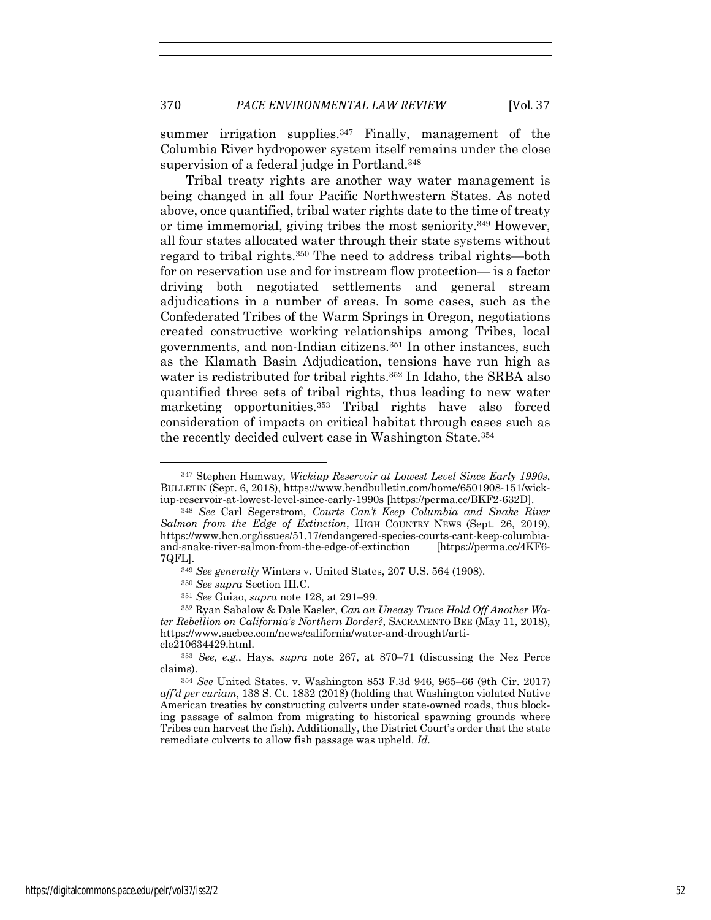summer irrigation supplies.<sup>347</sup> Finally, management of the Columbia River hydropower system itself remains under the close supervision of a federal judge in Portland.348

Tribal treaty rights are another way water management is being changed in all four Pacific Northwestern States. As noted above, once quantified, tribal water rights date to the time of treaty or time immemorial, giving tribes the most seniority.349 However, all four states allocated water through their state systems without regard to tribal rights.350 The need to address tribal rights—both for on reservation use and for instream flow protection— is a factor driving both negotiated settlements and general stream adjudications in a number of areas. In some cases, such as the Confederated Tribes of the Warm Springs in Oregon, negotiations created constructive working relationships among Tribes, local governments, and non-Indian citizens.351 In other instances, such as the Klamath Basin Adjudication, tensions have run high as water is redistributed for tribal rights.<sup>352</sup> In Idaho, the SRBA also quantified three sets of tribal rights, thus leading to new water marketing opportunities.353 Tribal rights have also forced consideration of impacts on critical habitat through cases such as the recently decided culvert case in Washington State.354

<sup>347</sup> Stephen Hamway*, Wickiup Reservoir at Lowest Level Since Early 1990s*, BULLETIN (Sept. 6, 2018), https://www.bendbulletin.com/home/6501908-151/wickiup-reservoir-at-lowest-level-since-early-1990s [https://perma.cc/BKF2-632D].

<sup>348</sup> *See* Carl Segerstrom, *Courts Can't Keep Columbia and Snake River Salmon from the Edge of Extinction*, HIGH COUNTRY NEWS (Sept. 26, 2019), https://www.hcn.org/issues/51.17/endangered-species-courts-cant-keep-columbiaand-snake-river-salmon-from-the-edge-of-extinction [https://perma.cc/4KF6- 7QFL].

<sup>349</sup> *See generally* Winters v. United States, 207 U.S. 564 (1908).

<sup>350</sup> *See supra* Section III.C.

<sup>351</sup> *See* Guiao, *supra* note 128, at 291–99. 352 Ryan Sabalow & Dale Kasler, *Can an Uneasy Truce Hold Off Another Water Rebellion on California's Northern Border?*, SACRAMENTO BEE (May 11, 2018), https://www.sacbee.com/news/california/water-and-drought/article210634429.html.

<sup>353</sup> *See, e.g.*, Hays, *supra* note 267, at 870–71 (discussing the Nez Perce claims).

<sup>354</sup> *See* United States. v. Washington 853 F.3d 946, 965–66 (9th Cir. 2017) *aff'd per curiam*, 138 S. Ct. 1832 (2018) (holding that Washington violated Native American treaties by constructing culverts under state-owned roads, thus blocking passage of salmon from migrating to historical spawning grounds where Tribes can harvest the fish). Additionally, the District Court's order that the state remediate culverts to allow fish passage was upheld. *Id.*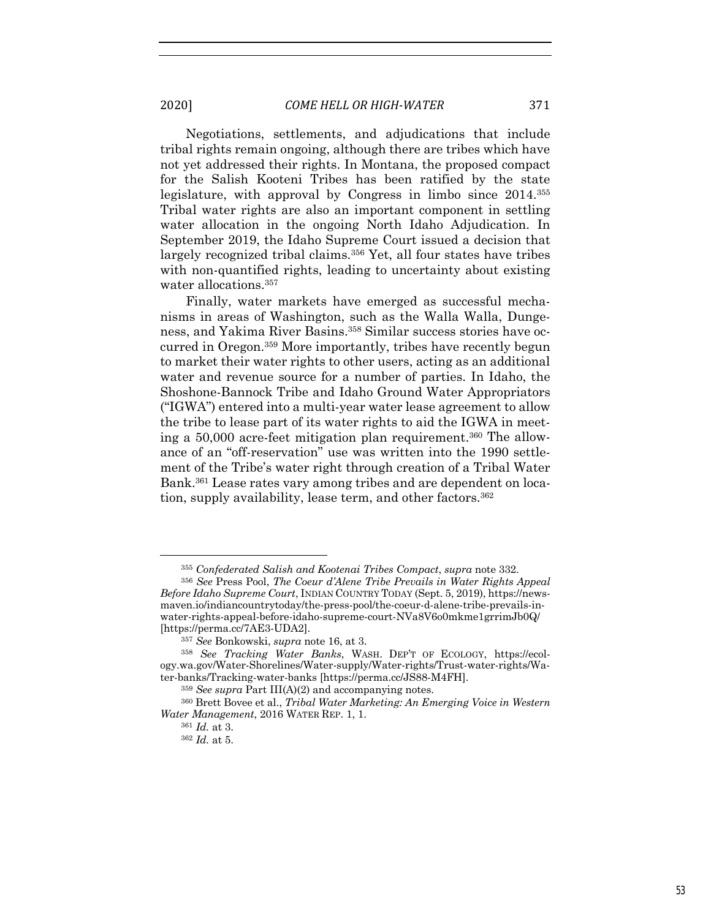Negotiations, settlements, and adjudications that include tribal rights remain ongoing, although there are tribes which have not yet addressed their rights. In Montana, the proposed compact for the Salish Kooteni Tribes has been ratified by the state legislature, with approval by Congress in limbo since 2014.355 Tribal water rights are also an important component in settling water allocation in the ongoing North Idaho Adjudication. In September 2019, the Idaho Supreme Court issued a decision that largely recognized tribal claims.356 Yet, all four states have tribes with non-quantified rights, leading to uncertainty about existing water allocations.357

Finally, water markets have emerged as successful mechanisms in areas of Washington, such as the Walla Walla, Dungeness, and Yakima River Basins.358 Similar success stories have occurred in Oregon.359 More importantly, tribes have recently begun to market their water rights to other users, acting as an additional water and revenue source for a number of parties. In Idaho, the Shoshone-Bannock Tribe and Idaho Ground Water Appropriators ("IGWA") entered into a multi-year water lease agreement to allow the tribe to lease part of its water rights to aid the IGWA in meeting a 50,000 acre-feet mitigation plan requirement.360 The allowance of an "off-reservation" use was written into the 1990 settlement of the Tribe's water right through creation of a Tribal Water Bank.361 Lease rates vary among tribes and are dependent on location, supply availability, lease term, and other factors.<sup>362</sup>

<sup>355</sup> *Confederated Salish and Kootenai Tribes Compact*, *supra* note 332.

<sup>356</sup> *See* Press Pool, *The Coeur d'Alene Tribe Prevails in Water Rights Appeal Before Idaho Supreme Court*, INDIAN COUNTRY TODAY (Sept. 5, 2019), https://newsmaven.io/indiancountrytoday/the-press-pool/the-coeur-d-alene-tribe-prevails-inwater-rights-appeal-before-idaho-supreme-court-NVa8V6o0mkme1grrimJb0Q/ [https://perma.cc/7AE3-UDA2].

<sup>357</sup> *See* Bonkowski, *supra* note 16, at 3.

<sup>358</sup> *See Tracking Water Banks*, WASH. DEP'T OF ECOLOGY, https://ecology.wa.gov/Water-Shorelines/Water-supply/Water-rights/Trust-water-rights/Water-banks/Tracking-water-banks [https://perma.cc/JS88-M4FH].

<sup>359</sup> *See supra* Part III(A)(2) and accompanying notes.

<sup>360</sup> Brett Bovee et al., *Tribal Water Marketing: An Emerging Voice in Western Water Management*, 2016 WATER REP. 1, 1.

<sup>361</sup> *Id.* at 3.

<sup>362</sup> *Id.* at 5.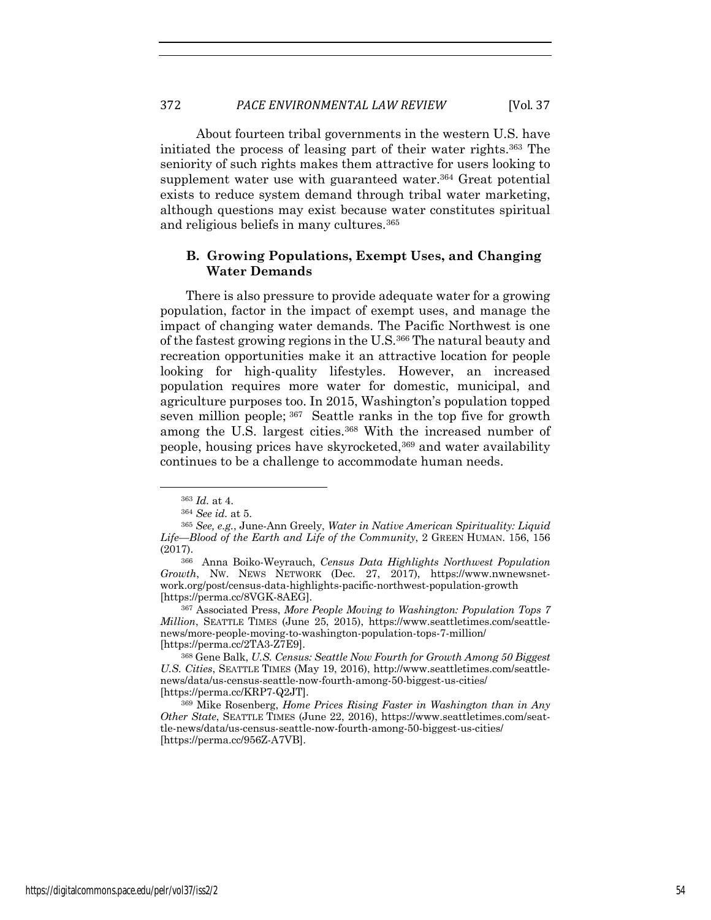About fourteen tribal governments in the western U.S. have initiated the process of leasing part of their water rights.363 The seniority of such rights makes them attractive for users looking to supplement water use with guaranteed water.<sup>364</sup> Great potential exists to reduce system demand through tribal water marketing, although questions may exist because water constitutes spiritual and religious beliefs in many cultures.365

# **B. Growing Populations, Exempt Uses, and Changing Water Demands**

There is also pressure to provide adequate water for a growing population, factor in the impact of exempt uses, and manage the impact of changing water demands. The Pacific Northwest is one of the fastest growing regions in the U.S.366 The natural beauty and recreation opportunities make it an attractive location for people looking for high-quality lifestyles. However, an increased population requires more water for domestic, municipal, and agriculture purposes too. In 2015, Washington's population topped seven million people; 367 Seattle ranks in the top five for growth among the U.S. largest cities.<sup>368</sup> With the increased number of people, housing prices have skyrocketed,369 and water availability continues to be a challenge to accommodate human needs.

<sup>363</sup> *Id.* at 4. 364 *See id.* at 5.

<sup>365</sup> *See, e.g.*, June-Ann Greely, *Water in Native American Spirituality: Liquid Life—Blood of the Earth and Life of the Community*, 2 GREEN HUMAN. 156, 156 (2017).

<sup>366</sup> Anna Boiko-Weyrauch, *Census Data Highlights Northwest Population Growth*, NW. NEWS NETWORK (Dec. 27, 2017), https://www.nwnewsnetwork.org/post/census-data-highlights-pacific-northwest-population-growth [https://perma.cc/8VGK-8AEG].

<sup>367</sup> Associated Press, *More People Moving to Washington: Population Tops 7 Million*, SEATTLE TIMES (June 25, 2015), https://www.seattletimes.com/seattlenews/more-people-moving-to-washington-population-tops-7-million/ [https://perma.cc/2TA3-Z7E9].

<sup>368</sup> Gene Balk, *U.S. Census: Seattle Now Fourth for Growth Among 50 Biggest U.S. Cities*, SEATTLE TIMES (May 19, 2016), http://www.seattletimes.com/seattlenews/data/us-census-seattle-now-fourth-among-50-biggest-us-cities/ [https://perma.cc/KRP7-Q2JT].

<sup>369</sup> Mike Rosenberg, *Home Prices Rising Faster in Washington than in Any Other State*, SEATTLE TIMES (June 22, 2016), https://www.seattletimes.com/seattle-news/data/us-census-seattle-now-fourth-among-50-biggest-us-cities/ [https://perma.cc/956Z-A7VB].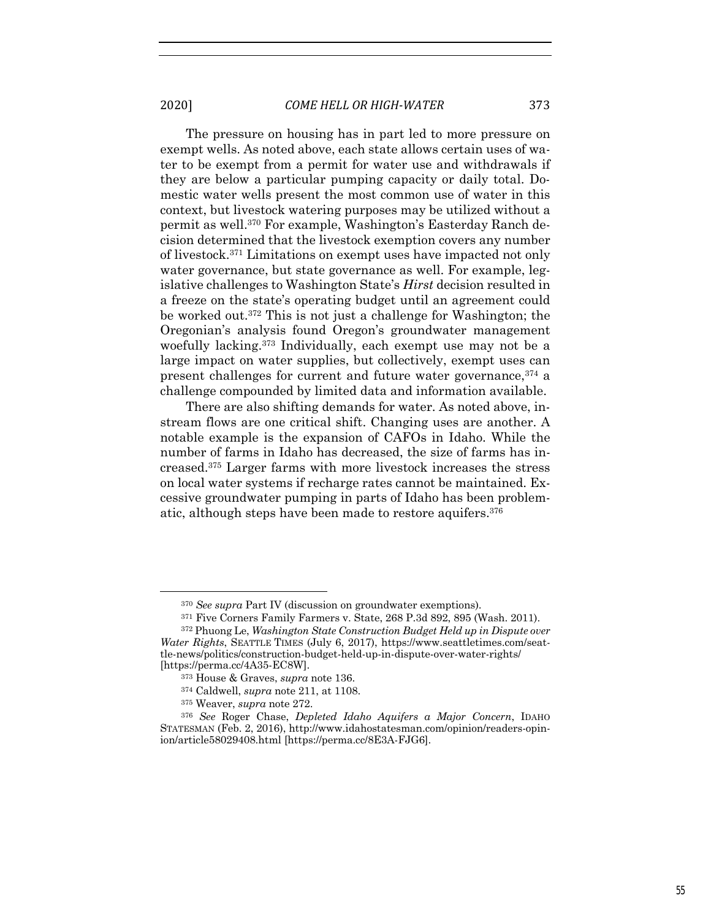The pressure on housing has in part led to more pressure on exempt wells. As noted above, each state allows certain uses of water to be exempt from a permit for water use and withdrawals if they are below a particular pumping capacity or daily total. Domestic water wells present the most common use of water in this context, but livestock watering purposes may be utilized without a permit as well.370 For example, Washington's Easterday Ranch decision determined that the livestock exemption covers any number of livestock.371 Limitations on exempt uses have impacted not only water governance, but state governance as well. For example, legislative challenges to Washington State's *Hirst* decision resulted in a freeze on the state's operating budget until an agreement could be worked out.372 This is not just a challenge for Washington; the Oregonian's analysis found Oregon's groundwater management woefully lacking.373 Individually, each exempt use may not be a large impact on water supplies, but collectively, exempt uses can present challenges for current and future water governance,374 a challenge compounded by limited data and information available.

There are also shifting demands for water. As noted above, instream flows are one critical shift. Changing uses are another. A notable example is the expansion of CAFOs in Idaho. While the number of farms in Idaho has decreased, the size of farms has increased.375 Larger farms with more livestock increases the stress on local water systems if recharge rates cannot be maintained. Excessive groundwater pumping in parts of Idaho has been problematic, although steps have been made to restore aquifers.376

<sup>370</sup> *See supra* Part IV (discussion on groundwater exemptions).

<sup>371</sup> Five Corners Family Farmers v. State, 268 P.3d 892, 895 (Wash. 2011).

<sup>372</sup> Phuong Le, *Washington State Construction Budget Held up in Dispute over Water Rights*, SEATTLE TIMES (July 6, 2017), https://www.seattletimes.com/seattle-news/politics/construction-budget-held-up-in-dispute-over-water-rights/ [https://perma.cc/4A35-EC8W].

<sup>373</sup> House & Graves, *supra* note 136.

<sup>374</sup> Caldwell, *supra* note 211, at 1108.

<sup>375</sup> Weaver, *supra* note 272. 376 *See* Roger Chase, *Depleted Idaho Aquifers a Major Concern*, IDAHO STATESMAN (Feb. 2, 2016), http://www.idahostatesman.com/opinion/readers-opinion/article58029408.html [https://perma.cc/8E3A-FJG6].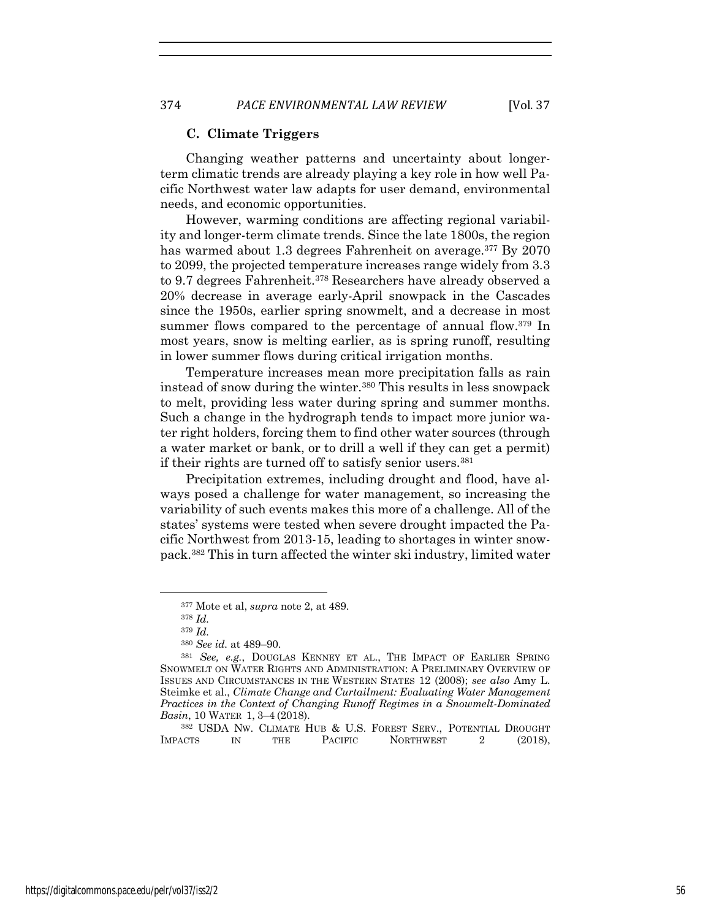#### **C. Climate Triggers**

Changing weather patterns and uncertainty about longerterm climatic trends are already playing a key role in how well Pacific Northwest water law adapts for user demand, environmental needs, and economic opportunities.

However, warming conditions are affecting regional variability and longer-term climate trends. Since the late 1800s, the region has warmed about 1.3 degrees Fahrenheit on average.<sup>377</sup> By 2070 to 2099, the projected temperature increases range widely from 3.3 to 9.7 degrees Fahrenheit.378 Researchers have already observed a 20% decrease in average early-April snowpack in the Cascades since the 1950s, earlier spring snowmelt, and a decrease in most summer flows compared to the percentage of annual flow.<sup>379</sup> In most years, snow is melting earlier, as is spring runoff, resulting in lower summer flows during critical irrigation months.

Temperature increases mean more precipitation falls as rain instead of snow during the winter.380 This results in less snowpack to melt, providing less water during spring and summer months. Such a change in the hydrograph tends to impact more junior water right holders, forcing them to find other water sources (through a water market or bank, or to drill a well if they can get a permit) if their rights are turned off to satisfy senior users.<sup>381</sup>

Precipitation extremes, including drought and flood, have always posed a challenge for water management, so increasing the variability of such events makes this more of a challenge. All of the states' systems were tested when severe drought impacted the Pacific Northwest from 2013-15, leading to shortages in winter snowpack.382 This in turn affected the winter ski industry, limited water

<sup>382</sup> USDA NW. CLIMATE HUB & U.S. FOREST SERV., POTENTIAL DROUGHT IMPACTS IN THE PACIFIC NORTHWEST 2 (2018). **NORTHWEST** 

<sup>377</sup> Mote et al, *supra* note 2, at 489.

<sup>378</sup> *Id.*

<sup>379</sup> *Id.*

<sup>380</sup> *See id.* at 489–90.

<sup>381</sup> *See, e.g.*, DOUGLAS KENNEY ET AL., THE IMPACT OF EARLIER SPRING SNOWMELT ON WATER RIGHTS AND ADMINISTRATION: A PRELIMINARY OVERVIEW OF ISSUES AND CIRCUMSTANCES IN THE WESTERN STATES 12 (2008); *see also* Amy L. Steimke et al., *Climate Change and Curtailment: Evaluating Water Management Practices in the Context of Changing Runoff Regimes in a Snowmelt-Dominated Basin*, 10 WATER 1, 3–4 (2018).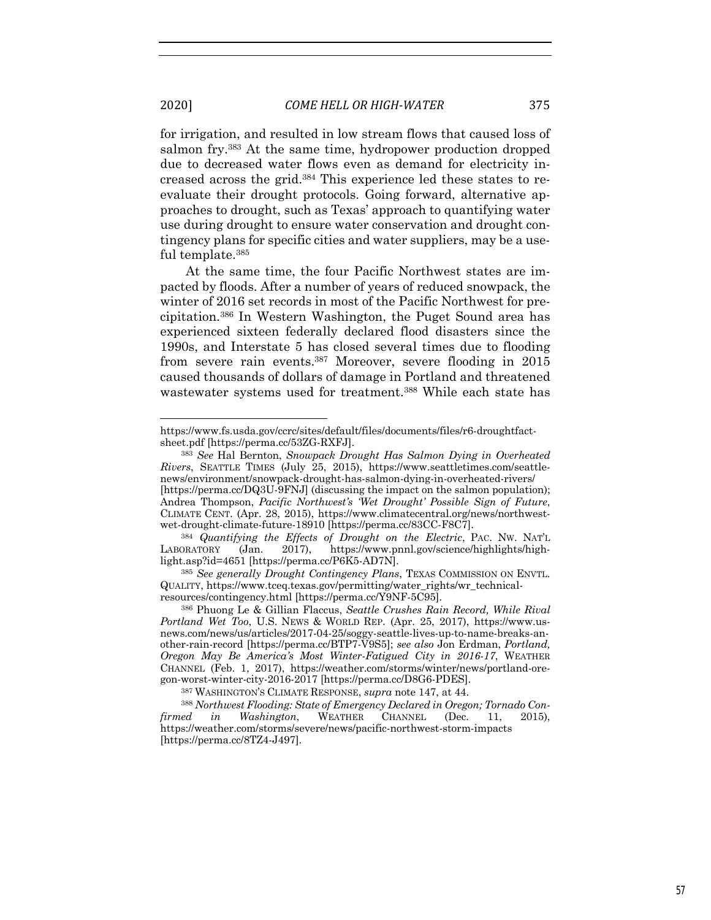for irrigation, and resulted in low stream flows that caused loss of salmon fry.383 At the same time, hydropower production dropped due to decreased water flows even as demand for electricity increased across the grid.384 This experience led these states to reevaluate their drought protocols. Going forward, alternative approaches to drought, such as Texas' approach to quantifying water use during drought to ensure water conservation and drought contingency plans for specific cities and water suppliers, may be a useful template.385

At the same time, the four Pacific Northwest states are impacted by floods. After a number of years of reduced snowpack, the winter of 2016 set records in most of the Pacific Northwest for precipitation.386 In Western Washington, the Puget Sound area has experienced sixteen federally declared flood disasters since the 1990s, and Interstate 5 has closed several times due to flooding from severe rain events.387 Moreover, severe flooding in 2015 caused thousands of dollars of damage in Portland and threatened wastewater systems used for treatment.388 While each state has

https://www.fs.usda.gov/ccrc/sites/default/files/documents/files/r6-droughtfactsheet.pdf [https://perma.cc/53ZG-RXFJ].

<sup>383</sup> *See* Hal Bernton, *Snowpack Drought Has Salmon Dying in Overheated Rivers*, SEATTLE TIMES (July 25, 2015), https://www.seattletimes.com/seattlenews/environment/snowpack-drought-has-salmon-dying-in-overheated-rivers/ [https://perma.cc/DQ3U-9FNJ] (discussing the impact on the salmon population); Andrea Thompson, *Pacific Northwest's 'Wet Drought' Possible Sign of Future*, CLIMATE CENT. (Apr. 28, 2015), https://www.climatecentral.org/news/northwestwet-drought-climate-future-18910 [https://perma.cc/83CC-F8C7].

<sup>384</sup> *Quantifying the Effects of Drought on the Electric*, PAC. NW. NAT'L LABORATORY (Jan. 2017), https://www.pnnl.gov/science/highlights/highlight.asp?id=4651 [https://perma.cc/P6K5-AD7N].

<sup>385</sup> *See generally Drought Contingency Plans*, TEXAS COMMISSION ON ENVTL. QUALITY, https://www.tceq.texas.gov/permitting/water\_rights/wr\_technicalresources/contingency.html [https://perma.cc/Y9NF-5C95].

<sup>386</sup> Phuong Le & Gillian Flaccus, *Seattle Crushes Rain Record, While Rival Portland Wet Too*, U.S. NEWS & WORLD REP. (Apr. 25, 2017), https://www.usnews.com/news/us/articles/2017-04-25/soggy-seattle-lives-up-to-name-breaks-another-rain-record [https://perma.cc/BTP7-V9S5]; *see also* Jon Erdman, *Portland, Oregon May Be America's Most Winter-Fatigued City in 2016-17*, WEATHER CHANNEL (Feb. 1, 2017), https://weather.com/storms/winter/news/portland-oregon-worst-winter-city-2016-2017 [https://perma.cc/D8G6-PDES].

<sup>387</sup> WASHINGTON'S CLIMATE RESPONSE, *supra* note 147, at 44. 388 *Northwest Flooding: State of Emergency Declared in Oregon; Tornado Confirmed in Washington*, WEATHER CHANNEL (Dec. 11, 2015), https://weather.com/storms/severe/news/pacific-northwest-storm-impacts [https://perma.cc/8TZ4-J497].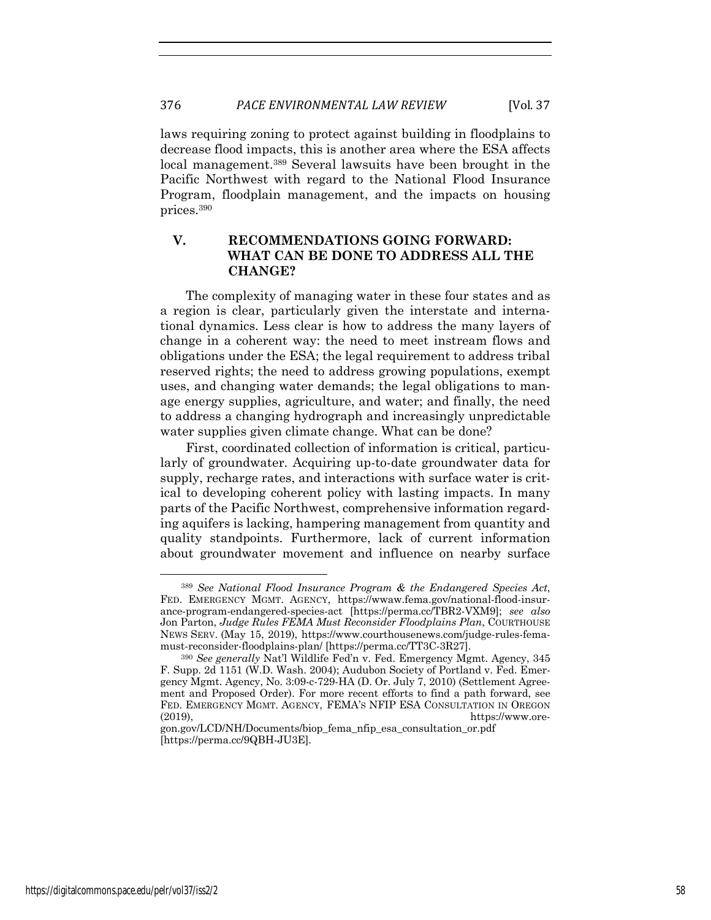laws requiring zoning to protect against building in floodplains to decrease flood impacts, this is another area where the ESA affects local management.389 Several lawsuits have been brought in the Pacific Northwest with regard to the National Flood Insurance Program, floodplain management, and the impacts on housing prices.390

# **V. RECOMMENDATIONS GOING FORWARD: WHAT CAN BE DONE TO ADDRESS ALL THE CHANGE?**

The complexity of managing water in these four states and as a region is clear, particularly given the interstate and international dynamics. Less clear is how to address the many layers of change in a coherent way: the need to meet instream flows and obligations under the ESA; the legal requirement to address tribal reserved rights; the need to address growing populations, exempt uses, and changing water demands; the legal obligations to manage energy supplies, agriculture, and water; and finally, the need to address a changing hydrograph and increasingly unpredictable water supplies given climate change. What can be done?

First, coordinated collection of information is critical, particularly of groundwater. Acquiring up-to-date groundwater data for supply, recharge rates, and interactions with surface water is critical to developing coherent policy with lasting impacts. In many parts of the Pacific Northwest, comprehensive information regarding aquifers is lacking, hampering management from quantity and quality standpoints. Furthermore, lack of current information about groundwater movement and influence on nearby surface

<sup>389</sup> *See National Flood Insurance Program & the Endangered Species Act*, FED. EMERGENCY MGMT. AGENCY, https://wwaw.fema.gov/national-flood-insurance-program-endangered-species-act [https://perma.cc/TBR2-VXM9]; *see also*  Jon Parton, *Judge Rules FEMA Must Reconsider Floodplains Plan*, COURTHOUSE NEWS SERV. (May 15, 2019), https://www.courthousenews.com/judge-rules-femamust-reconsider-floodplains-plan/ [https://perma.cc/TT3C-3R27].

<sup>390</sup> *See generally* Nat'l Wildlife Fed'n v. Fed. Emergency Mgmt. Agency, 345 F. Supp. 2d 1151 (W.D. Wash. 2004); Audubon Society of Portland v. Fed. Emergency Mgmt. Agency, No. 3:09-c-729-HA (D. Or. July 7, 2010) (Settlement Agreement and Proposed Order). For more recent efforts to find a path forward, see FED. EMERGENCY MGMT. AGENCY, FEMA'S NFIP ESA CONSULTATION IN OREGON (2019), https://www.ore-

gon.gov/LCD/NH/Documents/biop\_fema\_nfip\_esa\_consultation\_or.pdf [https://perma.cc/9QBH-JU3E].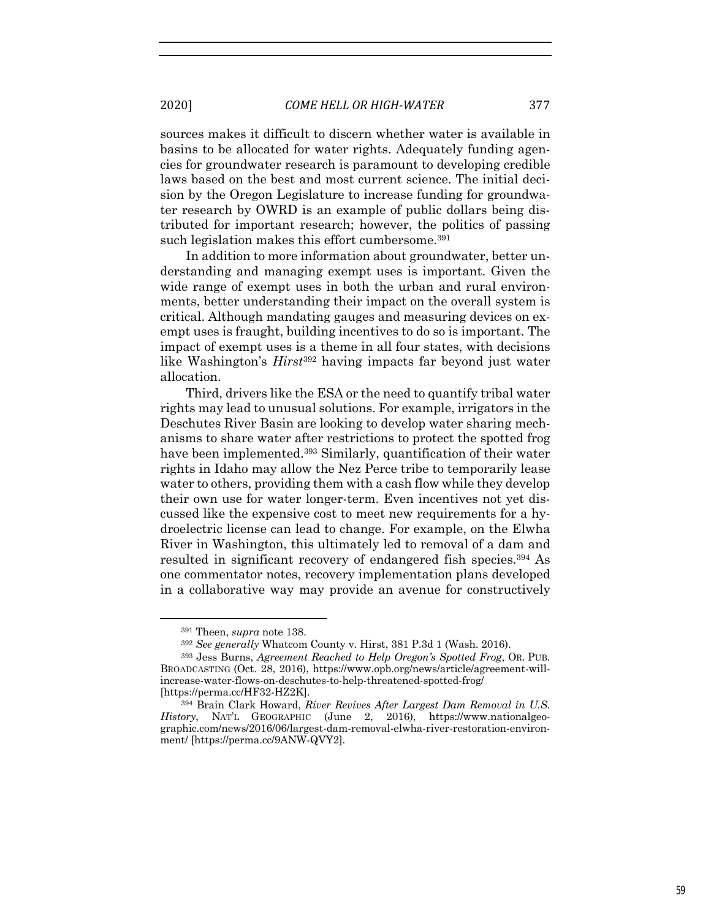sources makes it difficult to discern whether water is available in basins to be allocated for water rights. Adequately funding agencies for groundwater research is paramount to developing credible laws based on the best and most current science. The initial decision by the Oregon Legislature to increase funding for groundwater research by OWRD is an example of public dollars being distributed for important research; however, the politics of passing such legislation makes this effort cumbersome.<sup>391</sup>

In addition to more information about groundwater, better understanding and managing exempt uses is important. Given the wide range of exempt uses in both the urban and rural environments, better understanding their impact on the overall system is critical. Although mandating gauges and measuring devices on exempt uses is fraught, building incentives to do so is important. The impact of exempt uses is a theme in all four states, with decisions like Washington's *Hirst*<sup>392</sup> having impacts far beyond just water allocation.

Third, drivers like the ESA or the need to quantify tribal water rights may lead to unusual solutions. For example, irrigators in the Deschutes River Basin are looking to develop water sharing mechanisms to share water after restrictions to protect the spotted frog have been implemented.393 Similarly, quantification of their water rights in Idaho may allow the Nez Perce tribe to temporarily lease water to others, providing them with a cash flow while they develop their own use for water longer-term. Even incentives not yet discussed like the expensive cost to meet new requirements for a hydroelectric license can lead to change. For example, on the Elwha River in Washington, this ultimately led to removal of a dam and resulted in significant recovery of endangered fish species.394 As one commentator notes, recovery implementation plans developed in a collaborative way may provide an avenue for constructively

<sup>391</sup> Theen, *supra* note 138.

<sup>392</sup> *See generally* Whatcom County v. Hirst, 381 P.3d 1 (Wash. 2016).

<sup>393</sup> Jess Burns, *Agreement Reached to Help Oregon's Spotted Frog*, OR. PUB. BROADCASTING (Oct. 28, 2016), https://www.opb.org/news/article/agreement-willincrease-water-flows-on-deschutes-to-help-threatened-spotted-frog/ [https://perma.cc/HF32-HZ2K].

<sup>394</sup> Brain Clark Howard, *River Revives After Largest Dam Removal in U.S. History*, NAT'L GEOGRAPHIC (June 2, 2016), https://www.nationalgeographic.com/news/2016/06/largest-dam-removal-elwha-river-restoration-environment/ [https://perma.cc/9ANW-QVY2].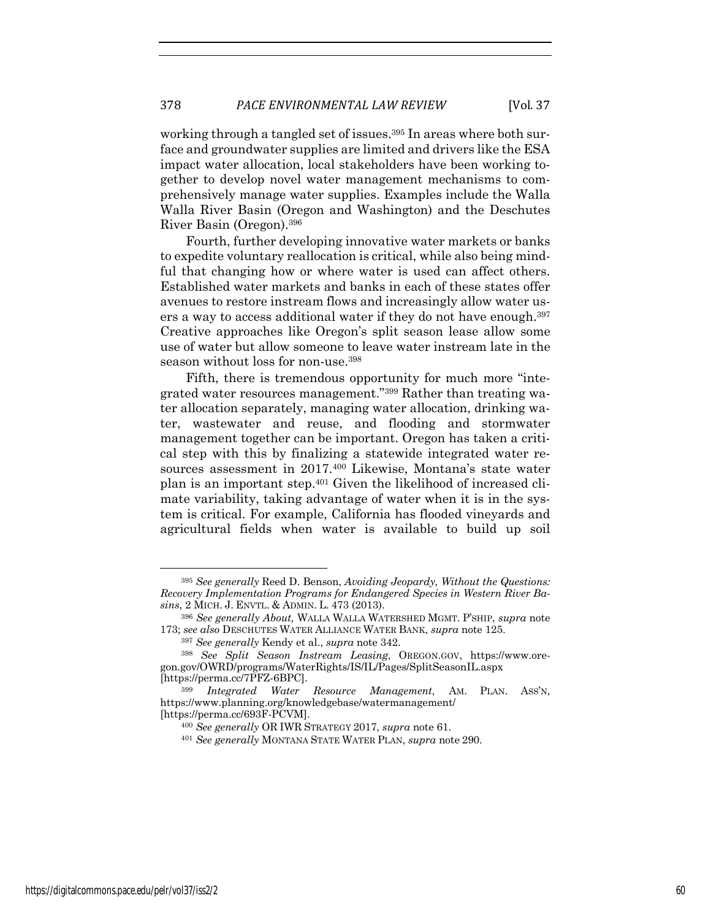working through a tangled set of issues.<sup>395</sup> In areas where both surface and groundwater supplies are limited and drivers like the ESA impact water allocation, local stakeholders have been working together to develop novel water management mechanisms to comprehensively manage water supplies. Examples include the Walla Walla River Basin (Oregon and Washington) and the Deschutes River Basin (Oregon).396

Fourth, further developing innovative water markets or banks to expedite voluntary reallocation is critical, while also being mindful that changing how or where water is used can affect others. Established water markets and banks in each of these states offer avenues to restore instream flows and increasingly allow water users a way to access additional water if they do not have enough.<sup>397</sup> Creative approaches like Oregon's split season lease allow some use of water but allow someone to leave water instream late in the season without loss for non-use.398

Fifth, there is tremendous opportunity for much more "integrated water resources management."399 Rather than treating water allocation separately, managing water allocation, drinking water, wastewater and reuse, and flooding and stormwater management together can be important. Oregon has taken a critical step with this by finalizing a statewide integrated water resources assessment in 2017.400 Likewise, Montana's state water plan is an important step.401 Given the likelihood of increased climate variability, taking advantage of water when it is in the system is critical. For example, California has flooded vineyards and agricultural fields when water is available to build up soil

<sup>395</sup> *See generally* Reed D. Benson, *Avoiding Jeopardy, Without the Questions: Recovery Implementation Programs for Endangered Species in Western River Basins*, 2 MICH. J. ENVTL. & ADMIN. L. 473 (2013).

<sup>396</sup> *See generally About,* WALLA WALLA WATERSHED MGMT. P'SHIP, *supra* note 173; *see also* DESCHUTES WATER ALLIANCE WATER BANK, *supra* note 125.

<sup>397</sup> *See generally* Kendy et al., *supra* note 342.

<sup>398</sup> *See Split Season Instream Leasing*, OREGON.GOV, https://www.oregon.gov/OWRD/programs/WaterRights/IS/IL/Pages/SplitSeasonIL.aspx [https://perma.cc/7PFZ-6BPC].

<sup>399</sup> *Integrated Water Resource Management*, AM. PLAN. ASS'N, https://www.planning.org/knowledgebase/watermanagement/ [https://perma.cc/693F-PCVM].

<sup>400</sup> *See generally* OR IWR STRATEGY 2017, *supra* note 61.

<sup>401</sup> *See generally* MONTANA STATE WATER PLAN, *supra* note 290.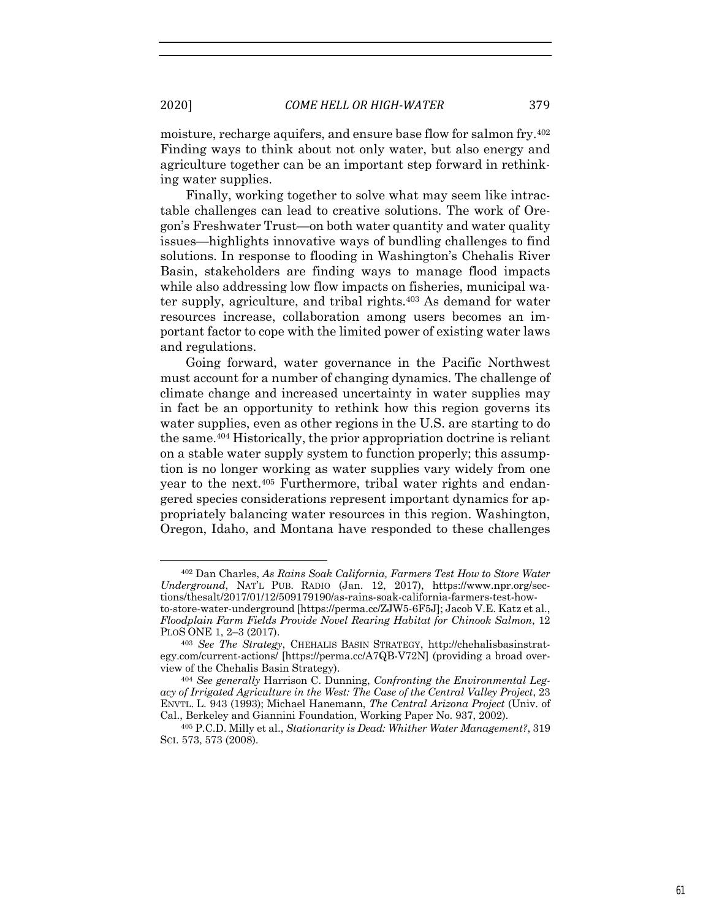moisture, recharge aquifers, and ensure base flow for salmon fry.402 Finding ways to think about not only water, but also energy and agriculture together can be an important step forward in rethinking water supplies.

Finally, working together to solve what may seem like intractable challenges can lead to creative solutions. The work of Oregon's Freshwater Trust—on both water quantity and water quality issues—highlights innovative ways of bundling challenges to find solutions. In response to flooding in Washington's Chehalis River Basin, stakeholders are finding ways to manage flood impacts while also addressing low flow impacts on fisheries, municipal water supply, agriculture, and tribal rights.403 As demand for water resources increase, collaboration among users becomes an important factor to cope with the limited power of existing water laws and regulations.

Going forward, water governance in the Pacific Northwest must account for a number of changing dynamics. The challenge of climate change and increased uncertainty in water supplies may in fact be an opportunity to rethink how this region governs its water supplies, even as other regions in the U.S. are starting to do the same.404 Historically, the prior appropriation doctrine is reliant on a stable water supply system to function properly; this assumption is no longer working as water supplies vary widely from one year to the next.405 Furthermore, tribal water rights and endangered species considerations represent important dynamics for appropriately balancing water resources in this region. Washington, Oregon, Idaho, and Montana have responded to these challenges

<sup>402</sup> Dan Charles, *As Rains Soak California, Farmers Test How to Store Water Underground*, NAT'L PUB. RADIO (Jan. 12, 2017), https://www.npr.org/sections/thesalt/2017/01/12/509179190/as-rains-soak-california-farmers-test-howto-store-water-underground [https://perma.cc/ZJW5-6F5J]; Jacob V.E. Katz et al., *Floodplain Farm Fields Provide Novel Rearing Habitat for Chinook Salmon*, 12 PLOS ONE 1, 2–3 (2017).

<sup>403</sup> *See The Strategy*, CHEHALIS BASIN STRATEGY, http://chehalisbasinstrategy.com/current-actions/ [https://perma.cc/A7QB-V72N] (providing a broad overview of the Chehalis Basin Strategy).

<sup>404</sup> *See generally* Harrison C. Dunning, *Confronting the Environmental Legacy of Irrigated Agriculture in the West: The Case of the Central Valley Project*, 23 ENVTL. L. 943 (1993); Michael Hanemann, *The Central Arizona Project* (Univ. of Cal., Berkeley and Giannini Foundation, Working Paper No. 937, 2002). 405 P.C.D. Milly et al., *Stationarity is Dead: Whither Water Management?*, 319

SCI. 573, 573 (2008).